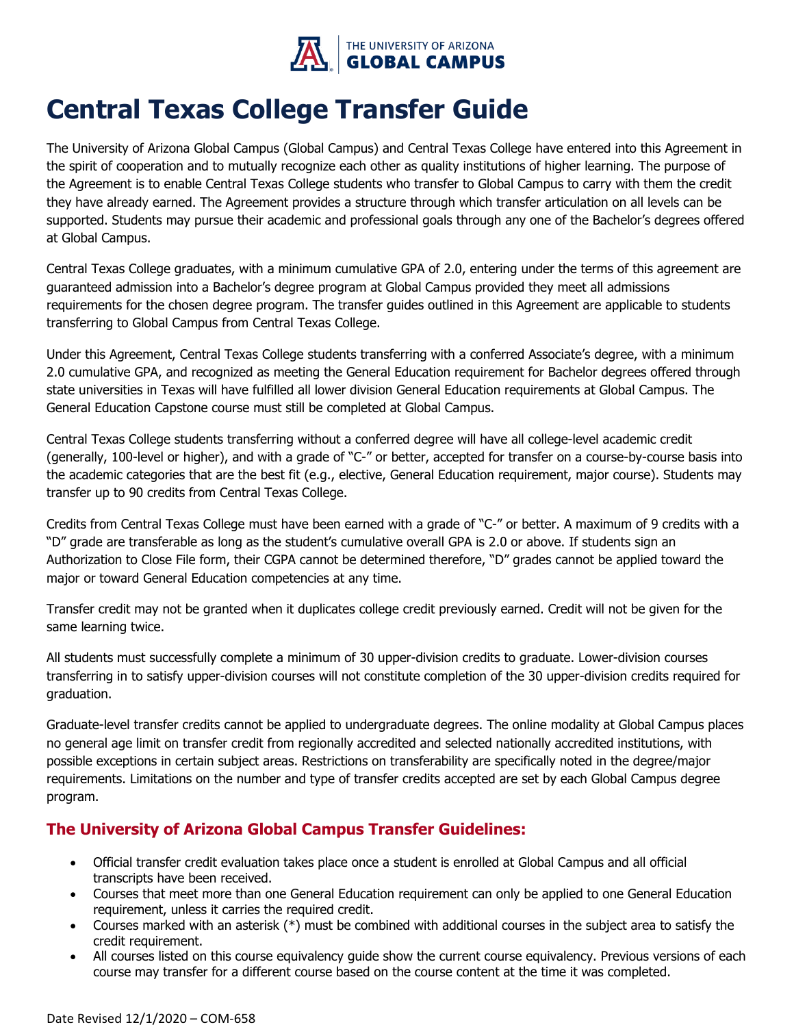

#### **Central Texas College Transfer Guide**

The University of Arizona Global Campus (Global Campus) and Central Texas College have entered into this Agreement in the spirit of cooperation and to mutually recognize each other as quality institutions of higher learning. The purpose of the Agreement is to enable Central Texas College students who transfer to Global Campus to carry with them the credit they have already earned. The Agreement provides a structure through which transfer articulation on all levels can be supported. Students may pursue their academic and professional goals through any one of the Bachelor's degrees offered at Global Campus.

Central Texas College graduates, with a minimum cumulative GPA of 2.0, entering under the terms of this agreement are guaranteed admission into a Bachelor's degree program at Global Campus provided they meet all admissions requirements for the chosen degree program. The transfer guides outlined in this Agreement are applicable to students transferring to Global Campus from Central Texas College.

Under this Agreement, Central Texas College students transferring with a conferred Associate's degree, with a minimum 2.0 cumulative GPA, and recognized as meeting the General Education requirement for Bachelor degrees offered through state universities in Texas will have fulfilled all lower division General Education requirements at Global Campus. The General Education Capstone course must still be completed at Global Campus.

Central Texas College students transferring without a conferred degree will have all college-level academic credit (generally, 100-level or higher), and with a grade of "C-" or better, accepted for transfer on a course-by-course basis into the academic categories that are the best fit (e.g., elective, General Education requirement, major course). Students may transfer up to 90 credits from Central Texas College.

Credits from Central Texas College must have been earned with a grade of "C-" or better. A maximum of 9 credits with a "D" grade are transferable as long as the student's cumulative overall GPA is 2.0 or above. If students sign an Authorization to Close File form, their CGPA cannot be determined therefore, "D" grades cannot be applied toward the major or toward General Education competencies at any time.

Transfer credit may not be granted when it duplicates college credit previously earned. Credit will not be given for the same learning twice.

All students must successfully complete a minimum of 30 upper-division credits to graduate. Lower-division courses transferring in to satisfy upper-division courses will not constitute completion of the 30 upper-division credits required for graduation.

Graduate-level transfer credits cannot be applied to undergraduate degrees. The online modality at Global Campus places no general age limit on transfer credit from regionally accredited and selected nationally accredited institutions, with possible exceptions in certain subject areas. Restrictions on transferability are specifically noted in the degree/major requirements. Limitations on the number and type of transfer credits accepted are set by each Global Campus degree program.

#### **The University of Arizona Global Campus Transfer Guidelines:**

- Official transfer credit evaluation takes place once a student is enrolled at Global Campus and all official transcripts have been received.
- Courses that meet more than one General Education requirement can only be applied to one General Education requirement, unless it carries the required credit.
- Courses marked with an asterisk (\*) must be combined with additional courses in the subject area to satisfy the credit requirement.
- All courses listed on this course equivalency guide show the current course equivalency. Previous versions of each course may transfer for a different course based on the course content at the time it was completed.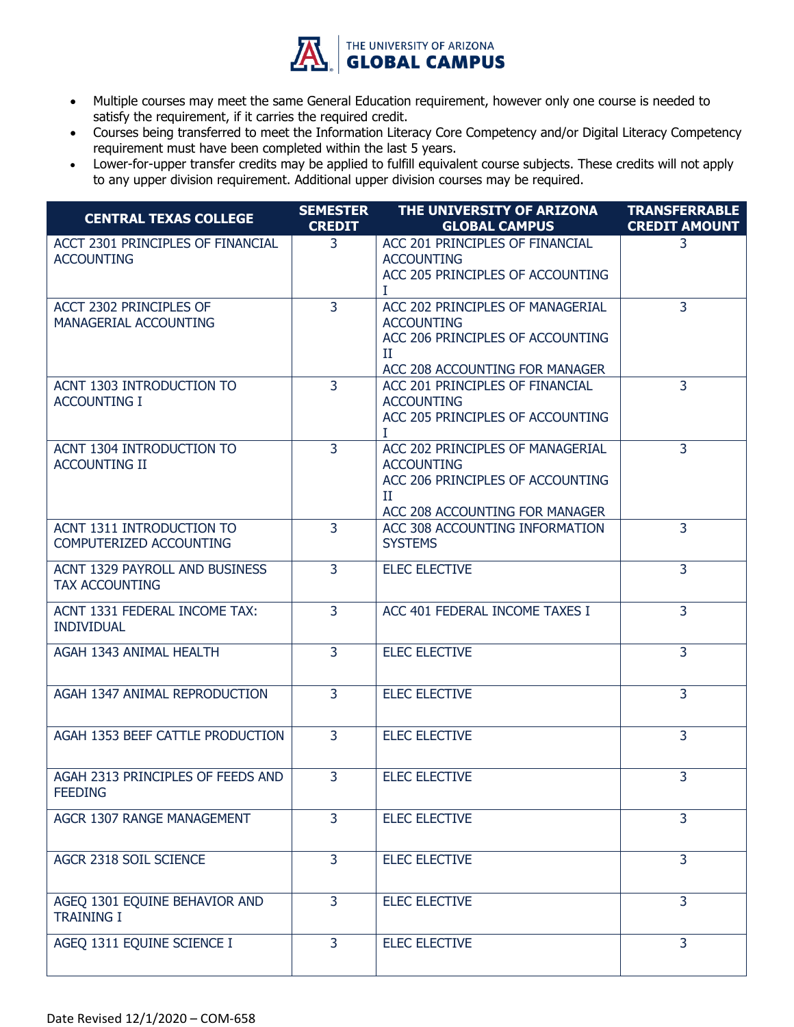

- Multiple courses may meet the same General Education requirement, however only one course is needed to satisfy the requirement, if it carries the required credit.
- Courses being transferred to meet the Information Literacy Core Competency and/or Digital Literacy Competency requirement must have been completed within the last 5 years.
- Lower-for-upper transfer credits may be applied to fulfill equivalent course subjects. These credits will not apply to any upper division requirement. Additional upper division courses may be required.

| <b>CENTRAL TEXAS COLLEGE</b>                            | <b>SEMESTER</b><br><b>CREDIT</b> | THE UNIVERSITY OF ARIZONA<br><b>GLOBAL CAMPUS</b>                                                                                | <b>TRANSFERRABLE</b><br><b>CREDIT AMOUNT</b> |
|---------------------------------------------------------|----------------------------------|----------------------------------------------------------------------------------------------------------------------------------|----------------------------------------------|
| ACCT 2301 PRINCIPLES OF FINANCIAL<br><b>ACCOUNTING</b>  | $\mathbf{3}$                     | ACC 201 PRINCIPLES OF FINANCIAL<br><b>ACCOUNTING</b><br>ACC 205 PRINCIPLES OF ACCOUNTING<br>T                                    | 3                                            |
| ACCT 2302 PRINCIPLES OF<br>MANAGERIAL ACCOUNTING        | $\overline{3}$                   | ACC 202 PRINCIPLES OF MANAGERIAL<br><b>ACCOUNTING</b><br>ACC 206 PRINCIPLES OF ACCOUNTING<br>Π<br>ACC 208 ACCOUNTING FOR MANAGER | $\overline{3}$                               |
| <b>ACNT 1303 INTRODUCTION TO</b><br><b>ACCOUNTING I</b> | $\overline{3}$                   | ACC 201 PRINCIPLES OF FINANCIAL<br><b>ACCOUNTING</b><br>ACC 205 PRINCIPLES OF ACCOUNTING<br>T                                    | $\overline{3}$                               |
| ACNT 1304 INTRODUCTION TO<br><b>ACCOUNTING II</b>       | $\overline{3}$                   | ACC 202 PRINCIPLES OF MANAGERIAL<br><b>ACCOUNTING</b><br>ACC 206 PRINCIPLES OF ACCOUNTING<br>П<br>ACC 208 ACCOUNTING FOR MANAGER | $\overline{3}$                               |
| ACNT 1311 INTRODUCTION TO<br>COMPUTERIZED ACCOUNTING    | $\overline{3}$                   | ACC 308 ACCOUNTING INFORMATION<br><b>SYSTEMS</b>                                                                                 | $\overline{3}$                               |
| ACNT 1329 PAYROLL AND BUSINESS<br><b>TAX ACCOUNTING</b> | 3                                | <b>ELEC ELECTIVE</b>                                                                                                             | $\overline{3}$                               |
| ACNT 1331 FEDERAL INCOME TAX:<br><b>INDIVIDUAL</b>      | 3                                | ACC 401 FEDERAL INCOME TAXES I                                                                                                   | 3                                            |
| AGAH 1343 ANIMAL HEALTH                                 | $\overline{3}$                   | <b>ELEC ELECTIVE</b>                                                                                                             | $\overline{3}$                               |
| AGAH 1347 ANIMAL REPRODUCTION                           | 3                                | <b>ELEC ELECTIVE</b>                                                                                                             | $\overline{3}$                               |
| AGAH 1353 BEEF CATTLE PRODUCTION                        | $\overline{3}$                   | <b>ELEC ELECTIVE</b>                                                                                                             | 3                                            |
| AGAH 2313 PRINCIPLES OF FEEDS AND<br><b>FEEDING</b>     | 3                                | <b>ELEC ELECTIVE</b>                                                                                                             | 3                                            |
| <b>AGCR 1307 RANGE MANAGEMENT</b>                       | 3                                | <b>ELEC ELECTIVE</b>                                                                                                             | 3                                            |
| AGCR 2318 SOIL SCIENCE                                  | $\overline{3}$                   | <b>ELEC ELECTIVE</b>                                                                                                             | 3                                            |
| AGEQ 1301 EQUINE BEHAVIOR AND<br><b>TRAINING I</b>      | $\overline{3}$                   | <b>ELEC ELECTIVE</b>                                                                                                             | $\overline{3}$                               |
| AGEQ 1311 EQUINE SCIENCE I                              | 3                                | <b>ELEC ELECTIVE</b>                                                                                                             | $\overline{3}$                               |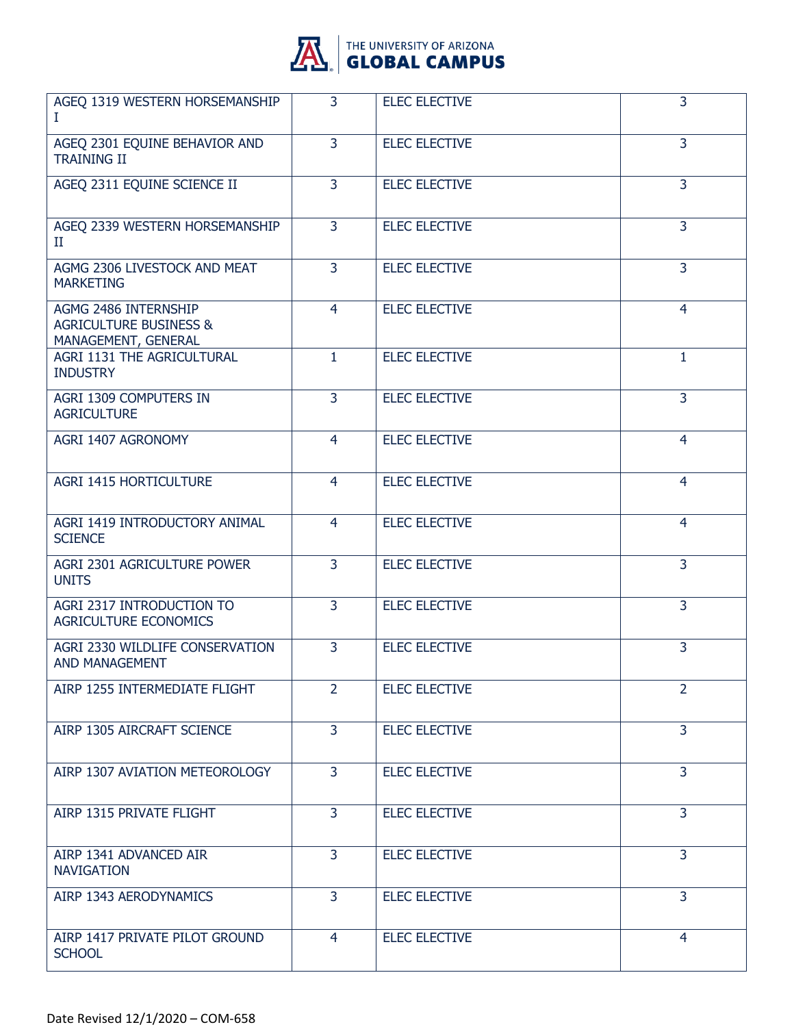

| AGEQ 1319 WESTERN HORSEMANSHIP<br>L                                              | 3              | <b>ELEC ELECTIVE</b> | $\overline{3}$ |
|----------------------------------------------------------------------------------|----------------|----------------------|----------------|
| AGEQ 2301 EQUINE BEHAVIOR AND<br><b>TRAINING II</b>                              | $\overline{3}$ | <b>ELEC ELECTIVE</b> | 3              |
| AGEQ 2311 EQUINE SCIENCE II                                                      | $\overline{3}$ | <b>ELEC ELECTIVE</b> | $\overline{3}$ |
| AGEQ 2339 WESTERN HORSEMANSHIP<br>П                                              | $\overline{3}$ | <b>ELEC ELECTIVE</b> | $\overline{3}$ |
| AGMG 2306 LIVESTOCK AND MEAT<br><b>MARKETING</b>                                 | 3              | <b>ELEC ELECTIVE</b> | 3              |
| AGMG 2486 INTERNSHIP<br><b>AGRICULTURE BUSINESS &amp;</b><br>MANAGEMENT, GENERAL | $\overline{4}$ | <b>ELEC ELECTIVE</b> | $\overline{4}$ |
| <b>AGRI 1131 THE AGRICULTURAL</b><br><b>INDUSTRY</b>                             | 1              | <b>ELEC ELECTIVE</b> | 1              |
| AGRI 1309 COMPUTERS IN<br><b>AGRICULTURE</b>                                     | 3              | <b>ELEC ELECTIVE</b> | $\overline{3}$ |
| AGRI 1407 AGRONOMY                                                               | $\overline{4}$ | <b>ELEC ELECTIVE</b> | 4              |
| <b>AGRI 1415 HORTICULTURE</b>                                                    | $\overline{4}$ | <b>ELEC ELECTIVE</b> | $\overline{4}$ |
| AGRI 1419 INTRODUCTORY ANIMAL<br><b>SCIENCE</b>                                  | $\overline{4}$ | <b>ELEC ELECTIVE</b> | $\overline{4}$ |
| AGRI 2301 AGRICULTURE POWER<br><b>UNITS</b>                                      | $\overline{3}$ | <b>ELEC ELECTIVE</b> | 3              |
| AGRI 2317 INTRODUCTION TO<br><b>AGRICULTURE ECONOMICS</b>                        | $\overline{3}$ | <b>ELEC ELECTIVE</b> | $\overline{3}$ |
| AGRI 2330 WILDLIFE CONSERVATION<br>AND MANAGEMENT                                | 3              | <b>ELEC ELECTIVE</b> | 3              |
| AIRP 1255 INTERMEDIATE FLIGHT                                                    | $\overline{2}$ | <b>ELEC ELECTIVE</b> | $\overline{2}$ |
| AIRP 1305 AIRCRAFT SCIENCE                                                       | $\overline{3}$ | <b>ELEC ELECTIVE</b> | $\overline{3}$ |
| AIRP 1307 AVIATION METEOROLOGY                                                   | $\overline{3}$ | <b>ELEC ELECTIVE</b> | 3              |
| AIRP 1315 PRIVATE FLIGHT                                                         | 3              | <b>ELEC ELECTIVE</b> | 3              |
| AIRP 1341 ADVANCED AIR<br><b>NAVIGATION</b>                                      | $\overline{3}$ | <b>ELEC ELECTIVE</b> | $\overline{3}$ |
| AIRP 1343 AERODYNAMICS                                                           | 3              | <b>ELEC ELECTIVE</b> | $\overline{3}$ |
| AIRP 1417 PRIVATE PILOT GROUND<br><b>SCHOOL</b>                                  | 4              | <b>ELEC ELECTIVE</b> | $\overline{4}$ |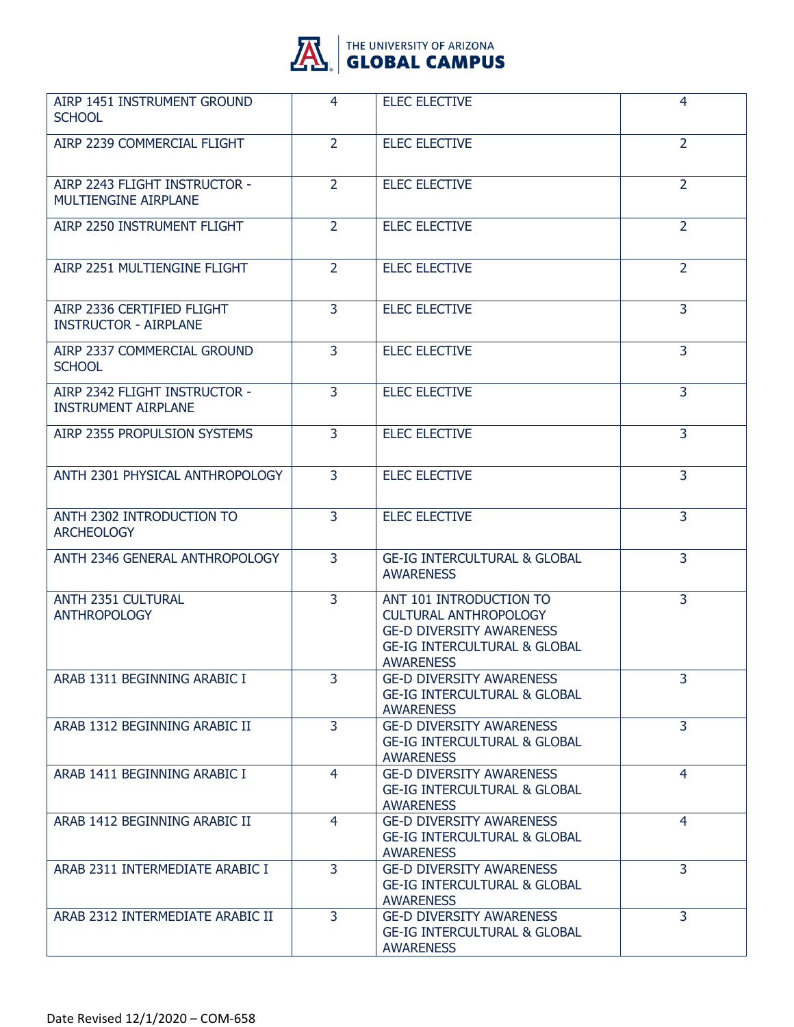

| AIRP 1451 INSTRUMENT GROUND<br><b>SCHOOL</b>                 | $\overline{4}$ | <b>ELEC ELECTIVE</b>                                                                                                                                      | 4              |
|--------------------------------------------------------------|----------------|-----------------------------------------------------------------------------------------------------------------------------------------------------------|----------------|
| AIRP 2239 COMMERCIAL FLIGHT                                  | $\overline{2}$ | <b>ELEC ELECTIVE</b>                                                                                                                                      | $\overline{2}$ |
| AIRP 2243 FLIGHT INSTRUCTOR -<br><b>MULTIENGINE AIRPLANE</b> | $\overline{2}$ | <b>ELEC ELECTIVE</b>                                                                                                                                      | $\overline{2}$ |
| AIRP 2250 INSTRUMENT FLIGHT                                  | $\overline{2}$ | <b>ELEC ELECTIVE</b>                                                                                                                                      | $\overline{2}$ |
| AIRP 2251 MULTIENGINE FLIGHT                                 | $\overline{2}$ | <b>ELEC ELECTIVE</b>                                                                                                                                      | $\overline{2}$ |
| AIRP 2336 CERTIFIED FLIGHT<br><b>INSTRUCTOR - AIRPLANE</b>   | $\overline{3}$ | <b>ELEC ELECTIVE</b>                                                                                                                                      | 3              |
| AIRP 2337 COMMERCIAL GROUND<br><b>SCHOOL</b>                 | $\overline{3}$ | <b>ELEC ELECTIVE</b>                                                                                                                                      | $\overline{3}$ |
| AIRP 2342 FLIGHT INSTRUCTOR -<br><b>INSTRUMENT AIRPLANE</b>  | 3              | <b>ELEC ELECTIVE</b>                                                                                                                                      | 3              |
| AIRP 2355 PROPULSION SYSTEMS                                 | $\overline{3}$ | <b>ELEC ELECTIVE</b>                                                                                                                                      | 3              |
| ANTH 2301 PHYSICAL ANTHROPOLOGY                              | $\overline{3}$ | <b>ELEC ELECTIVE</b>                                                                                                                                      | $\overline{3}$ |
| ANTH 2302 INTRODUCTION TO<br><b>ARCHEOLOGY</b>               | 3              | <b>ELEC ELECTIVE</b>                                                                                                                                      | 3              |
| ANTH 2346 GENERAL ANTHROPOLOGY                               | 3              | <b>GE-IG INTERCULTURAL &amp; GLOBAL</b><br><b>AWARENESS</b>                                                                                               | 3              |
| ANTH 2351 CULTURAL<br><b>ANTHROPOLOGY</b>                    | $\overline{3}$ | ANT 101 INTRODUCTION TO<br><b>CULTURAL ANTHROPOLOGY</b><br><b>GE-D DIVERSITY AWARENESS</b><br><b>GE-IG INTERCULTURAL &amp; GLOBAL</b><br><b>AWARENESS</b> | $\overline{3}$ |
| ARAB 1311 BEGINNING ARABIC I                                 | 3              | <b>GE-D DIVERSITY AWARENESS</b><br><b>GE-IG INTERCULTURAL &amp; GLOBAL</b><br><b>AWARENESS</b>                                                            | 3              |
| ARAB 1312 BEGINNING ARABIC II                                | $\overline{3}$ | <b>GE-D DIVERSITY AWARENESS</b><br><b>GE-IG INTERCULTURAL &amp; GLOBAL</b><br><b>AWARENESS</b>                                                            | $\overline{3}$ |
| ARAB 1411 BEGINNING ARABIC I                                 | 4              | <b>GE-D DIVERSITY AWARENESS</b><br><b>GE-IG INTERCULTURAL &amp; GLOBAL</b><br><b>AWARENESS</b>                                                            | $\overline{4}$ |
| ARAB 1412 BEGINNING ARABIC II                                | 4              | <b>GE-D DIVERSITY AWARENESS</b><br><b>GE-IG INTERCULTURAL &amp; GLOBAL</b><br><b>AWARENESS</b>                                                            | 4              |
| ARAB 2311 INTERMEDIATE ARABIC I                              | 3              | <b>GE-D DIVERSITY AWARENESS</b><br><b>GE-IG INTERCULTURAL &amp; GLOBAL</b><br><b>AWARENESS</b>                                                            | $\overline{3}$ |
| ARAB 2312 INTERMEDIATE ARABIC II                             | 3              | <b>GE-D DIVERSITY AWARENESS</b><br><b>GE-IG INTERCULTURAL &amp; GLOBAL</b><br><b>AWARENESS</b>                                                            | $\overline{3}$ |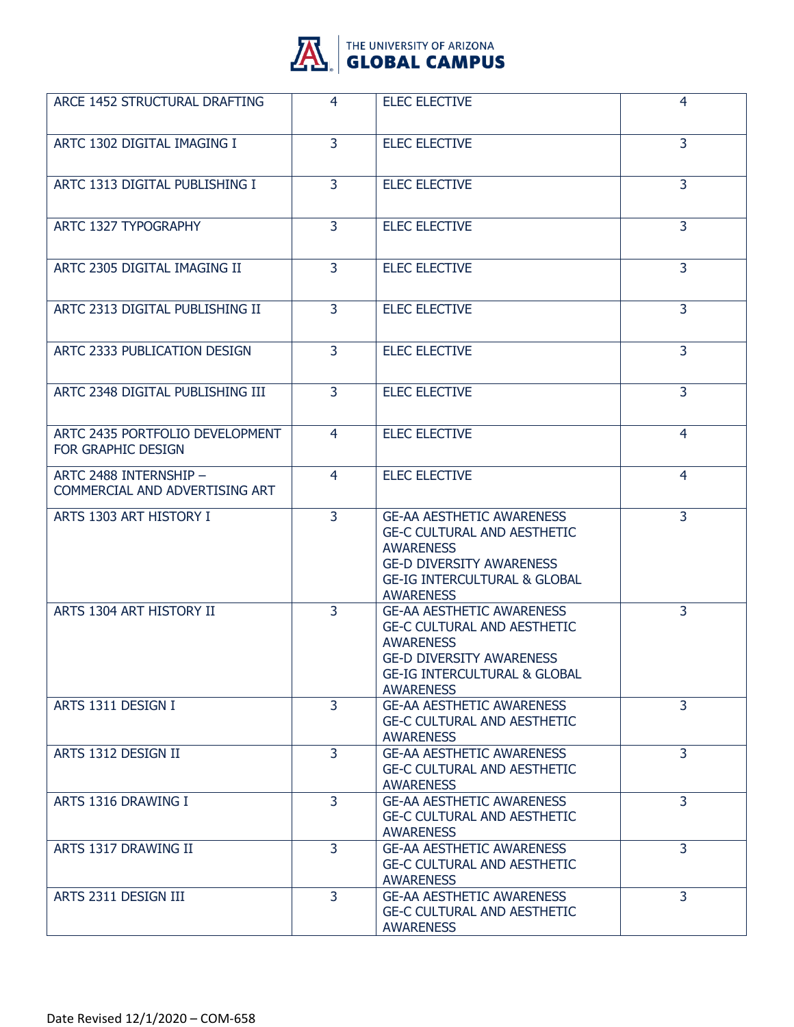

| ARCE 1452 STRUCTURAL DRAFTING                            | 4              | <b>ELEC ELECTIVE</b>                                                                                                                                                                         | 4              |
|----------------------------------------------------------|----------------|----------------------------------------------------------------------------------------------------------------------------------------------------------------------------------------------|----------------|
| ARTC 1302 DIGITAL IMAGING I                              | $\overline{3}$ | <b>ELEC ELECTIVE</b>                                                                                                                                                                         | 3              |
| ARTC 1313 DIGITAL PUBLISHING I                           | 3              | <b>ELEC ELECTIVE</b>                                                                                                                                                                         | 3              |
| ARTC 1327 TYPOGRAPHY                                     | 3              | <b>ELEC ELECTIVE</b>                                                                                                                                                                         | 3              |
| ARTC 2305 DIGITAL IMAGING II                             | $\overline{3}$ | <b>ELEC ELECTIVE</b>                                                                                                                                                                         | $\overline{3}$ |
| ARTC 2313 DIGITAL PUBLISHING II                          | 3              | <b>ELEC ELECTIVE</b>                                                                                                                                                                         | 3              |
| ARTC 2333 PUBLICATION DESIGN                             | 3              | <b>ELEC ELECTIVE</b>                                                                                                                                                                         | 3              |
| ARTC 2348 DIGITAL PUBLISHING III                         | $\overline{3}$ | <b>ELEC ELECTIVE</b>                                                                                                                                                                         | $\overline{3}$ |
| ARTC 2435 PORTFOLIO DEVELOPMENT<br>FOR GRAPHIC DESIGN    | 4              | <b>ELEC ELECTIVE</b>                                                                                                                                                                         | 4              |
| ARTC 2488 INTERNSHIP -<br>COMMERCIAL AND ADVERTISING ART | 4              | <b>ELEC ELECTIVE</b>                                                                                                                                                                         | 4              |
| ARTS 1303 ART HISTORY I                                  | $\overline{3}$ | <b>GE-AA AESTHETIC AWARENESS</b><br><b>GE-C CULTURAL AND AESTHETIC</b><br><b>AWARENESS</b><br><b>GE-D DIVERSITY AWARENESS</b><br><b>GE-IG INTERCULTURAL &amp; GLOBAL</b><br><b>AWARENESS</b> | 3              |
| ARTS 1304 ART HISTORY II                                 | 3              | <b>GE-AA AESTHETIC AWARENESS</b><br><b>GE-C CULTURAL AND AESTHETIC</b><br><b>AWARENESS</b><br><b>GE-D DIVERSITY AWARENESS</b><br><b>GE-IG INTERCULTURAL &amp; GLOBAL</b><br><b>AWARENESS</b> | 3              |
| ARTS 1311 DESIGN I                                       | $\overline{3}$ | <b>GE-AA AESTHETIC AWARENESS</b><br><b>GE-C CULTURAL AND AESTHETIC</b><br><b>AWARENESS</b>                                                                                                   | 3              |
| ARTS 1312 DESIGN II                                      | $\overline{3}$ | <b>GE-AA AESTHETIC AWARENESS</b><br><b>GE-C CULTURAL AND AESTHETIC</b><br><b>AWARENESS</b>                                                                                                   | $\overline{3}$ |
| ARTS 1316 DRAWING I                                      | 3              | <b>GE-AA AESTHETIC AWARENESS</b><br><b>GE-C CULTURAL AND AESTHETIC</b><br><b>AWARENESS</b>                                                                                                   | 3              |
| ARTS 1317 DRAWING II                                     | 3              | <b>GE-AA AESTHETIC AWARENESS</b><br><b>GE-C CULTURAL AND AESTHETIC</b><br><b>AWARENESS</b>                                                                                                   | 3              |
| ARTS 2311 DESIGN III                                     | $\overline{3}$ | <b>GE-AA AESTHETIC AWARENESS</b><br><b>GE-C CULTURAL AND AESTHETIC</b><br><b>AWARENESS</b>                                                                                                   | 3              |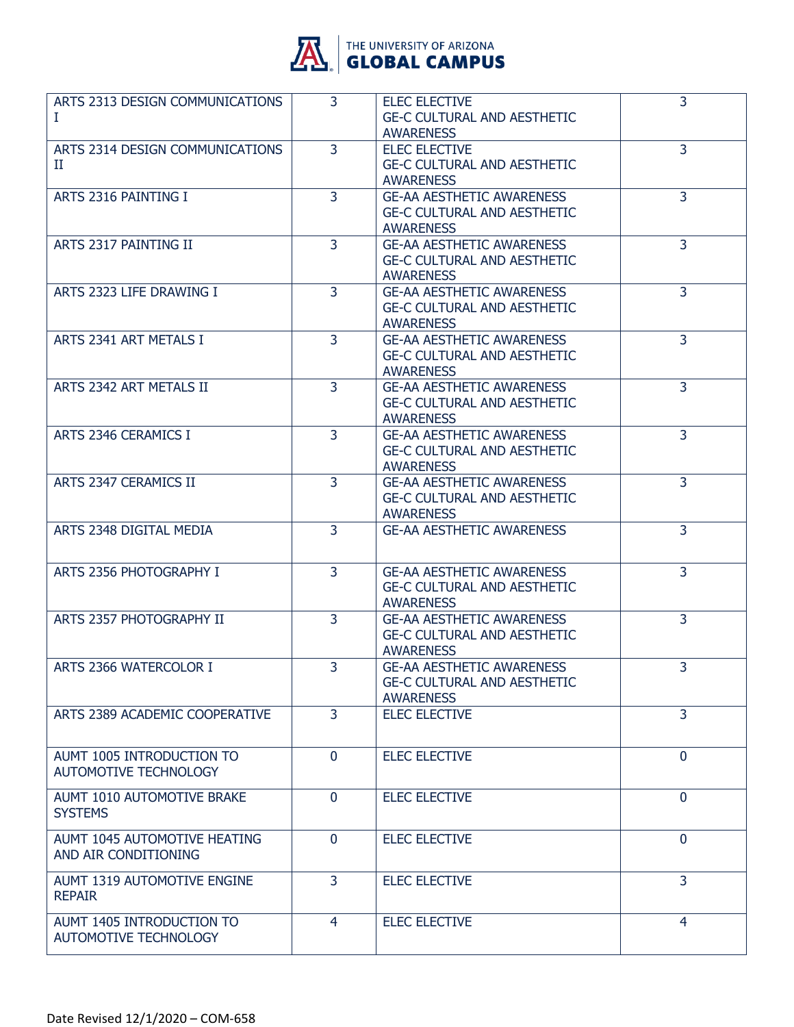

| ARTS 2313 DESIGN COMMUNICATIONS<br>L                        | 3              | <b>ELEC ELECTIVE</b><br><b>GE-C CULTURAL AND AESTHETIC</b><br><b>AWARENESS</b>             | $\overline{3}$ |
|-------------------------------------------------------------|----------------|--------------------------------------------------------------------------------------------|----------------|
| ARTS 2314 DESIGN COMMUNICATIONS<br>П                        | $\overline{3}$ | <b>ELEC ELECTIVE</b><br><b>GE-C CULTURAL AND AESTHETIC</b><br><b>AWARENESS</b>             | $\overline{3}$ |
| ARTS 2316 PAINTING I                                        | $\overline{3}$ | <b>GE-AA AESTHETIC AWARENESS</b><br><b>GE-C CULTURAL AND AESTHETIC</b><br><b>AWARENESS</b> | $\overline{3}$ |
| ARTS 2317 PAINTING II                                       | $\overline{3}$ | <b>GE-AA AESTHETIC AWARENESS</b><br><b>GE-C CULTURAL AND AESTHETIC</b><br><b>AWARENESS</b> | 3              |
| ARTS 2323 LIFE DRAWING I                                    | 3              | <b>GE-AA AESTHETIC AWARENESS</b><br><b>GE-C CULTURAL AND AESTHETIC</b><br><b>AWARENESS</b> | 3              |
| ARTS 2341 ART METALS I                                      | 3              | <b>GE-AA AESTHETIC AWARENESS</b><br><b>GE-C CULTURAL AND AESTHETIC</b><br><b>AWARENESS</b> | 3              |
| ARTS 2342 ART METALS II                                     | 3              | <b>GE-AA AESTHETIC AWARENESS</b><br><b>GE-C CULTURAL AND AESTHETIC</b><br><b>AWARENESS</b> | $\overline{3}$ |
| ARTS 2346 CERAMICS I                                        | 3              | <b>GE-AA AESTHETIC AWARENESS</b><br><b>GE-C CULTURAL AND AESTHETIC</b><br><b>AWARENESS</b> | $\overline{3}$ |
| <b>ARTS 2347 CERAMICS II</b>                                | 3              | <b>GE-AA AESTHETIC AWARENESS</b><br><b>GE-C CULTURAL AND AESTHETIC</b><br><b>AWARENESS</b> | 3              |
| ARTS 2348 DIGITAL MEDIA                                     | 3              | <b>GE-AA AESTHETIC AWARENESS</b>                                                           | 3              |
| ARTS 2356 PHOTOGRAPHY I                                     | $\overline{3}$ | <b>GE-AA AESTHETIC AWARENESS</b><br><b>GE-C CULTURAL AND AESTHETIC</b><br><b>AWARENESS</b> | $\overline{3}$ |
| ARTS 2357 PHOTOGRAPHY II                                    | $\overline{3}$ | <b>GE-AA AESTHETIC AWARENESS</b><br><b>GE-C CULTURAL AND AESTHETIC</b><br><b>AWARENESS</b> | $\overline{3}$ |
| ARTS 2366 WATERCOLOR I                                      | $\overline{3}$ | <b>GE-AA AESTHETIC AWARENESS</b><br><b>GE-C CULTURAL AND AESTHETIC</b><br><b>AWARENESS</b> | $\overline{3}$ |
| ARTS 2389 ACADEMIC COOPERATIVE                              | $\overline{3}$ | <b>ELEC ELECTIVE</b>                                                                       | $\overline{3}$ |
| AUMT 1005 INTRODUCTION TO<br><b>AUTOMOTIVE TECHNOLOGY</b>   | $\Omega$       | <b>ELEC ELECTIVE</b>                                                                       | $\mathbf{0}$   |
| AUMT 1010 AUTOMOTIVE BRAKE<br><b>SYSTEMS</b>                | $\Omega$       | <b>ELEC ELECTIVE</b>                                                                       | $\mathbf 0$    |
| <b>AUMT 1045 AUTOMOTIVE HEATING</b><br>AND AIR CONDITIONING | $\Omega$       | <b>ELEC ELECTIVE</b>                                                                       | $\Omega$       |
| AUMT 1319 AUTOMOTIVE ENGINE<br><b>REPAIR</b>                | 3              | <b>ELEC ELECTIVE</b>                                                                       | 3              |
| AUMT 1405 INTRODUCTION TO<br>AUTOMOTIVE TECHNOLOGY          | 4              | <b>ELEC ELECTIVE</b>                                                                       | 4              |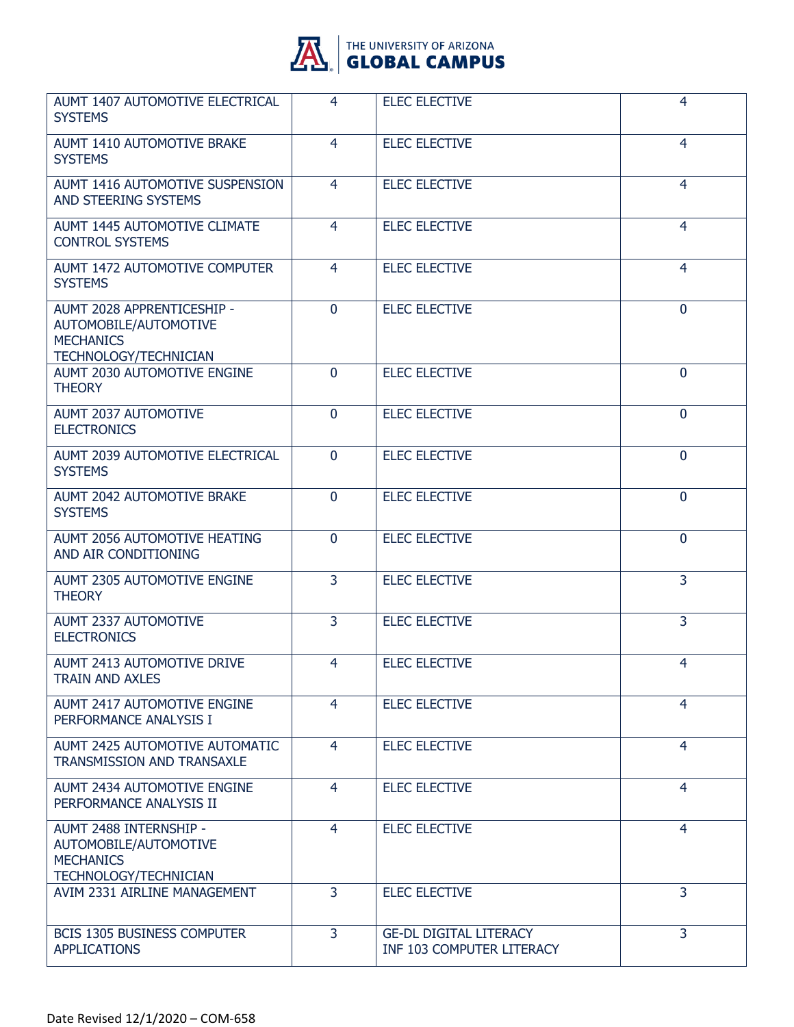

| <b>AUMT 1407 AUTOMOTIVE ELECTRICAL</b><br><b>SYSTEMS</b>                                                | 4              | <b>ELEC ELECTIVE</b>                                       | 4              |
|---------------------------------------------------------------------------------------------------------|----------------|------------------------------------------------------------|----------------|
| AUMT 1410 AUTOMOTIVE BRAKE<br><b>SYSTEMS</b>                                                            | $\overline{4}$ | <b>ELEC ELECTIVE</b>                                       | $\overline{4}$ |
| <b>AUMT 1416 AUTOMOTIVE SUSPENSION</b><br><b>AND STEERING SYSTEMS</b>                                   | 4              | <b>ELEC ELECTIVE</b>                                       | $\overline{4}$ |
| AUMT 1445 AUTOMOTIVE CLIMATE<br><b>CONTROL SYSTEMS</b>                                                  | 4              | <b>ELEC ELECTIVE</b>                                       | $\overline{4}$ |
| AUMT 1472 AUTOMOTIVE COMPUTER<br><b>SYSTEMS</b>                                                         | $\overline{4}$ | <b>ELEC ELECTIVE</b>                                       | $\overline{4}$ |
| AUMT 2028 APPRENTICESHIP -<br>AUTOMOBILE/AUTOMOTIVE<br><b>MECHANICS</b><br><b>TECHNOLOGY/TECHNICIAN</b> | $\Omega$       | <b>ELEC ELECTIVE</b>                                       | $\mathbf 0$    |
| AUMT 2030 AUTOMOTIVE ENGINE<br><b>THEORY</b>                                                            | $\mathbf{0}$   | <b>ELEC ELECTIVE</b>                                       | $\mathbf 0$    |
| <b>AUMT 2037 AUTOMOTIVE</b><br><b>ELECTRONICS</b>                                                       | $\mathbf{0}$   | <b>ELEC ELECTIVE</b>                                       | $\mathbf{0}$   |
| <b>AUMT 2039 AUTOMOTIVE ELECTRICAL</b><br><b>SYSTEMS</b>                                                | $\mathbf{0}$   | <b>ELEC ELECTIVE</b>                                       | $\mathbf{0}$   |
| AUMT 2042 AUTOMOTIVE BRAKE<br><b>SYSTEMS</b>                                                            | $\mathbf{0}$   | <b>ELEC ELECTIVE</b>                                       | $\mathbf 0$    |
| AUMT 2056 AUTOMOTIVE HEATING<br>AND AIR CONDITIONING                                                    | $\mathbf{0}$   | <b>ELEC ELECTIVE</b>                                       | $\mathbf{0}$   |
| AUMT 2305 AUTOMOTIVE ENGINE<br><b>THEORY</b>                                                            | $\overline{3}$ | <b>ELEC ELECTIVE</b>                                       | $\overline{3}$ |
| <b>AUMT 2337 AUTOMOTIVE</b><br><b>ELECTRONICS</b>                                                       | $\overline{3}$ | <b>ELEC ELECTIVE</b>                                       | $\overline{3}$ |
| <b>AUMT 2413 AUTOMOTIVE DRIVE</b><br><b>TRAIN AND AXLES</b>                                             | 4              | <b>ELEC ELECTIVE</b>                                       | 4              |
| AUMT 2417 AUTOMOTIVE ENGINE<br>PERFORMANCE ANALYSIS I                                                   | $\overline{4}$ | <b>ELEC ELECTIVE</b>                                       | $\overline{4}$ |
| AUMT 2425 AUTOMOTIVE AUTOMATIC<br>TRANSMISSION AND TRANSAXLE                                            | $\overline{4}$ | <b>ELEC ELECTIVE</b>                                       | $\overline{4}$ |
| AUMT 2434 AUTOMOTIVE ENGINE<br>PERFORMANCE ANALYSIS II                                                  | 4              | <b>ELEC ELECTIVE</b>                                       | 4              |
| AUMT 2488 INTERNSHIP -<br>AUTOMOBILE/AUTOMOTIVE<br><b>MECHANICS</b><br><b>TECHNOLOGY/TECHNICIAN</b>     | $\overline{4}$ | <b>ELEC ELECTIVE</b>                                       | $\overline{4}$ |
| AVIM 2331 AIRLINE MANAGEMENT                                                                            | $\overline{3}$ | <b>ELEC ELECTIVE</b>                                       | $\overline{3}$ |
| <b>BCIS 1305 BUSINESS COMPUTER</b><br><b>APPLICATIONS</b>                                               | 3              | <b>GE-DL DIGITAL LITERACY</b><br>INF 103 COMPUTER LITERACY | $\overline{3}$ |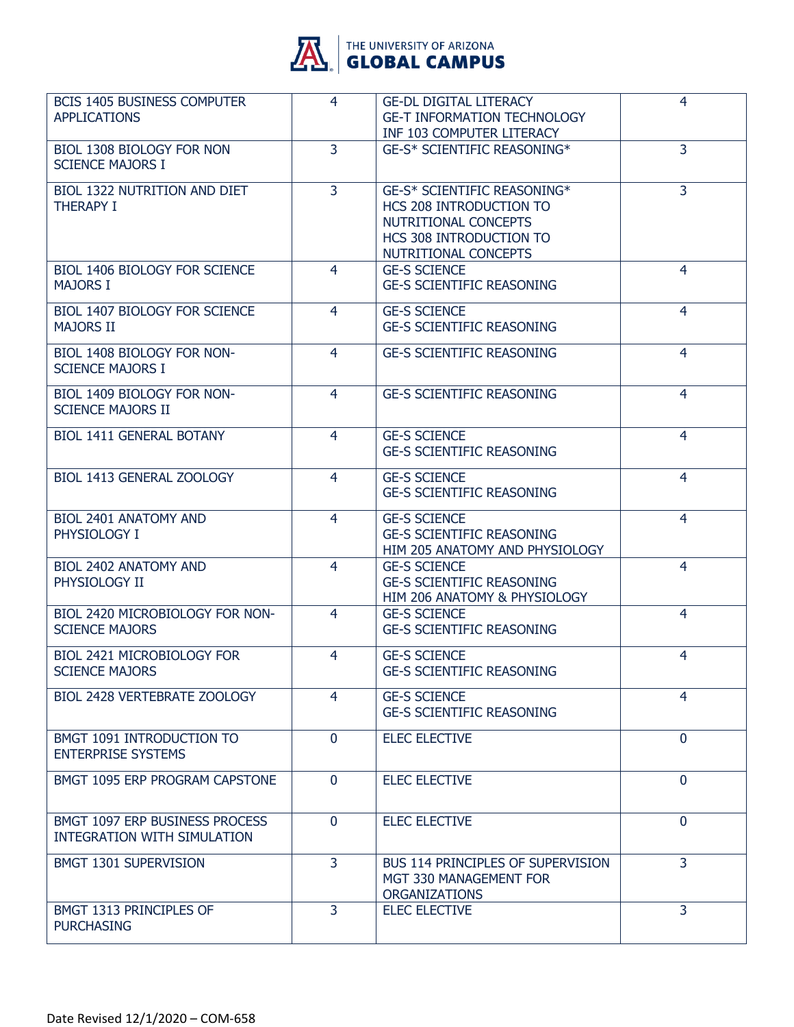

| <b>BCIS 1405 BUSINESS COMPUTER</b><br><b>APPLICATIONS</b>            | 4              | <b>GE-DL DIGITAL LITERACY</b><br><b>GE-T INFORMATION TECHNOLOGY</b><br>INF 103 COMPUTER LITERACY                                  | 4              |
|----------------------------------------------------------------------|----------------|-----------------------------------------------------------------------------------------------------------------------------------|----------------|
| BIOL 1308 BIOLOGY FOR NON<br><b>SCIENCE MAJORS I</b>                 | 3              | <b>GE-S* SCIENTIFIC REASONING*</b>                                                                                                | 3              |
| BIOL 1322 NUTRITION AND DIET<br><b>THERAPY I</b>                     | $\overline{3}$ | GE-S* SCIENTIFIC REASONING*<br>HCS 208 INTRODUCTION TO<br>NUTRITIONAL CONCEPTS<br>HCS 308 INTRODUCTION TO<br>NUTRITIONAL CONCEPTS | 3              |
| <b>BIOL 1406 BIOLOGY FOR SCIENCE</b><br><b>MAJORS I</b>              | 4              | <b>GE-S SCIENCE</b><br><b>GE-S SCIENTIFIC REASONING</b>                                                                           | $\overline{4}$ |
| <b>BIOL 1407 BIOLOGY FOR SCIENCE</b><br><b>MAJORS II</b>             | $\overline{4}$ | <b>GE-S SCIENCE</b><br><b>GE-S SCIENTIFIC REASONING</b>                                                                           | $\overline{4}$ |
| BIOL 1408 BIOLOGY FOR NON-<br><b>SCIENCE MAJORS I</b>                | 4              | <b>GE-S SCIENTIFIC REASONING</b>                                                                                                  | 4              |
| BIOL 1409 BIOLOGY FOR NON-<br><b>SCIENCE MAJORS II</b>               | 4              | <b>GE-S SCIENTIFIC REASONING</b>                                                                                                  | $\overline{4}$ |
| <b>BIOL 1411 GENERAL BOTANY</b>                                      | $\overline{4}$ | <b>GE-S SCIENCE</b><br><b>GE-S SCIENTIFIC REASONING</b>                                                                           | 4              |
| BIOL 1413 GENERAL ZOOLOGY                                            | 4              | <b>GE-S SCIENCE</b><br><b>GE-S SCIENTIFIC REASONING</b>                                                                           | 4              |
| <b>BIOL 2401 ANATOMY AND</b><br>PHYSIOLOGY I                         | 4              | <b>GE-S SCIENCE</b><br><b>GE-S SCIENTIFIC REASONING</b><br>HIM 205 ANATOMY AND PHYSIOLOGY                                         | $\overline{4}$ |
| <b>BIOL 2402 ANATOMY AND</b><br>PHYSIOLOGY II                        | 4              | <b>GE-S SCIENCE</b><br><b>GE-S SCIENTIFIC REASONING</b><br>HIM 206 ANATOMY & PHYSIOLOGY                                           | 4              |
| BIOL 2420 MICROBIOLOGY FOR NON-<br><b>SCIENCE MAJORS</b>             | 4              | <b>GE-S SCIENCE</b><br><b>GE-S SCIENTIFIC REASONING</b>                                                                           | $\overline{4}$ |
| <b>BIOL 2421 MICROBIOLOGY FOR</b><br><b>SCIENCE MAJORS</b>           | 4              | <b>GE-S SCIENCE</b><br><b>GE-S SCIENTIFIC REASONING</b>                                                                           | 4              |
| BIOL 2428 VERTEBRATE ZOOLOGY                                         | 4              | <b>GE-S SCIENCE</b><br><b>GE-S SCIENTIFIC REASONING</b>                                                                           | 4              |
| BMGT 1091 INTRODUCTION TO<br><b>ENTERPRISE SYSTEMS</b>               | $\mathbf{0}$   | <b>ELEC ELECTIVE</b>                                                                                                              | $\mathbf{0}$   |
| BMGT 1095 ERP PROGRAM CAPSTONE                                       | $\Omega$       | <b>ELEC ELECTIVE</b>                                                                                                              | $\mathbf{0}$   |
| BMGT 1097 ERP BUSINESS PROCESS<br><b>INTEGRATION WITH SIMULATION</b> | $\mathbf{0}$   | <b>ELEC ELECTIVE</b>                                                                                                              | $\Omega$       |
| BMGT 1301 SUPERVISION                                                | 3              | <b>BUS 114 PRINCIPLES OF SUPERVISION</b><br>MGT 330 MANAGEMENT FOR<br><b>ORGANIZATIONS</b>                                        | $\overline{3}$ |
| BMGT 1313 PRINCIPLES OF<br><b>PURCHASING</b>                         | 3              | <b>ELEC ELECTIVE</b>                                                                                                              | 3              |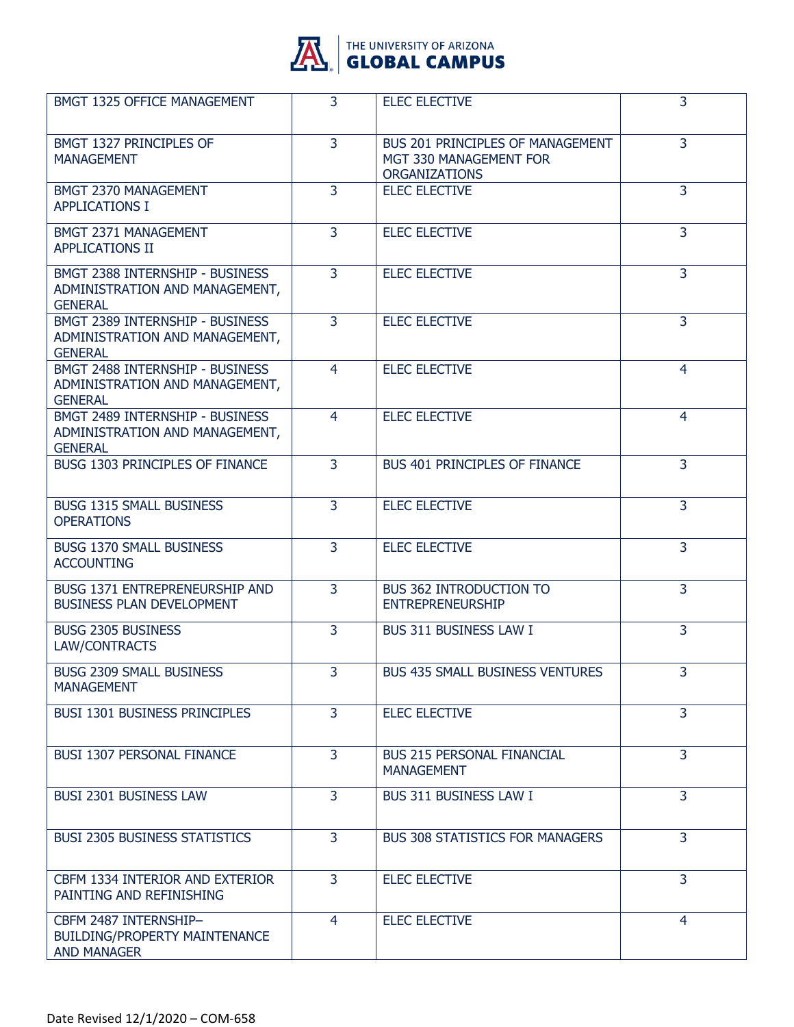

| BMGT 1325 OFFICE MANAGEMENT                                                         | 3              | <b>ELEC ELECTIVE</b>                                                               | 3              |
|-------------------------------------------------------------------------------------|----------------|------------------------------------------------------------------------------------|----------------|
| BMGT 1327 PRINCIPLES OF<br><b>MANAGEMENT</b>                                        | 3              | BUS 201 PRINCIPLES OF MANAGEMENT<br>MGT 330 MANAGEMENT FOR<br><b>ORGANIZATIONS</b> | $\overline{3}$ |
| BMGT 2370 MANAGEMENT<br><b>APPLICATIONS I</b>                                       | 3              | <b>ELEC ELECTIVE</b>                                                               | 3              |
| BMGT 2371 MANAGEMENT<br><b>APPLICATIONS II</b>                                      | 3              | <b>ELEC ELECTIVE</b>                                                               | 3              |
| BMGT 2388 INTERNSHIP - BUSINESS<br>ADMINISTRATION AND MANAGEMENT,<br><b>GENERAL</b> | 3              | <b>ELEC ELECTIVE</b>                                                               | 3              |
| BMGT 2389 INTERNSHIP - BUSINESS<br>ADMINISTRATION AND MANAGEMENT,<br><b>GENERAL</b> | 3              | <b>ELEC ELECTIVE</b>                                                               | 3              |
| BMGT 2488 INTERNSHIP - BUSINESS<br>ADMINISTRATION AND MANAGEMENT,<br><b>GENERAL</b> | $\overline{4}$ | <b>ELEC ELECTIVE</b>                                                               | $\overline{4}$ |
| BMGT 2489 INTERNSHIP - BUSINESS<br>ADMINISTRATION AND MANAGEMENT,<br><b>GENERAL</b> | 4              | <b>ELEC ELECTIVE</b>                                                               | 4              |
| BUSG 1303 PRINCIPLES OF FINANCE                                                     | 3              | BUS 401 PRINCIPLES OF FINANCE                                                      | $\overline{3}$ |
| <b>BUSG 1315 SMALL BUSINESS</b><br><b>OPERATIONS</b>                                | $\overline{3}$ | <b>ELEC ELECTIVE</b>                                                               | $\overline{3}$ |
| <b>BUSG 1370 SMALL BUSINESS</b><br><b>ACCOUNTING</b>                                | 3              | <b>ELEC ELECTIVE</b>                                                               | 3              |
| BUSG 1371 ENTREPRENEURSHIP AND<br><b>BUSINESS PLAN DEVELOPMENT</b>                  | $\overline{3}$ | <b>BUS 362 INTRODUCTION TO</b><br><b>ENTREPRENEURSHIP</b>                          | $\overline{3}$ |
| <b>BUSG 2305 BUSINESS</b><br>LAW/CONTRACTS                                          | $\overline{3}$ | BUS 311 BUSINESS LAW I                                                             | $\overline{3}$ |
| <b>BUSG 2309 SMALL BUSINESS</b><br><b>MANAGEMENT</b>                                | 3              | <b>BUS 435 SMALL BUSINESS VENTURES</b>                                             | 3.             |
| <b>BUSI 1301 BUSINESS PRINCIPLES</b>                                                | $\overline{3}$ | <b>ELEC ELECTIVE</b>                                                               | 3              |
| <b>BUSI 1307 PERSONAL FINANCE</b>                                                   | $\overline{3}$ | <b>BUS 215 PERSONAL FINANCIAL</b><br><b>MANAGEMENT</b>                             | $\overline{3}$ |
| BUSI 2301 BUSINESS LAW                                                              | 3              | BUS 311 BUSINESS LAW I                                                             | 3              |
| <b>BUSI 2305 BUSINESS STATISTICS</b>                                                | 3              | <b>BUS 308 STATISTICS FOR MANAGERS</b>                                             | 3              |
| CBFM 1334 INTERIOR AND EXTERIOR<br>PAINTING AND REFINISHING                         | $\overline{3}$ | <b>ELEC ELECTIVE</b>                                                               | 3              |
| CBFM 2487 INTERNSHIP-<br>BUILDING/PROPERTY MAINTENANCE<br><b>AND MANAGER</b>        | 4              | <b>ELEC ELECTIVE</b>                                                               | 4              |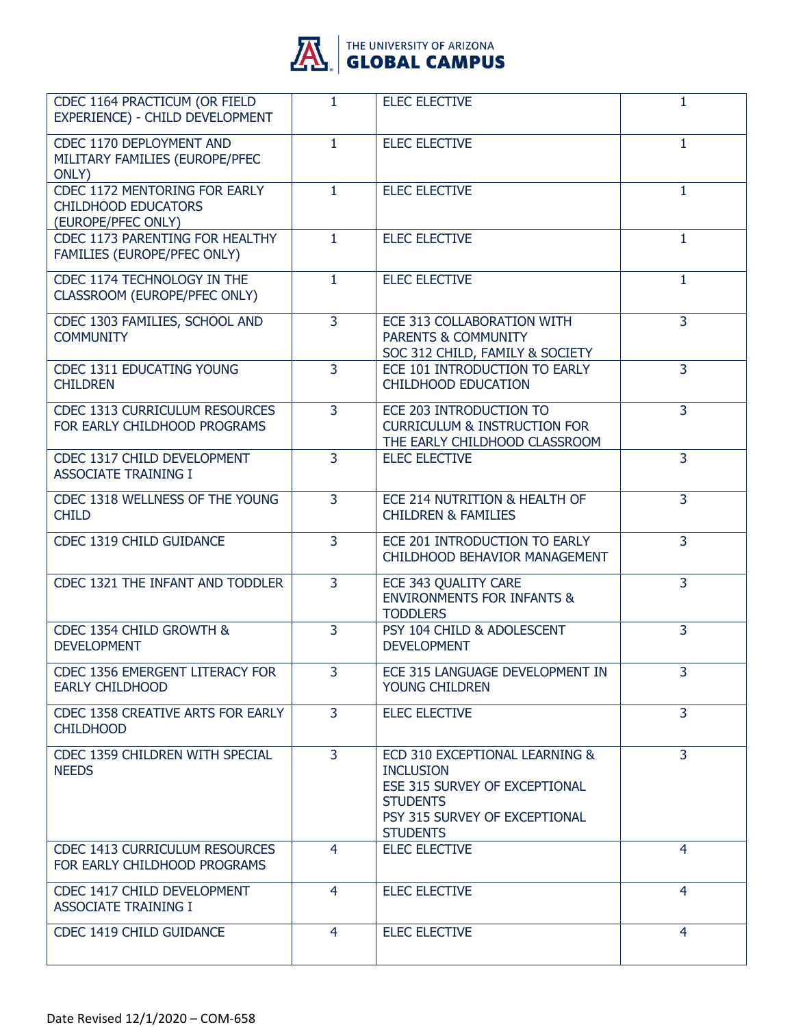

# **AL GLOBAL CAMPUS**

| CDEC 1164 PRACTICUM (OR FIELD                                                            | $\mathbf{1}$   | <b>ELEC ELECTIVE</b>                                                                                                                                       | 1              |
|------------------------------------------------------------------------------------------|----------------|------------------------------------------------------------------------------------------------------------------------------------------------------------|----------------|
| EXPERIENCE) - CHILD DEVELOPMENT                                                          |                |                                                                                                                                                            |                |
| CDEC 1170 DEPLOYMENT AND<br>MILITARY FAMILIES (EUROPE/PFEC<br>ONLY)                      | $\mathbf{1}$   | <b>ELEC ELECTIVE</b>                                                                                                                                       | 1              |
| <b>CDEC 1172 MENTORING FOR EARLY</b><br><b>CHILDHOOD EDUCATORS</b><br>(EUROPE/PFEC ONLY) | $\mathbf{1}$   | <b>ELEC ELECTIVE</b>                                                                                                                                       | $\mathbf{1}$   |
| CDEC 1173 PARENTING FOR HEALTHY<br>FAMILIES (EUROPE/PFEC ONLY)                           | $\mathbf{1}$   | <b>ELEC ELECTIVE</b>                                                                                                                                       | $\mathbf{1}$   |
| CDEC 1174 TECHNOLOGY IN THE<br>CLASSROOM (EUROPE/PFEC ONLY)                              | $\mathbf{1}$   | <b>ELEC ELECTIVE</b>                                                                                                                                       | $\mathbf{1}$   |
| CDEC 1303 FAMILIES, SCHOOL AND<br><b>COMMUNITY</b>                                       | $\overline{3}$ | ECE 313 COLLABORATION WITH<br>PARENTS & COMMUNITY<br>SOC 312 CHILD, FAMILY & SOCIETY                                                                       | $\overline{3}$ |
| <b>CDEC 1311 EDUCATING YOUNG</b><br><b>CHILDREN</b>                                      | $\overline{3}$ | ECE 101 INTRODUCTION TO EARLY<br><b>CHILDHOOD EDUCATION</b>                                                                                                | $\overline{3}$ |
| CDEC 1313 CURRICULUM RESOURCES<br>FOR EARLY CHILDHOOD PROGRAMS                           | 3              | ECE 203 INTRODUCTION TO<br><b>CURRICULUM &amp; INSTRUCTION FOR</b><br>THE EARLY CHILDHOOD CLASSROOM                                                        | 3              |
| CDEC 1317 CHILD DEVELOPMENT<br><b>ASSOCIATE TRAINING I</b>                               | $\overline{3}$ | <b>ELEC ELECTIVE</b>                                                                                                                                       | 3              |
| CDEC 1318 WELLNESS OF THE YOUNG<br><b>CHILD</b>                                          | $\overline{3}$ | ECE 214 NUTRITION & HEALTH OF<br><b>CHILDREN &amp; FAMILIES</b>                                                                                            | $\overline{3}$ |
| CDEC 1319 CHILD GUIDANCE                                                                 | 3              | ECE 201 INTRODUCTION TO EARLY<br>CHILDHOOD BEHAVIOR MANAGEMENT                                                                                             | 3              |
| CDEC 1321 THE INFANT AND TODDLER                                                         | 3              | ECE 343 QUALITY CARE<br><b>ENVIRONMENTS FOR INFANTS &amp;</b><br><b>TODDLERS</b>                                                                           | 3              |
| CDEC 1354 CHILD GROWTH &<br><b>DEVELOPMENT</b>                                           | $\overline{3}$ | PSY 104 CHILD & ADOLESCENT<br><b>DEVELOPMENT</b>                                                                                                           | 3              |
| CDEC 1356 EMERGENT LITERACY FOR<br><b>EARLY CHILDHOOD</b>                                | 3              | ECE 315 LANGUAGE DEVELOPMENT IN<br><b>YOUNG CHILDREN</b>                                                                                                   | $\overline{3}$ |
| CDEC 1358 CREATIVE ARTS FOR EARLY<br><b>CHILDHOOD</b>                                    | 3              | <b>ELEC ELECTIVE</b>                                                                                                                                       | 3              |
| CDEC 1359 CHILDREN WITH SPECIAL<br><b>NEEDS</b>                                          | $\overline{3}$ | ECD 310 EXCEPTIONAL LEARNING &<br><b>INCLUSION</b><br>ESE 315 SURVEY OF EXCEPTIONAL<br><b>STUDENTS</b><br>PSY 315 SURVEY OF EXCEPTIONAL<br><b>STUDENTS</b> | $\overline{3}$ |
| CDEC 1413 CURRICULUM RESOURCES<br>FOR EARLY CHILDHOOD PROGRAMS                           | 4              | <b>ELEC ELECTIVE</b>                                                                                                                                       | 4              |
| CDEC 1417 CHILD DEVELOPMENT<br><b>ASSOCIATE TRAINING I</b>                               | 4              | <b>ELEC ELECTIVE</b>                                                                                                                                       | 4              |
| CDEC 1419 CHILD GUIDANCE                                                                 | 4              | <b>ELEC ELECTIVE</b>                                                                                                                                       | $\overline{4}$ |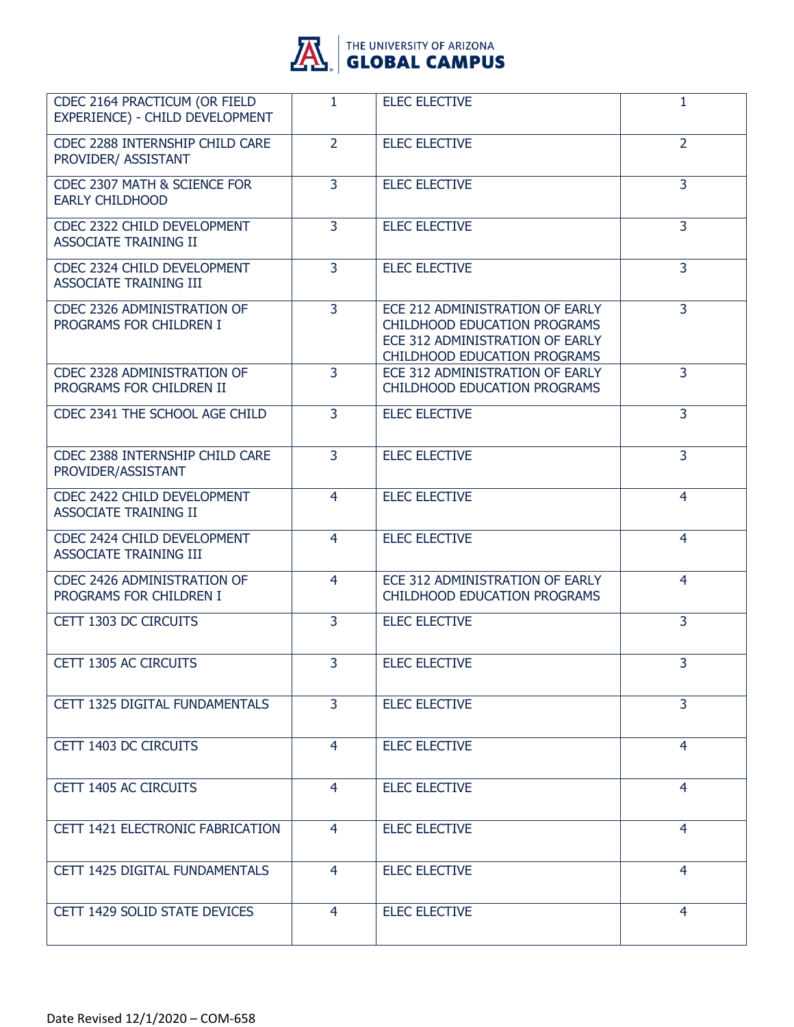

| CDEC 2164 PRACTICUM (OR FIELD<br>EXPERIENCE) - CHILD DEVELOPMENT | $\mathbf{1}$   | <b>ELEC ELECTIVE</b>                                                                                                                             | 1              |
|------------------------------------------------------------------|----------------|--------------------------------------------------------------------------------------------------------------------------------------------------|----------------|
| CDEC 2288 INTERNSHIP CHILD CARE<br>PROVIDER/ ASSISTANT           | $\overline{2}$ | <b>ELEC ELECTIVE</b>                                                                                                                             | $\overline{2}$ |
| CDEC 2307 MATH & SCIENCE FOR<br><b>EARLY CHILDHOOD</b>           | 3              | <b>ELEC ELECTIVE</b>                                                                                                                             | 3              |
| CDEC 2322 CHILD DEVELOPMENT<br><b>ASSOCIATE TRAINING II</b>      | 3              | <b>ELEC ELECTIVE</b>                                                                                                                             | 3              |
| CDEC 2324 CHILD DEVELOPMENT<br>ASSOCIATE TRAINING III            | $\overline{3}$ | <b>ELEC ELECTIVE</b>                                                                                                                             | $\overline{3}$ |
| CDEC 2326 ADMINISTRATION OF<br>PROGRAMS FOR CHILDREN I           | 3              | ECE 212 ADMINISTRATION OF EARLY<br><b>CHILDHOOD EDUCATION PROGRAMS</b><br>ECE 312 ADMINISTRATION OF EARLY<br><b>CHILDHOOD EDUCATION PROGRAMS</b> | $\overline{3}$ |
| <b>CDEC 2328 ADMINISTRATION OF</b><br>PROGRAMS FOR CHILDREN II   | 3              | ECE 312 ADMINISTRATION OF EARLY<br>CHILDHOOD EDUCATION PROGRAMS                                                                                  | 3              |
| CDEC 2341 THE SCHOOL AGE CHILD                                   | $\overline{3}$ | <b>ELEC ELECTIVE</b>                                                                                                                             | 3              |
| CDEC 2388 INTERNSHIP CHILD CARE<br>PROVIDER/ASSISTANT            | $\overline{3}$ | <b>ELEC ELECTIVE</b>                                                                                                                             | $\overline{3}$ |
| CDEC 2422 CHILD DEVELOPMENT<br><b>ASSOCIATE TRAINING II</b>      | 4              | <b>ELEC ELECTIVE</b>                                                                                                                             | $\overline{4}$ |
| CDEC 2424 CHILD DEVELOPMENT<br>ASSOCIATE TRAINING III            | 4              | <b>ELEC ELECTIVE</b>                                                                                                                             | $\overline{4}$ |
| CDEC 2426 ADMINISTRATION OF<br>PROGRAMS FOR CHILDREN I           | $\overline{4}$ | ECE 312 ADMINISTRATION OF EARLY<br><b>CHILDHOOD EDUCATION PROGRAMS</b>                                                                           | $\overline{4}$ |
| CETT 1303 DC CIRCUITS                                            | 3              | <b>ELEC ELECTIVE</b>                                                                                                                             | 3              |
| CETT 1305 AC CIRCUITS                                            | 3              | <b>ELEC ELECTIVE</b>                                                                                                                             | 3              |
| CETT 1325 DIGITAL FUNDAMENTALS                                   | 3              | <b>ELEC ELECTIVE</b>                                                                                                                             | 3              |
| CETT 1403 DC CIRCUITS                                            | 4              | <b>ELEC ELECTIVE</b>                                                                                                                             | 4              |
| CETT 1405 AC CIRCUITS                                            | 4              | <b>ELEC ELECTIVE</b>                                                                                                                             | 4              |
| CETT 1421 ELECTRONIC FABRICATION                                 | 4              | <b>ELEC ELECTIVE</b>                                                                                                                             | 4              |
| CETT 1425 DIGITAL FUNDAMENTALS                                   | 4              | <b>ELEC ELECTIVE</b>                                                                                                                             | 4              |
| CETT 1429 SOLID STATE DEVICES                                    | 4              | <b>ELEC ELECTIVE</b>                                                                                                                             | 4              |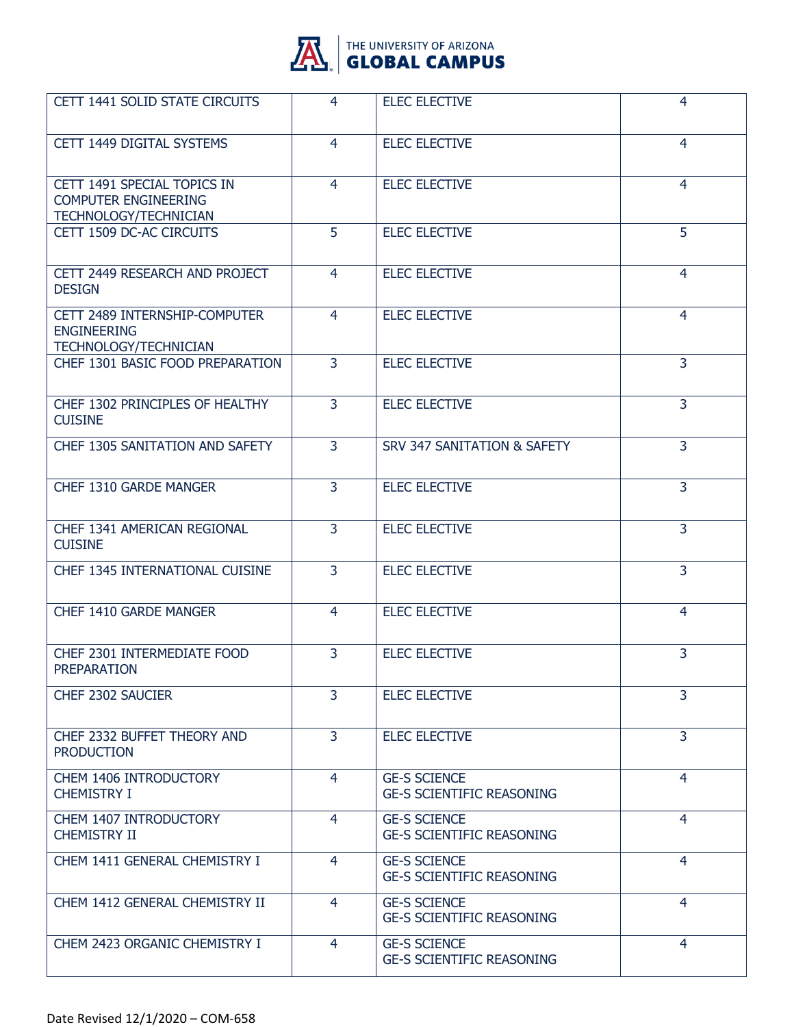

| CETT 1441 SOLID STATE CIRCUITS                                                      | 4              | <b>ELEC ELECTIVE</b>                                    | 4              |
|-------------------------------------------------------------------------------------|----------------|---------------------------------------------------------|----------------|
| CETT 1449 DIGITAL SYSTEMS                                                           | 4              | <b>ELEC ELECTIVE</b>                                    | 4              |
| CETT 1491 SPECIAL TOPICS IN<br><b>COMPUTER ENGINEERING</b><br>TECHNOLOGY/TECHNICIAN | $\overline{4}$ | <b>ELEC ELECTIVE</b>                                    | $\overline{4}$ |
| CETT 1509 DC-AC CIRCUITS                                                            | 5              | <b>ELEC ELECTIVE</b>                                    | 5              |
| CETT 2449 RESEARCH AND PROJECT<br><b>DESIGN</b>                                     | 4              | <b>ELEC ELECTIVE</b>                                    | $\overline{4}$ |
| CETT 2489 INTERNSHIP-COMPUTER<br><b>ENGINEERING</b><br>TECHNOLOGY/TECHNICIAN        | 4              | <b>ELEC ELECTIVE</b>                                    | 4              |
| CHEF 1301 BASIC FOOD PREPARATION                                                    | 3              | <b>ELEC ELECTIVE</b>                                    | 3              |
| CHEF 1302 PRINCIPLES OF HEALTHY<br><b>CUISINE</b>                                   | 3              | <b>ELEC ELECTIVE</b>                                    | $\overline{3}$ |
| CHEF 1305 SANITATION AND SAFETY                                                     | $\overline{3}$ | SRV 347 SANITATION & SAFETY                             | $\overline{3}$ |
| CHEF 1310 GARDE MANGER                                                              | 3              | <b>ELEC ELECTIVE</b>                                    | 3              |
| CHEF 1341 AMERICAN REGIONAL<br><b>CUISINE</b>                                       | 3              | <b>ELEC ELECTIVE</b>                                    | $\overline{3}$ |
| CHEF 1345 INTERNATIONAL CUISINE                                                     | $\overline{3}$ | <b>ELEC ELECTIVE</b>                                    | $\overline{3}$ |
| CHEF 1410 GARDE MANGER                                                              | 4              | <b>ELEC ELECTIVE</b>                                    | 4              |
| CHEF 2301 INTERMEDIATE FOOD<br>PREPARATION                                          | 3              | <b>ELEC ELECTIVE</b>                                    | 3              |
| CHEF 2302 SAUCIER                                                                   | $\overline{3}$ | <b>ELEC ELECTIVE</b>                                    | 3              |
| CHEF 2332 BUFFET THEORY AND<br><b>PRODUCTION</b>                                    | 3              | <b>ELEC ELECTIVE</b>                                    | 3              |
| CHEM 1406 INTRODUCTORY<br><b>CHEMISTRY I</b>                                        | $\overline{4}$ | <b>GE-S SCIENCE</b><br><b>GE-S SCIENTIFIC REASONING</b> | 4              |
| CHEM 1407 INTRODUCTORY<br><b>CHEMISTRY II</b>                                       | $\overline{4}$ | <b>GE-S SCIENCE</b><br><b>GE-S SCIENTIFIC REASONING</b> | $\overline{4}$ |
| CHEM 1411 GENERAL CHEMISTRY I                                                       | 4              | <b>GE-S SCIENCE</b><br><b>GE-S SCIENTIFIC REASONING</b> | 4              |
| CHEM 1412 GENERAL CHEMISTRY II                                                      | $\overline{4}$ | <b>GE-S SCIENCE</b><br><b>GE-S SCIENTIFIC REASONING</b> | 4              |
| CHEM 2423 ORGANIC CHEMISTRY I                                                       | $\overline{4}$ | <b>GE-S SCIENCE</b><br><b>GE-S SCIENTIFIC REASONING</b> | $\overline{4}$ |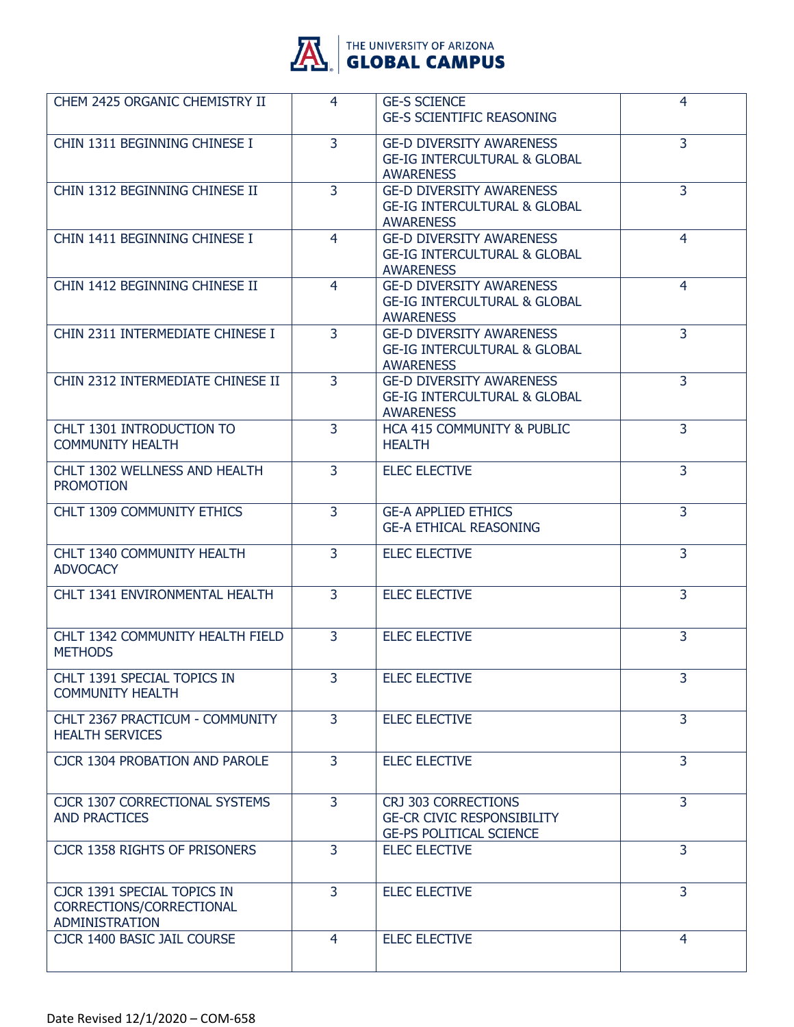

**AL GLOBAL CAMPUS** 

| CHEM 2425 ORGANIC CHEMISTRY II                                                   | 4              | <b>GE-S SCIENCE</b><br><b>GE-S SCIENTIFIC REASONING</b>                                        | 4              |
|----------------------------------------------------------------------------------|----------------|------------------------------------------------------------------------------------------------|----------------|
| CHIN 1311 BEGINNING CHINESE I                                                    | $\overline{3}$ | <b>GE-D DIVERSITY AWARENESS</b><br><b>GE-IG INTERCULTURAL &amp; GLOBAL</b><br><b>AWARENESS</b> | 3              |
| CHIN 1312 BEGINNING CHINESE II                                                   | $\overline{3}$ | <b>GE-D DIVERSITY AWARENESS</b><br><b>GE-IG INTERCULTURAL &amp; GLOBAL</b><br><b>AWARENESS</b> | $\overline{3}$ |
| CHIN 1411 BEGINNING CHINESE I                                                    | $\overline{4}$ | <b>GE-D DIVERSITY AWARENESS</b><br><b>GE-IG INTERCULTURAL &amp; GLOBAL</b><br><b>AWARENESS</b> | 4              |
| CHIN 1412 BEGINNING CHINESE II                                                   | 4              | <b>GE-D DIVERSITY AWARENESS</b><br><b>GE-IG INTERCULTURAL &amp; GLOBAL</b><br><b>AWARENESS</b> | 4              |
| CHIN 2311 INTERMEDIATE CHINESE I                                                 | $\overline{3}$ | <b>GE-D DIVERSITY AWARENESS</b><br><b>GE-IG INTERCULTURAL &amp; GLOBAL</b><br><b>AWARENESS</b> | 3              |
| CHIN 2312 INTERMEDIATE CHINESE II                                                | 3              | <b>GE-D DIVERSITY AWARENESS</b><br><b>GE-IG INTERCULTURAL &amp; GLOBAL</b><br><b>AWARENESS</b> | $\overline{3}$ |
| CHLT 1301 INTRODUCTION TO<br><b>COMMUNITY HEALTH</b>                             | 3              | HCA 415 COMMUNITY & PUBLIC<br><b>HEALTH</b>                                                    | 3              |
| CHLT 1302 WELLNESS AND HEALTH<br><b>PROMOTION</b>                                | $\overline{3}$ | <b>ELEC ELECTIVE</b>                                                                           | 3              |
| CHLT 1309 COMMUNITY ETHICS                                                       | $\overline{3}$ | <b>GE-A APPLIED ETHICS</b><br><b>GE-A ETHICAL REASONING</b>                                    | $\overline{3}$ |
| CHLT 1340 COMMUNITY HEALTH<br><b>ADVOCACY</b>                                    | 3              | <b>ELEC ELECTIVE</b>                                                                           | 3              |
| CHLT 1341 ENVIRONMENTAL HEALTH                                                   | $\overline{3}$ | <b>ELEC ELECTIVE</b>                                                                           | 3              |
| CHLT 1342 COMMUNITY HEALTH FIELD<br><b>METHODS</b>                               | $\overline{3}$ | <b>ELEC ELECTIVE</b>                                                                           | $\overline{3}$ |
| CHLT 1391 SPECIAL TOPICS IN<br><b>COMMUNITY HEALTH</b>                           | 3              | <b>ELEC ELECTIVE</b>                                                                           | 3              |
| CHLT 2367 PRACTICUM - COMMUNITY<br><b>HEALTH SERVICES</b>                        | $\overline{3}$ | <b>ELEC ELECTIVE</b>                                                                           | 3              |
| <b>CJCR 1304 PROBATION AND PAROLE</b>                                            | $\overline{3}$ | <b>ELEC ELECTIVE</b>                                                                           | $\overline{3}$ |
| <b>CJCR 1307 CORRECTIONAL SYSTEMS</b><br><b>AND PRACTICES</b>                    | 3              | CRJ 303 CORRECTIONS<br><b>GE-CR CIVIC RESPONSIBILITY</b><br><b>GE-PS POLITICAL SCIENCE</b>     | 3              |
| CJCR 1358 RIGHTS OF PRISONERS                                                    | $\overline{3}$ | <b>ELEC ELECTIVE</b>                                                                           | 3              |
| CJCR 1391 SPECIAL TOPICS IN<br>CORRECTIONS/CORRECTIONAL<br><b>ADMINISTRATION</b> | 3              | <b>ELEC ELECTIVE</b>                                                                           | 3              |
| CJCR 1400 BASIC JAIL COURSE                                                      | 4              | <b>ELEC ELECTIVE</b>                                                                           | 4              |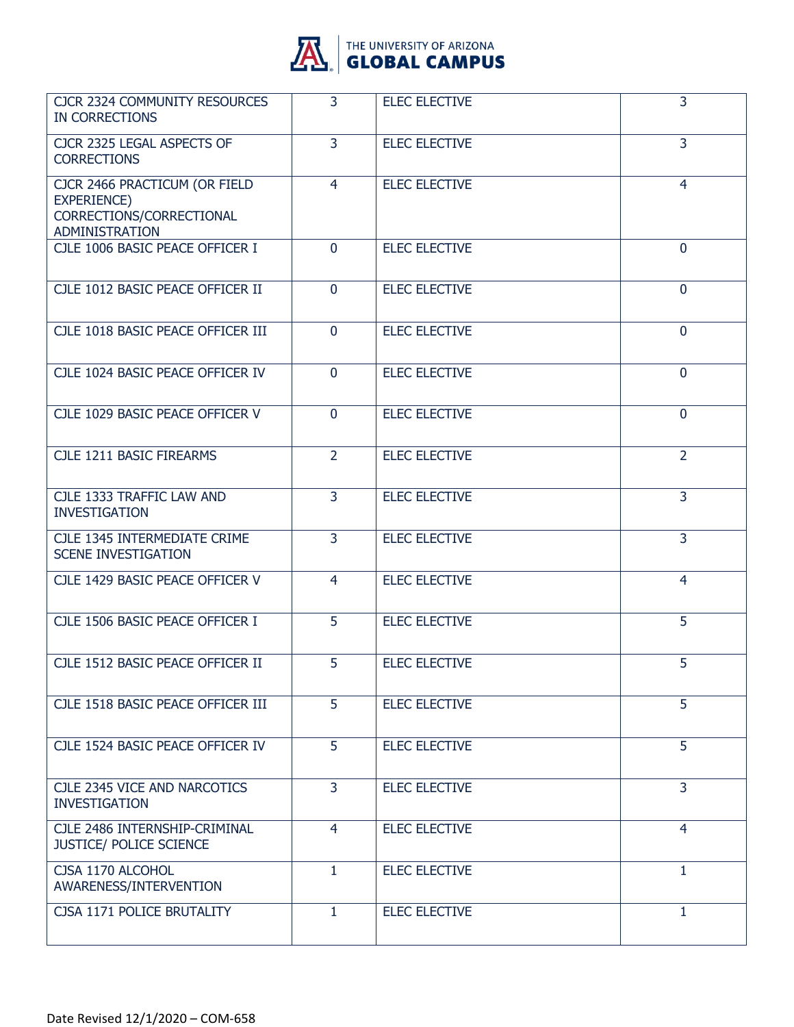

| <b>CJCR 2324 COMMUNITY RESOURCES</b><br><b>IN CORRECTIONS</b>                                     | 3              | <b>ELEC ELECTIVE</b> | 3              |
|---------------------------------------------------------------------------------------------------|----------------|----------------------|----------------|
| CJCR 2325 LEGAL ASPECTS OF<br><b>CORRECTIONS</b>                                                  | $\overline{3}$ | <b>ELEC ELECTIVE</b> | 3              |
| CJCR 2466 PRACTICUM (OR FIELD<br>EXPERIENCE)<br>CORRECTIONS/CORRECTIONAL<br><b>ADMINISTRATION</b> | 4              | <b>ELEC ELECTIVE</b> | 4              |
| CJLE 1006 BASIC PEACE OFFICER I                                                                   | $\mathbf{0}$   | <b>ELEC ELECTIVE</b> | $\mathbf 0$    |
| CJLE 1012 BASIC PEACE OFFICER II                                                                  | $\mathbf 0$    | <b>ELEC ELECTIVE</b> | $\mathbf{0}$   |
| CJLE 1018 BASIC PEACE OFFICER III                                                                 | $\overline{0}$ | <b>ELEC ELECTIVE</b> | $\mathbf{0}$   |
| CJLE 1024 BASIC PEACE OFFICER IV                                                                  | $\overline{0}$ | <b>ELEC ELECTIVE</b> | $\mathbf{0}$   |
| CJLE 1029 BASIC PEACE OFFICER V                                                                   | $\overline{0}$ | <b>ELEC ELECTIVE</b> | $\mathbf{0}$   |
| CJLE 1211 BASIC FIREARMS                                                                          | $\overline{2}$ | <b>ELEC ELECTIVE</b> | $\overline{2}$ |
| CJLE 1333 TRAFFIC LAW AND<br><b>INVESTIGATION</b>                                                 | $\overline{3}$ | <b>ELEC ELECTIVE</b> | 3              |
| CJLE 1345 INTERMEDIATE CRIME<br><b>SCENE INVESTIGATION</b>                                        | $\overline{3}$ | <b>ELEC ELECTIVE</b> | 3              |
| CJLE 1429 BASIC PEACE OFFICER V                                                                   | 4              | <b>ELEC ELECTIVE</b> | $\overline{4}$ |
| CJLE 1506 BASIC PEACE OFFICER I                                                                   | 5              | <b>ELEC ELECTIVE</b> | 5              |
| CJLE 1512 BASIC PEACE OFFICER II                                                                  | 5              | <b>ELEC ELECTIVE</b> | 5              |
| CJLE 1518 BASIC PEACE OFFICER III                                                                 | 5              | <b>ELEC ELECTIVE</b> | 5              |
| CJLE 1524 BASIC PEACE OFFICER IV                                                                  | 5              | <b>ELEC ELECTIVE</b> | 5              |
| CJLE 2345 VICE AND NARCOTICS<br><b>INVESTIGATION</b>                                              | 3              | <b>ELEC ELECTIVE</b> | 3              |
| CJLE 2486 INTERNSHIP-CRIMINAL<br><b>JUSTICE/ POLICE SCIENCE</b>                                   | 4              | <b>ELEC ELECTIVE</b> | $\overline{4}$ |
| CJSA 1170 ALCOHOL<br>AWARENESS/INTERVENTION                                                       | $\mathbf{1}$   | <b>ELEC ELECTIVE</b> | 1              |
| CJSA 1171 POLICE BRUTALITY                                                                        | 1              | <b>ELEC ELECTIVE</b> | 1              |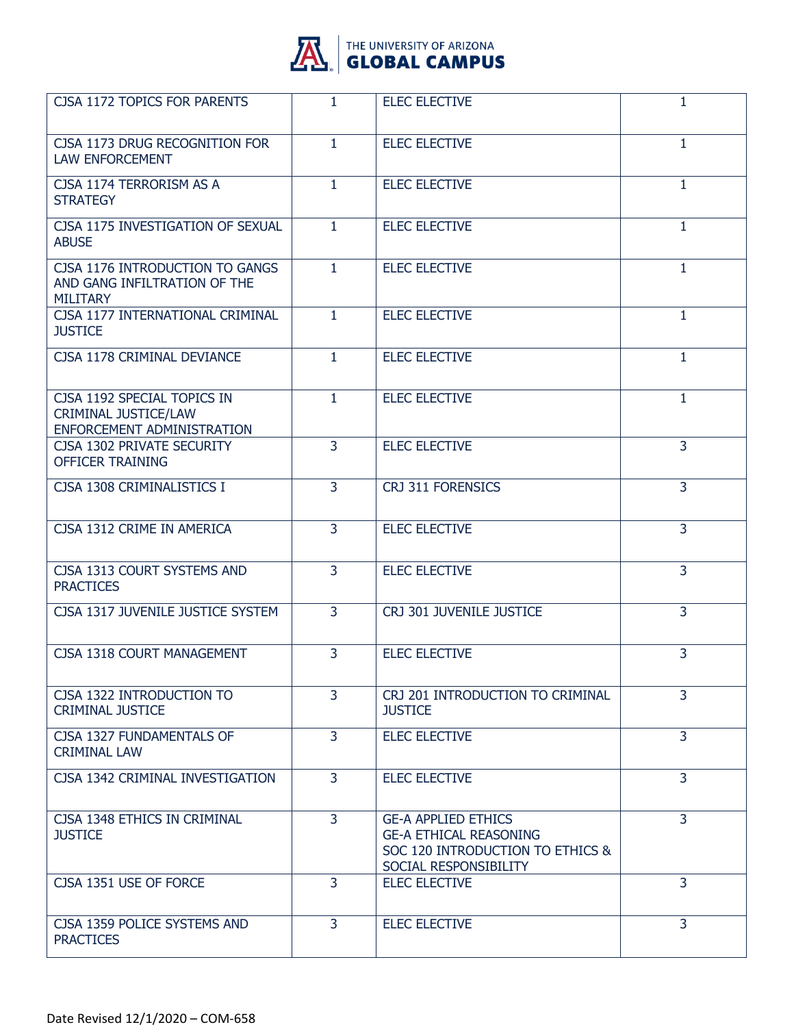

| <b>CJSA 1172 TOPICS FOR PARENTS</b>                                                      | $\mathbf{1}$   | <b>ELEC ELECTIVE</b>                                                                                                     | $\mathbf{1}$   |
|------------------------------------------------------------------------------------------|----------------|--------------------------------------------------------------------------------------------------------------------------|----------------|
| CJSA 1173 DRUG RECOGNITION FOR<br><b>LAW ENFORCEMENT</b>                                 | $\mathbf{1}$   | <b>ELEC ELECTIVE</b>                                                                                                     | $\mathbf{1}$   |
| CJSA 1174 TERRORISM AS A<br><b>STRATEGY</b>                                              | $\mathbf{1}$   | <b>ELEC ELECTIVE</b>                                                                                                     | $\mathbf{1}$   |
| CJSA 1175 INVESTIGATION OF SEXUAL<br><b>ABUSE</b>                                        | $\mathbf{1}$   | <b>ELEC ELECTIVE</b>                                                                                                     | $\mathbf{1}$   |
| CJSA 1176 INTRODUCTION TO GANGS<br>AND GANG INFILTRATION OF THE<br><b>MILITARY</b>       | $\mathbf{1}$   | <b>ELEC ELECTIVE</b>                                                                                                     | $\mathbf{1}$   |
| CJSA 1177 INTERNATIONAL CRIMINAL<br><b>JUSTICE</b>                                       | $\mathbf{1}$   | <b>ELEC ELECTIVE</b>                                                                                                     | $\mathbf{1}$   |
| CJSA 1178 CRIMINAL DEVIANCE                                                              | 1              | <b>ELEC ELECTIVE</b>                                                                                                     | 1              |
| CJSA 1192 SPECIAL TOPICS IN<br><b>CRIMINAL JUSTICE/LAW</b><br>ENFORCEMENT ADMINISTRATION | $\mathbf{1}$   | <b>ELEC ELECTIVE</b>                                                                                                     | $\mathbf{1}$   |
| CJSA 1302 PRIVATE SECURITY<br><b>OFFICER TRAINING</b>                                    | $\overline{3}$ | <b>ELEC ELECTIVE</b>                                                                                                     | 3              |
| CJSA 1308 CRIMINALISTICS I                                                               | $\overline{3}$ | CRJ 311 FORENSICS                                                                                                        | $\overline{3}$ |
| CJSA 1312 CRIME IN AMERICA                                                               | 3              | <b>ELEC ELECTIVE</b>                                                                                                     | 3              |
| CJSA 1313 COURT SYSTEMS AND<br><b>PRACTICES</b>                                          | 3              | <b>ELEC ELECTIVE</b>                                                                                                     | 3              |
| CJSA 1317 JUVENILE JUSTICE SYSTEM                                                        | $\overline{3}$ | CRJ 301 JUVENILE JUSTICE                                                                                                 | $\overline{3}$ |
| CJSA 1318 COURT MANAGEMENT                                                               | 3              | <b>ELEC ELECTIVE</b>                                                                                                     | 3              |
| CJSA 1322 INTRODUCTION TO<br><b>CRIMINAL JUSTICE</b>                                     | $\overline{3}$ | CRJ 201 INTRODUCTION TO CRIMINAL<br><b>JUSTICE</b>                                                                       | 3              |
| CJSA 1327 FUNDAMENTALS OF<br><b>CRIMINAL LAW</b>                                         | 3              | <b>ELEC ELECTIVE</b>                                                                                                     | $\overline{3}$ |
| CJSA 1342 CRIMINAL INVESTIGATION                                                         | 3              | <b>ELEC ELECTIVE</b>                                                                                                     | 3              |
| CJSA 1348 ETHICS IN CRIMINAL<br><b>JUSTICE</b>                                           | 3              | <b>GE-A APPLIED ETHICS</b><br><b>GE-A ETHICAL REASONING</b><br>SOC 120 INTRODUCTION TO ETHICS &<br>SOCIAL RESPONSIBILITY | 3              |
| CJSA 1351 USE OF FORCE                                                                   | $\overline{3}$ | <b>ELEC ELECTIVE</b>                                                                                                     | 3              |
| CJSA 1359 POLICE SYSTEMS AND<br><b>PRACTICES</b>                                         | 3              | <b>ELEC ELECTIVE</b>                                                                                                     | $\overline{3}$ |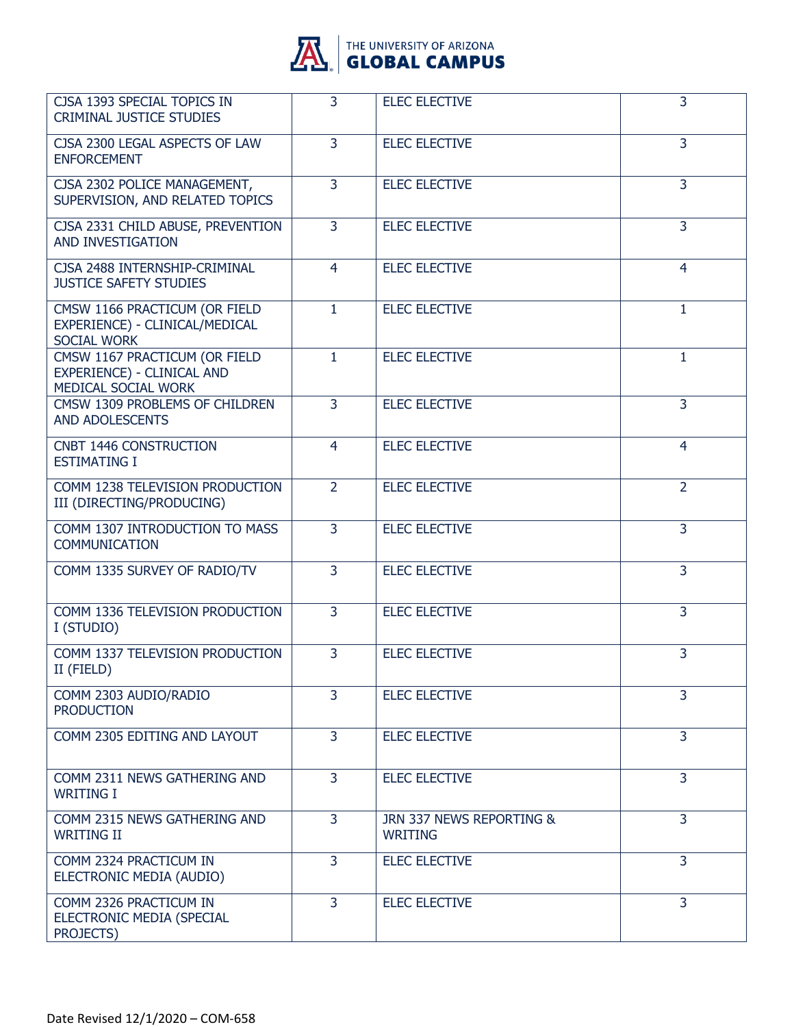

| CJSA 1393 SPECIAL TOPICS IN<br><b>CRIMINAL JUSTICE STUDIES</b>                        | $\overline{3}$ | <b>ELEC ELECTIVE</b>                       | 3              |
|---------------------------------------------------------------------------------------|----------------|--------------------------------------------|----------------|
| CJSA 2300 LEGAL ASPECTS OF LAW<br><b>ENFORCEMENT</b>                                  | 3              | <b>ELEC ELECTIVE</b>                       | 3              |
| CJSA 2302 POLICE MANAGEMENT,<br>SUPERVISION, AND RELATED TOPICS                       | 3              | <b>ELEC ELECTIVE</b>                       | 3              |
| CJSA 2331 CHILD ABUSE, PREVENTION<br>AND INVESTIGATION                                | 3              | <b>ELEC ELECTIVE</b>                       | $\overline{3}$ |
| CJSA 2488 INTERNSHIP-CRIMINAL<br><b>JUSTICE SAFETY STUDIES</b>                        | $\overline{4}$ | <b>ELEC ELECTIVE</b>                       | 4              |
| CMSW 1166 PRACTICUM (OR FIELD<br>EXPERIENCE) - CLINICAL/MEDICAL<br><b>SOCIAL WORK</b> | $\mathbf{1}$   | <b>ELEC ELECTIVE</b>                       | $\mathbf{1}$   |
| CMSW 1167 PRACTICUM (OR FIELD<br>EXPERIENCE) - CLINICAL AND<br>MEDICAL SOCIAL WORK    | $\mathbf{1}$   | <b>ELEC ELECTIVE</b>                       | 1              |
| CMSW 1309 PROBLEMS OF CHILDREN<br>AND ADOLESCENTS                                     | $\overline{3}$ | <b>ELEC ELECTIVE</b>                       | 3              |
| CNBT 1446 CONSTRUCTION<br><b>ESTIMATING I</b>                                         | 4              | <b>ELEC ELECTIVE</b>                       | $\overline{4}$ |
| COMM 1238 TELEVISION PRODUCTION<br>III (DIRECTING/PRODUCING)                          | $\overline{2}$ | <b>ELEC ELECTIVE</b>                       | $\overline{2}$ |
| COMM 1307 INTRODUCTION TO MASS<br><b>COMMUNICATION</b>                                | $\overline{3}$ | <b>ELEC ELECTIVE</b>                       | 3              |
| COMM 1335 SURVEY OF RADIO/TV                                                          | $\overline{3}$ | <b>ELEC ELECTIVE</b>                       | $\overline{3}$ |
| COMM 1336 TELEVISION PRODUCTION<br>I (STUDIO)                                         | 3              | <b>ELEC ELECTIVE</b>                       | $\overline{3}$ |
| COMM 1337 TELEVISION PRODUCTION<br>II (FIELD)                                         | 3              | <b>ELEC ELECTIVE</b>                       | 3              |
| COMM 2303 AUDIO/RADIO<br><b>PRODUCTION</b>                                            | $\overline{3}$ | <b>ELEC ELECTIVE</b>                       | 3              |
| COMM 2305 EDITING AND LAYOUT                                                          | $\overline{3}$ | <b>ELEC ELECTIVE</b>                       | 3              |
| COMM 2311 NEWS GATHERING AND<br><b>WRITING I</b>                                      | 3              | <b>ELEC ELECTIVE</b>                       | 3              |
| COMM 2315 NEWS GATHERING AND<br><b>WRITING II</b>                                     | $\overline{3}$ | JRN 337 NEWS REPORTING &<br><b>WRITING</b> | 3              |
| COMM 2324 PRACTICUM IN<br>ELECTRONIC MEDIA (AUDIO)                                    | $\overline{3}$ | <b>ELEC ELECTIVE</b>                       | 3              |
| COMM 2326 PRACTICUM IN<br>ELECTRONIC MEDIA (SPECIAL<br>PROJECTS)                      | 3              | <b>ELEC ELECTIVE</b>                       | 3              |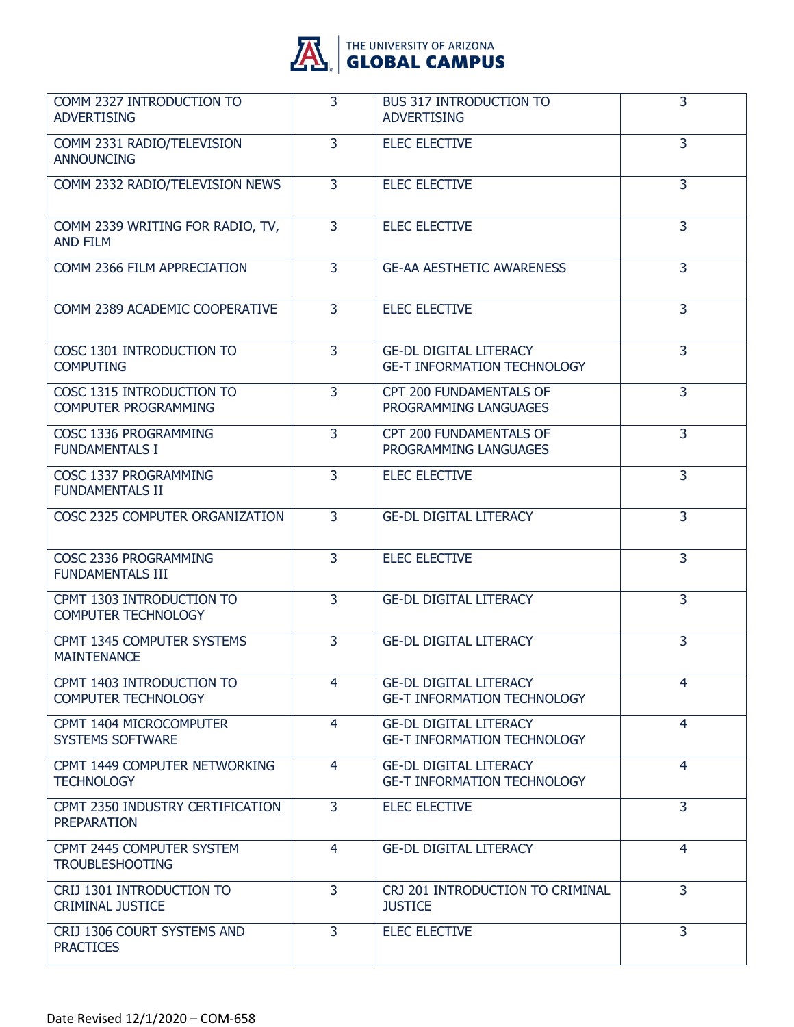

| COMM 2327 INTRODUCTION TO<br><b>ADVERTISING</b>          | 3              | <b>BUS 317 INTRODUCTION TO</b><br><b>ADVERTISING</b>                | 3              |
|----------------------------------------------------------|----------------|---------------------------------------------------------------------|----------------|
| COMM 2331 RADIO/TELEVISION<br><b>ANNOUNCING</b>          | 3              | <b>ELEC ELECTIVE</b>                                                | 3              |
| COMM 2332 RADIO/TELEVISION NEWS                          | $\overline{3}$ | <b>ELEC ELECTIVE</b>                                                | $\overline{3}$ |
| COMM 2339 WRITING FOR RADIO, TV,<br><b>AND FILM</b>      | $\overline{3}$ | <b>ELEC ELECTIVE</b>                                                | $\overline{3}$ |
| COMM 2366 FILM APPRECIATION                              | 3              | <b>GE-AA AESTHETIC AWARENESS</b>                                    | 3              |
| COMM 2389 ACADEMIC COOPERATIVE                           | $\overline{3}$ | <b>ELEC ELECTIVE</b>                                                | $\overline{3}$ |
| COSC 1301 INTRODUCTION TO<br><b>COMPUTING</b>            | $\overline{3}$ | <b>GE-DL DIGITAL LITERACY</b><br><b>GE-T INFORMATION TECHNOLOGY</b> | $\overline{3}$ |
| COSC 1315 INTRODUCTION TO<br><b>COMPUTER PROGRAMMING</b> | $\overline{3}$ | CPT 200 FUNDAMENTALS OF<br>PROGRAMMING LANGUAGES                    | 3              |
| COSC 1336 PROGRAMMING<br><b>FUNDAMENTALS I</b>           | $\overline{3}$ | CPT 200 FUNDAMENTALS OF<br>PROGRAMMING LANGUAGES                    | $\overline{3}$ |
| COSC 1337 PROGRAMMING<br><b>FUNDAMENTALS II</b>          | 3              | <b>ELEC ELECTIVE</b>                                                | $\overline{3}$ |
| COSC 2325 COMPUTER ORGANIZATION                          | 3              | <b>GE-DL DIGITAL LITERACY</b>                                       | 3              |
| COSC 2336 PROGRAMMING<br><b>FUNDAMENTALS III</b>         | $\overline{3}$ | <b>ELEC ELECTIVE</b>                                                | 3              |
| CPMT 1303 INTRODUCTION TO<br><b>COMPUTER TECHNOLOGY</b>  | 3              | <b>GE-DL DIGITAL LITERACY</b>                                       | $\overline{3}$ |
| CPMT 1345 COMPUTER SYSTEMS<br><b>MAINTENANCE</b>         | $\overline{3}$ | <b>GE-DL DIGITAL LITERACY</b>                                       | 3              |
| CPMT 1403 INTRODUCTION TO<br><b>COMPUTER TECHNOLOGY</b>  | 4              | <b>GE-DL DIGITAL LITERACY</b><br><b>GE-T INFORMATION TECHNOLOGY</b> | 4              |
| CPMT 1404 MICROCOMPUTER<br><b>SYSTEMS SOFTWARE</b>       | $\overline{4}$ | <b>GE-DL DIGITAL LITERACY</b><br><b>GE-T INFORMATION TECHNOLOGY</b> | $\overline{4}$ |
| CPMT 1449 COMPUTER NETWORKING<br><b>TECHNOLOGY</b>       | $\overline{4}$ | <b>GE-DL DIGITAL LITERACY</b><br><b>GE-T INFORMATION TECHNOLOGY</b> | $\overline{4}$ |
| CPMT 2350 INDUSTRY CERTIFICATION<br><b>PREPARATION</b>   | 3              | <b>ELEC ELECTIVE</b>                                                | $\overline{3}$ |
| CPMT 2445 COMPUTER SYSTEM<br><b>TROUBLESHOOTING</b>      | $\overline{4}$ | <b>GE-DL DIGITAL LITERACY</b>                                       | $\overline{4}$ |
| CRIJ 1301 INTRODUCTION TO<br><b>CRIMINAL JUSTICE</b>     | 3              | CRJ 201 INTRODUCTION TO CRIMINAL<br><b>JUSTICE</b>                  | $\overline{3}$ |
| CRIJ 1306 COURT SYSTEMS AND<br><b>PRACTICES</b>          | $\overline{3}$ | <b>ELEC ELECTIVE</b>                                                | $\overline{3}$ |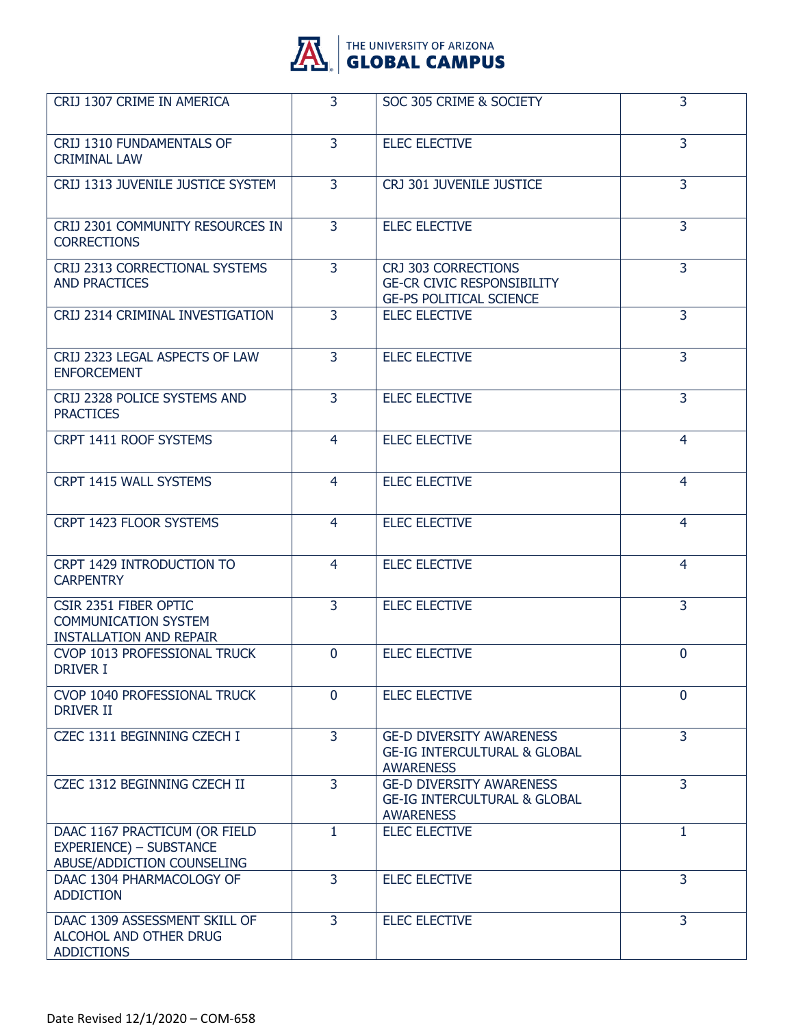

| CRIJ 1307 CRIME IN AMERICA                                                                    | 3              | SOC 305 CRIME & SOCIETY                                                                        | 3              |
|-----------------------------------------------------------------------------------------------|----------------|------------------------------------------------------------------------------------------------|----------------|
| CRIJ 1310 FUNDAMENTALS OF<br><b>CRIMINAL LAW</b>                                              | $\overline{3}$ | <b>ELEC ELECTIVE</b>                                                                           | 3              |
| CRIJ 1313 JUVENILE JUSTICE SYSTEM                                                             | $\overline{3}$ | CRJ 301 JUVENILE JUSTICE                                                                       | $\overline{3}$ |
| CRIJ 2301 COMMUNITY RESOURCES IN<br><b>CORRECTIONS</b>                                        | 3              | <b>ELEC ELECTIVE</b>                                                                           | 3              |
| CRIJ 2313 CORRECTIONAL SYSTEMS<br><b>AND PRACTICES</b>                                        | $\overline{3}$ | CRJ 303 CORRECTIONS<br><b>GE-CR CIVIC RESPONSIBILITY</b><br><b>GE-PS POLITICAL SCIENCE</b>     | $\overline{3}$ |
| CRIJ 2314 CRIMINAL INVESTIGATION                                                              | $\overline{3}$ | <b>ELEC ELECTIVE</b>                                                                           | 3              |
| CRIJ 2323 LEGAL ASPECTS OF LAW<br><b>ENFORCEMENT</b>                                          | 3              | <b>ELEC ELECTIVE</b>                                                                           | $\overline{3}$ |
| CRIJ 2328 POLICE SYSTEMS AND<br><b>PRACTICES</b>                                              | 3              | <b>ELEC ELECTIVE</b>                                                                           | $\overline{3}$ |
| CRPT 1411 ROOF SYSTEMS                                                                        | $\overline{4}$ | <b>ELEC ELECTIVE</b>                                                                           | 4              |
| CRPT 1415 WALL SYSTEMS                                                                        | 4              | <b>ELEC ELECTIVE</b>                                                                           | 4              |
| CRPT 1423 FLOOR SYSTEMS                                                                       | 4              | <b>ELEC ELECTIVE</b>                                                                           | $\overline{4}$ |
| CRPT 1429 INTRODUCTION TO<br><b>CARPENTRY</b>                                                 | 4              | <b>ELEC ELECTIVE</b>                                                                           | 4              |
| CSIR 2351 FIBER OPTIC<br><b>COMMUNICATION SYSTEM</b><br><b>INSTALLATION AND REPAIR</b>        | 3              | <b>ELEC ELECTIVE</b>                                                                           | 3              |
| CVOP 1013 PROFESSIONAL TRUCK<br>DRIVER I                                                      | $\Omega$       | <b>ELEC ELECTIVE</b>                                                                           | $\Omega$       |
| CVOP 1040 PROFESSIONAL TRUCK<br><b>DRIVER II</b>                                              | $\Omega$       | <b>ELEC ELECTIVE</b>                                                                           | $\Omega$       |
| CZEC 1311 BEGINNING CZECH I                                                                   | $\overline{3}$ | <b>GE-D DIVERSITY AWARENESS</b><br><b>GE-IG INTERCULTURAL &amp; GLOBAL</b><br><b>AWARENESS</b> | $\overline{3}$ |
| CZEC 1312 BEGINNING CZECH II                                                                  | $\overline{3}$ | <b>GE-D DIVERSITY AWARENESS</b><br><b>GE-IG INTERCULTURAL &amp; GLOBAL</b><br><b>AWARENESS</b> | $\overline{3}$ |
| DAAC 1167 PRACTICUM (OR FIELD<br><b>EXPERIENCE) - SUBSTANCE</b><br>ABUSE/ADDICTION COUNSELING | $\mathbf{1}$   | <b>ELEC ELECTIVE</b>                                                                           | $\mathbf{1}$   |
| DAAC 1304 PHARMACOLOGY OF<br><b>ADDICTION</b>                                                 | 3              | <b>ELEC ELECTIVE</b>                                                                           | 3              |
| DAAC 1309 ASSESSMENT SKILL OF<br>ALCOHOL AND OTHER DRUG<br><b>ADDICTIONS</b>                  | $\overline{3}$ | <b>ELEC ELECTIVE</b>                                                                           | 3              |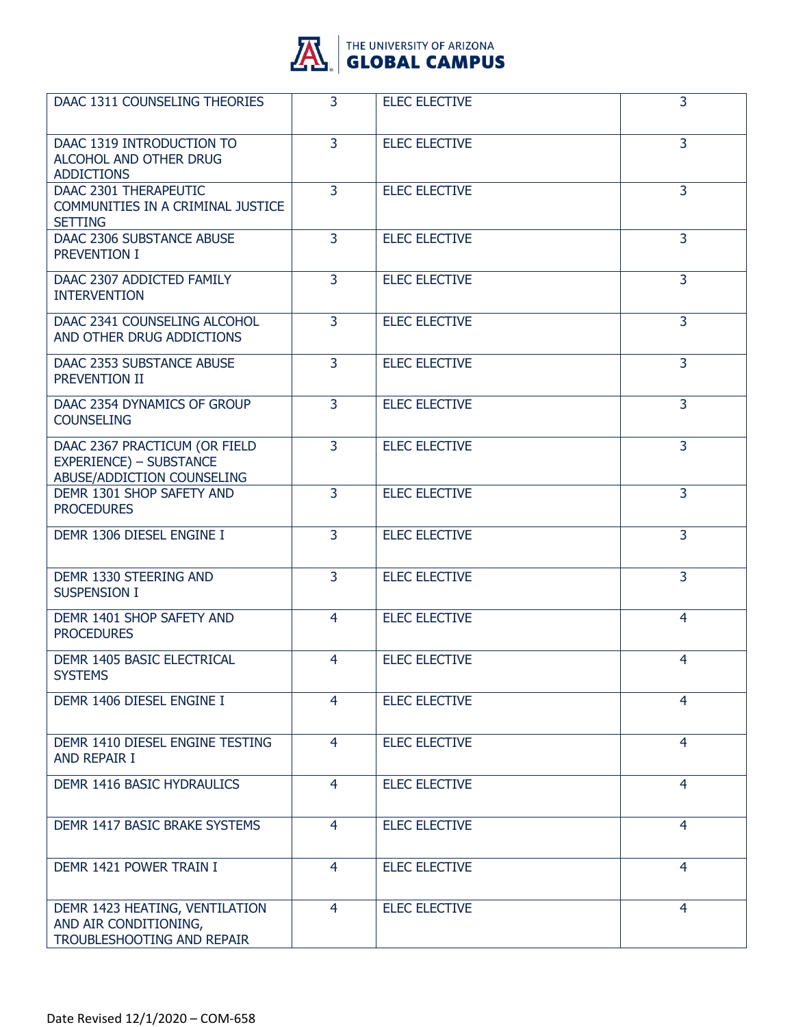

| DAAC 1311 COUNSELING THEORIES                                                                 | $\overline{3}$ | <b>ELEC ELECTIVE</b> | 3              |
|-----------------------------------------------------------------------------------------------|----------------|----------------------|----------------|
| DAAC 1319 INTRODUCTION TO<br>ALCOHOL AND OTHER DRUG<br><b>ADDICTIONS</b>                      | 3              | <b>ELEC ELECTIVE</b> | 3              |
| DAAC 2301 THERAPEUTIC<br>COMMUNITIES IN A CRIMINAL JUSTICE<br><b>SETTING</b>                  | 3              | <b>ELEC ELECTIVE</b> | 3              |
| DAAC 2306 SUBSTANCE ABUSE<br>PREVENTION I                                                     | 3              | <b>ELEC ELECTIVE</b> | 3              |
| DAAC 2307 ADDICTED FAMILY<br><b>INTERVENTION</b>                                              | $\overline{3}$ | <b>ELEC ELECTIVE</b> | $\overline{3}$ |
| DAAC 2341 COUNSELING ALCOHOL<br>AND OTHER DRUG ADDICTIONS                                     | $\overline{3}$ | <b>ELEC ELECTIVE</b> | $\overline{3}$ |
| DAAC 2353 SUBSTANCE ABUSE<br>PREVENTION II                                                    | 3              | <b>ELEC ELECTIVE</b> | $\overline{3}$ |
| DAAC 2354 DYNAMICS OF GROUP<br><b>COUNSELING</b>                                              | $\overline{3}$ | <b>ELEC ELECTIVE</b> | 3              |
| DAAC 2367 PRACTICUM (OR FIELD<br><b>EXPERIENCE) - SUBSTANCE</b><br>ABUSE/ADDICTION COUNSELING | $\overline{3}$ | <b>ELEC ELECTIVE</b> | 3              |
| DEMR 1301 SHOP SAFETY AND<br><b>PROCEDURES</b>                                                | $\overline{3}$ | <b>ELEC ELECTIVE</b> | 3              |
| DEMR 1306 DIESEL ENGINE I                                                                     | 3              | <b>ELEC ELECTIVE</b> | 3              |
| DEMR 1330 STEERING AND<br><b>SUSPENSION I</b>                                                 | $\overline{3}$ | <b>ELEC ELECTIVE</b> | 3              |
| DEMR 1401 SHOP SAFETY AND<br><b>PROCEDURES</b>                                                | $\overline{4}$ | <b>ELEC ELECTIVE</b> | $\overline{4}$ |
| DEMR 1405 BASIC ELECTRICAL<br><b>SYSTEMS</b>                                                  | 4              | <b>ELEC ELECTIVE</b> | 4              |
| DEMR 1406 DIESEL ENGINE I                                                                     | 4              | <b>ELEC ELECTIVE</b> | 4              |
| DEMR 1410 DIESEL ENGINE TESTING<br>AND REPAIR I                                               | $\overline{4}$ | <b>ELEC ELECTIVE</b> | 4              |
| DEMR 1416 BASIC HYDRAULICS                                                                    | 4              | <b>ELEC ELECTIVE</b> | 4              |
| DEMR 1417 BASIC BRAKE SYSTEMS                                                                 | 4              | <b>ELEC ELECTIVE</b> | 4              |
| DEMR 1421 POWER TRAIN I                                                                       | $\overline{4}$ | <b>ELEC ELECTIVE</b> | 4              |
| DEMR 1423 HEATING, VENTILATION<br>AND AIR CONDITIONING,<br>TROUBLESHOOTING AND REPAIR         | 4              | <b>ELEC ELECTIVE</b> | 4              |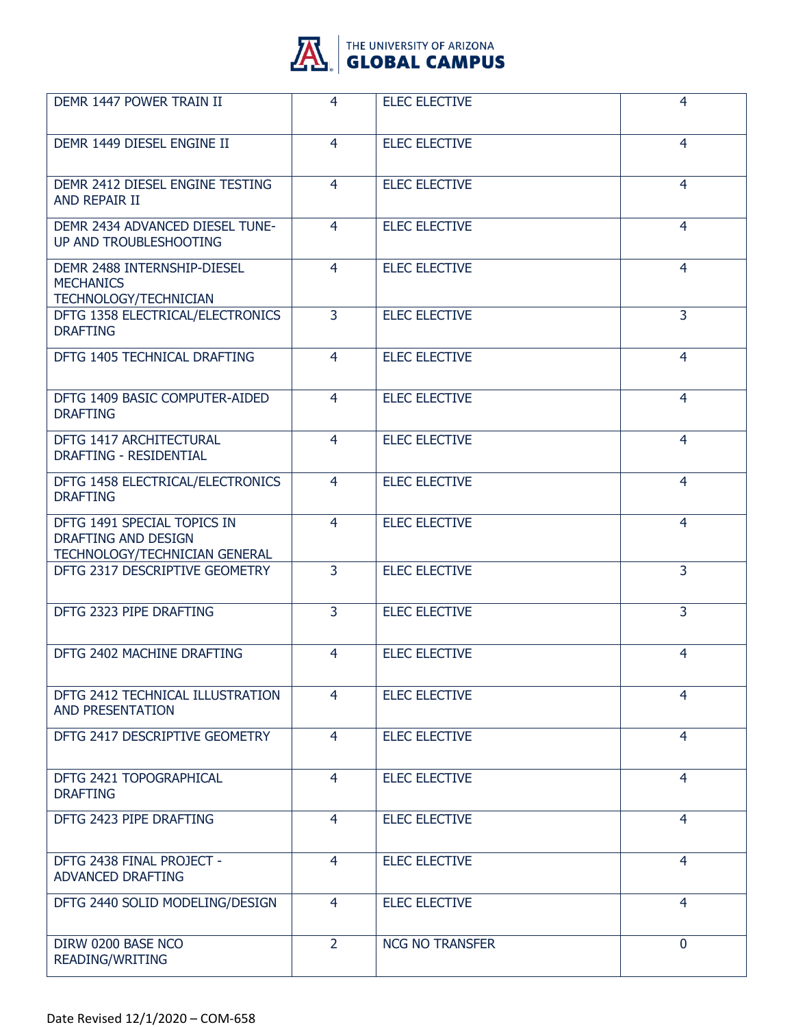

| DEMR 1447 POWER TRAIN II                                                            | 4              | <b>ELEC ELECTIVE</b>   | 4              |
|-------------------------------------------------------------------------------------|----------------|------------------------|----------------|
| DEMR 1449 DIESEL ENGINE II                                                          | 4              | <b>ELEC ELECTIVE</b>   | 4              |
| DEMR 2412 DIESEL ENGINE TESTING<br>AND REPAIR II                                    | $\overline{4}$ | <b>ELEC ELECTIVE</b>   | $\overline{4}$ |
| DEMR 2434 ADVANCED DIESEL TUNE-<br>UP AND TROUBLESHOOTING                           | $\overline{4}$ | <b>ELEC ELECTIVE</b>   | $\overline{4}$ |
| DEMR 2488 INTERNSHIP-DIESEL<br><b>MECHANICS</b><br>TECHNOLOGY/TECHNICIAN            | 4              | <b>ELEC ELECTIVE</b>   | 4              |
| DFTG 1358 ELECTRICAL/ELECTRONICS<br><b>DRAFTING</b>                                 | $\overline{3}$ | <b>ELEC ELECTIVE</b>   | 3              |
| DFTG 1405 TECHNICAL DRAFTING                                                        | 4              | <b>ELEC ELECTIVE</b>   | $\overline{4}$ |
| DFTG 1409 BASIC COMPUTER-AIDED<br><b>DRAFTING</b>                                   | $\overline{4}$ | <b>ELEC ELECTIVE</b>   | $\overline{4}$ |
| DFTG 1417 ARCHITECTURAL<br><b>DRAFTING - RESIDENTIAL</b>                            | 4              | <b>ELEC ELECTIVE</b>   | 4              |
| DFTG 1458 ELECTRICAL/ELECTRONICS<br><b>DRAFTING</b>                                 | 4              | <b>ELEC ELECTIVE</b>   | $\overline{4}$ |
| DFTG 1491 SPECIAL TOPICS IN<br>DRAFTING AND DESIGN<br>TECHNOLOGY/TECHNICIAN GENERAL | $\overline{4}$ | <b>ELEC ELECTIVE</b>   | $\overline{4}$ |
| DFTG 2317 DESCRIPTIVE GEOMETRY                                                      | $\overline{3}$ | <b>ELEC ELECTIVE</b>   | $\overline{3}$ |
| DFTG 2323 PIPE DRAFTING                                                             | 3              | <b>ELEC ELECTIVE</b>   | 3              |
| DFTG 2402 MACHINE DRAFTING                                                          | 4              | <b>ELEC ELECTIVE</b>   | 4              |
| DFTG 2412 TECHNICAL ILLUSTRATION<br><b>AND PRESENTATION</b>                         | 4              | <b>ELEC ELECTIVE</b>   | 4              |
| DFTG 2417 DESCRIPTIVE GEOMETRY                                                      | 4              | <b>ELEC ELECTIVE</b>   | $\overline{4}$ |
| DFTG 2421 TOPOGRAPHICAL<br><b>DRAFTING</b>                                          | $\overline{4}$ | <b>ELEC ELECTIVE</b>   | 4              |
| DFTG 2423 PIPE DRAFTING                                                             | $\overline{4}$ | <b>ELEC ELECTIVE</b>   | $\overline{4}$ |
| DFTG 2438 FINAL PROJECT -<br>ADVANCED DRAFTING                                      | $\overline{4}$ | <b>ELEC ELECTIVE</b>   | 4              |
| DFTG 2440 SOLID MODELING/DESIGN                                                     | $\overline{4}$ | <b>ELEC ELECTIVE</b>   | 4              |
| DIRW 0200 BASE NCO<br>READING/WRITING                                               | $\overline{2}$ | <b>NCG NO TRANSFER</b> | 0              |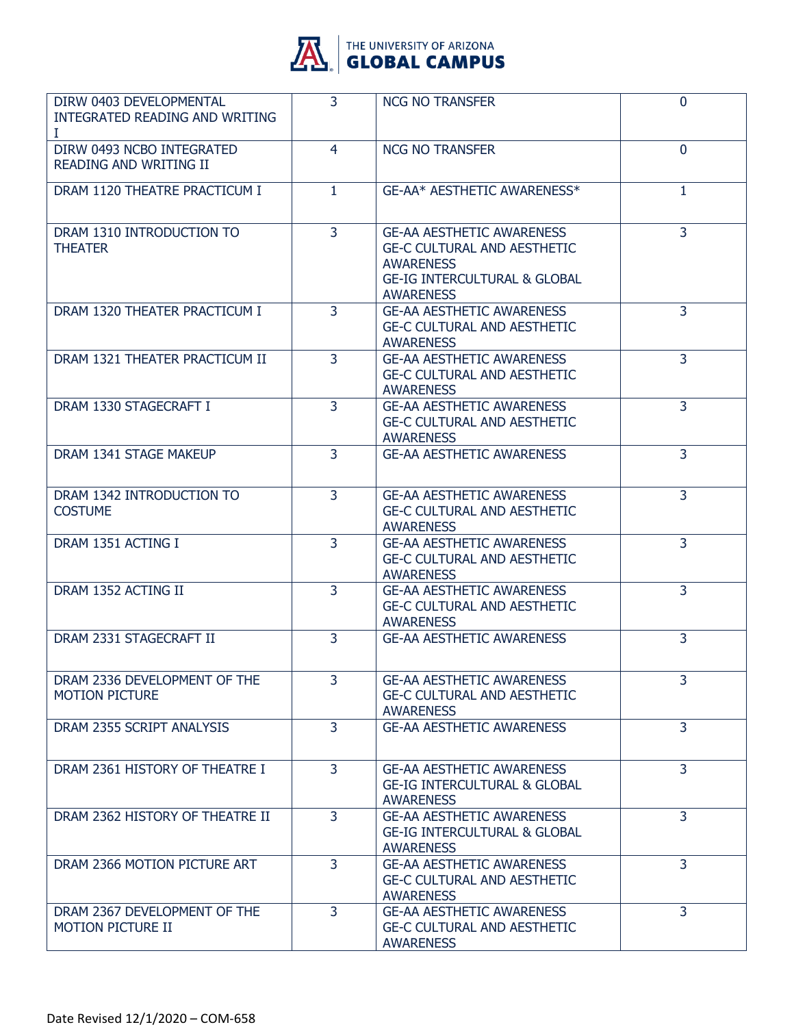

| DIRW 0403 DEVELOPMENTAL<br>INTEGRATED READING AND WRITING<br>Ι | $\overline{3}$ | <b>NCG NO TRANSFER</b>                                                                                                                                    | 0              |
|----------------------------------------------------------------|----------------|-----------------------------------------------------------------------------------------------------------------------------------------------------------|----------------|
| DIRW 0493 NCBO INTEGRATED<br><b>READING AND WRITING II</b>     | 4              | <b>NCG NO TRANSFER</b>                                                                                                                                    | $\mathbf{0}$   |
| DRAM 1120 THEATRE PRACTICUM I                                  | $\mathbf{1}$   | GE-AA* AESTHETIC AWARENESS*                                                                                                                               | $\mathbf{1}$   |
| DRAM 1310 INTRODUCTION TO<br><b>THEATER</b>                    | $\overline{3}$ | <b>GE-AA AESTHETIC AWARENESS</b><br><b>GE-C CULTURAL AND AESTHETIC</b><br><b>AWARENESS</b><br><b>GE-IG INTERCULTURAL &amp; GLOBAL</b><br><b>AWARENESS</b> | 3              |
| DRAM 1320 THEATER PRACTICUM I                                  | $\overline{3}$ | <b>GE-AA AESTHETIC AWARENESS</b><br><b>GE-C CULTURAL AND AESTHETIC</b><br><b>AWARENESS</b>                                                                | 3              |
| DRAM 1321 THEATER PRACTICUM II                                 | $\overline{3}$ | <b>GE-AA AESTHETIC AWARENESS</b><br><b>GE-C CULTURAL AND AESTHETIC</b><br><b>AWARENESS</b>                                                                | $\overline{3}$ |
| DRAM 1330 STAGECRAFT I                                         | 3              | <b>GE-AA AESTHETIC AWARENESS</b><br><b>GE-C CULTURAL AND AESTHETIC</b><br><b>AWARENESS</b>                                                                | 3              |
| DRAM 1341 STAGE MAKEUP                                         | $\overline{3}$ | <b>GE-AA AESTHETIC AWARENESS</b>                                                                                                                          | 3              |
| DRAM 1342 INTRODUCTION TO<br><b>COSTUME</b>                    | 3              | <b>GE-AA AESTHETIC AWARENESS</b><br><b>GE-C CULTURAL AND AESTHETIC</b><br><b>AWARENESS</b>                                                                | 3              |
| DRAM 1351 ACTING I                                             | $\overline{3}$ | <b>GE-AA AESTHETIC AWARENESS</b><br><b>GE-C CULTURAL AND AESTHETIC</b><br><b>AWARENESS</b>                                                                | 3              |
| DRAM 1352 ACTING II                                            | $\overline{3}$ | <b>GE-AA AESTHETIC AWARENESS</b><br><b>GE-C CULTURAL AND AESTHETIC</b><br><b>AWARENESS</b>                                                                | $\overline{3}$ |
| DRAM 2331 STAGECRAFT II                                        | 3              | <b>GE-AA AESTHETIC AWARENESS</b>                                                                                                                          | 3              |
| DRAM 2336 DEVELOPMENT OF THE<br><b>MOTION PICTURE</b>          | 3              | <b>GE-AA AESTHETIC AWARENESS</b><br><b>GE-C CULTURAL AND AESTHETIC</b><br><b>AWARENESS</b>                                                                | 3              |
| DRAM 2355 SCRIPT ANALYSIS                                      | $\overline{3}$ | <b>GE-AA AESTHETIC AWARENESS</b>                                                                                                                          | $\overline{3}$ |
| DRAM 2361 HISTORY OF THEATRE I                                 | 3              | <b>GE-AA AESTHETIC AWARENESS</b><br><b>GE-IG INTERCULTURAL &amp; GLOBAL</b><br><b>AWARENESS</b>                                                           | 3              |
| DRAM 2362 HISTORY OF THEATRE II                                | $\overline{3}$ | <b>GE-AA AESTHETIC AWARENESS</b><br><b>GE-IG INTERCULTURAL &amp; GLOBAL</b><br><b>AWARENESS</b>                                                           | 3              |
| DRAM 2366 MOTION PICTURE ART                                   | $\overline{3}$ | <b>GE-AA AESTHETIC AWARENESS</b><br><b>GE-C CULTURAL AND AESTHETIC</b><br><b>AWARENESS</b>                                                                | $\overline{3}$ |
| DRAM 2367 DEVELOPMENT OF THE<br><b>MOTION PICTURE II</b>       | $\overline{3}$ | <b>GE-AA AESTHETIC AWARENESS</b><br><b>GE-C CULTURAL AND AESTHETIC</b><br><b>AWARENESS</b>                                                                | $\overline{3}$ |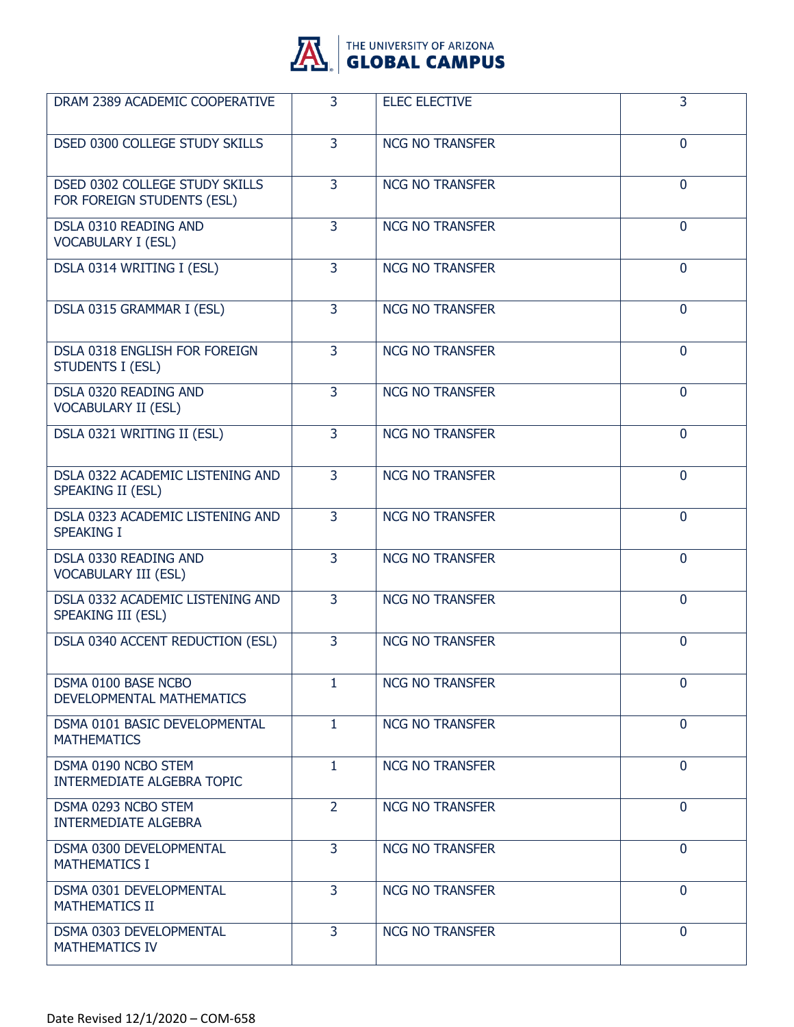

| DRAM 2389 ACADEMIC COOPERATIVE                                      | 3              | <b>ELEC ELECTIVE</b>   | 3              |
|---------------------------------------------------------------------|----------------|------------------------|----------------|
| DSED 0300 COLLEGE STUDY SKILLS                                      | $\overline{3}$ | <b>NCG NO TRANSFER</b> | $\mathbf 0$    |
| <b>DSED 0302 COLLEGE STUDY SKILLS</b><br>FOR FOREIGN STUDENTS (ESL) | $\overline{3}$ | <b>NCG NO TRANSFER</b> | $\mathbf 0$    |
| DSLA 0310 READING AND<br><b>VOCABULARY I (ESL)</b>                  | 3              | <b>NCG NO TRANSFER</b> | $\mathbf{0}$   |
| DSLA 0314 WRITING I (ESL)                                           | $\overline{3}$ | <b>NCG NO TRANSFER</b> | $\mathbf 0$    |
| DSLA 0315 GRAMMAR I (ESL)                                           | 3              | <b>NCG NO TRANSFER</b> | $\mathbf 0$    |
| DSLA 0318 ENGLISH FOR FOREIGN<br><b>STUDENTS I (ESL)</b>            | 3              | <b>NCG NO TRANSFER</b> | $\mathbf{0}$   |
| DSLA 0320 READING AND<br><b>VOCABULARY II (ESL)</b>                 | $\overline{3}$ | <b>NCG NO TRANSFER</b> | $\mathbf 0$    |
| DSLA 0321 WRITING II (ESL)                                          | $\overline{3}$ | <b>NCG NO TRANSFER</b> | $\mathbf 0$    |
| DSLA 0322 ACADEMIC LISTENING AND<br>SPEAKING II (ESL)               | 3              | <b>NCG NO TRANSFER</b> | $\mathbf{0}$   |
| DSLA 0323 ACADEMIC LISTENING AND<br><b>SPEAKING I</b>               | $\overline{3}$ | <b>NCG NO TRANSFER</b> | $\mathbf 0$    |
| DSLA 0330 READING AND<br><b>VOCABULARY III (ESL)</b>                | $\overline{3}$ | <b>NCG NO TRANSFER</b> | $\mathbf 0$    |
| DSLA 0332 ACADEMIC LISTENING AND<br>SPEAKING III (ESL)              | 3              | <b>NCG NO TRANSFER</b> | $\mathbf{0}$   |
| DSLA 0340 ACCENT REDUCTION (ESL)                                    | $\overline{3}$ | <b>NCG NO TRANSFER</b> | $\mathbf 0$    |
| DSMA 0100 BASE NCBO<br>DEVELOPMENTAL MATHEMATICS                    | 1              | <b>NCG NO TRANSFER</b> | $\mathbf 0$    |
| DSMA 0101 BASIC DEVELOPMENTAL<br><b>MATHEMATICS</b>                 | 1              | <b>NCG NO TRANSFER</b> | $\mathbf{0}$   |
| DSMA 0190 NCBO STEM<br>INTERMEDIATE ALGEBRA TOPIC                   | $\mathbf{1}$   | <b>NCG NO TRANSFER</b> | $\overline{0}$ |
| DSMA 0293 NCBO STEM<br><b>INTERMEDIATE ALGEBRA</b>                  | $\overline{2}$ | <b>NCG NO TRANSFER</b> | $\mathbf{0}$   |
| DSMA 0300 DEVELOPMENTAL<br><b>MATHEMATICS I</b>                     | 3              | <b>NCG NO TRANSFER</b> | $\mathbf{0}$   |
| DSMA 0301 DEVELOPMENTAL<br><b>MATHEMATICS II</b>                    | 3              | <b>NCG NO TRANSFER</b> | $\mathbf{0}$   |
| DSMA 0303 DEVELOPMENTAL<br><b>MATHEMATICS IV</b>                    | $\overline{3}$ | <b>NCG NO TRANSFER</b> | $\mathbf{0}$   |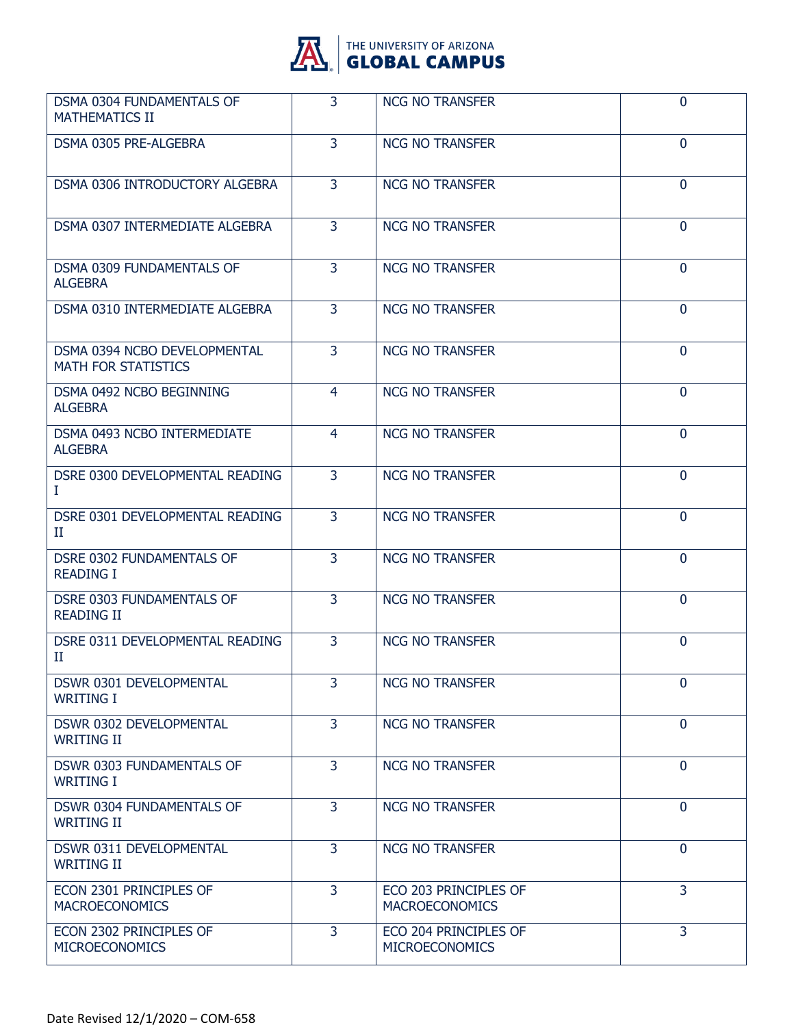

| DSMA 0304 FUNDAMENTALS OF<br><b>MATHEMATICS II</b>         | 3              | <b>NCG NO TRANSFER</b>                         | $\mathbf 0$    |
|------------------------------------------------------------|----------------|------------------------------------------------|----------------|
| DSMA 0305 PRE-ALGEBRA                                      | 3              | <b>NCG NO TRANSFER</b>                         | $\mathbf{0}$   |
| DSMA 0306 INTRODUCTORY ALGEBRA                             | $\overline{3}$ | <b>NCG NO TRANSFER</b>                         | $\mathbf{0}$   |
| DSMA 0307 INTERMEDIATE ALGEBRA                             | 3              | <b>NCG NO TRANSFER</b>                         | $\mathbf{0}$   |
| DSMA 0309 FUNDAMENTALS OF<br><b>ALGEBRA</b>                | 3              | <b>NCG NO TRANSFER</b>                         | $\mathbf{0}$   |
| <b>DSMA 0310 INTERMEDIATE ALGEBRA</b>                      | $\overline{3}$ | <b>NCG NO TRANSFER</b>                         | $\mathbf{0}$   |
| DSMA 0394 NCBO DEVELOPMENTAL<br><b>MATH FOR STATISTICS</b> | $\overline{3}$ | <b>NCG NO TRANSFER</b>                         | $\mathbf{0}$   |
| DSMA 0492 NCBO BEGINNING<br><b>ALGEBRA</b>                 | 4              | <b>NCG NO TRANSFER</b>                         | $\mathbf{0}$   |
| DSMA 0493 NCBO INTERMEDIATE<br><b>ALGEBRA</b>              | $\overline{4}$ | <b>NCG NO TRANSFER</b>                         | $\mathbf{0}$   |
| DSRE 0300 DEVELOPMENTAL READING<br>Ι.                      | $\overline{3}$ | <b>NCG NO TRANSFER</b>                         | $\mathbf{0}$   |
| DSRE 0301 DEVELOPMENTAL READING<br>П                       | 3              | <b>NCG NO TRANSFER</b>                         | $\mathbf{0}$   |
| DSRE 0302 FUNDAMENTALS OF<br><b>READING I</b>              | 3              | <b>NCG NO TRANSFER</b>                         | $\mathbf 0$    |
| DSRE 0303 FUNDAMENTALS OF<br><b>READING II</b>             | $\overline{3}$ | <b>NCG NO TRANSFER</b>                         | $\mathbf{0}$   |
| DSRE 0311 DEVELOPMENTAL READING<br>п                       | 3              | <b>NCG NO TRANSFER</b>                         | $\mathbf{0}$   |
| DSWR 0301 DEVELOPMENTAL<br><b>WRITING I</b>                | 3              | <b>NCG NO TRANSFER</b>                         | $\mathbf{0}$   |
| DSWR 0302 DEVELOPMENTAL<br><b>WRITING II</b>               | $\overline{3}$ | <b>NCG NO TRANSFER</b>                         | $\overline{0}$ |
| <b>DSWR 0303 FUNDAMENTALS OF</b><br><b>WRITING I</b>       | 3              | <b>NCG NO TRANSFER</b>                         | $\mathbf{0}$   |
| DSWR 0304 FUNDAMENTALS OF<br><b>WRITING II</b>             | 3              | <b>NCG NO TRANSFER</b>                         | $\mathbf{0}$   |
| DSWR 0311 DEVELOPMENTAL<br><b>WRITING II</b>               | $\overline{3}$ | <b>NCG NO TRANSFER</b>                         | $\overline{0}$ |
| ECON 2301 PRINCIPLES OF<br><b>MACROECONOMICS</b>           | 3              | ECO 203 PRINCIPLES OF<br><b>MACROECONOMICS</b> | 3              |
| ECON 2302 PRINCIPLES OF<br><b>MICROECONOMICS</b>           | 3              | ECO 204 PRINCIPLES OF<br><b>MICROECONOMICS</b> | 3              |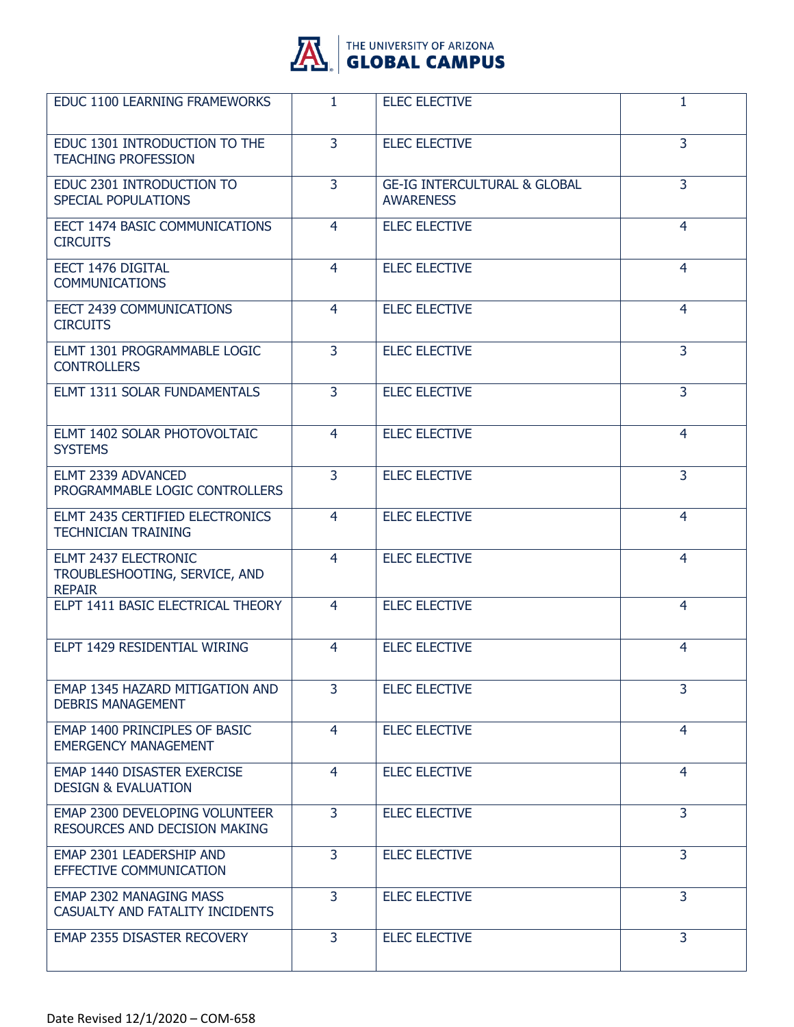

| EDUC 1100 LEARNING FRAMEWORKS                                          | 1              | <b>ELEC ELECTIVE</b>                                        | 1              |
|------------------------------------------------------------------------|----------------|-------------------------------------------------------------|----------------|
| EDUC 1301 INTRODUCTION TO THE<br><b>TEACHING PROFESSION</b>            | $\overline{3}$ | <b>ELEC ELECTIVE</b>                                        | 3              |
| EDUC 2301 INTRODUCTION TO<br><b>SPECIAL POPULATIONS</b>                | 3              | <b>GE-IG INTERCULTURAL &amp; GLOBAL</b><br><b>AWARENESS</b> | 3              |
| EECT 1474 BASIC COMMUNICATIONS<br><b>CIRCUITS</b>                      | 4              | <b>ELEC ELECTIVE</b>                                        | $\overline{4}$ |
| EECT 1476 DIGITAL<br><b>COMMUNICATIONS</b>                             | 4              | <b>ELEC ELECTIVE</b>                                        | $\overline{4}$ |
| EECT 2439 COMMUNICATIONS<br><b>CIRCUITS</b>                            | 4              | <b>ELEC ELECTIVE</b>                                        | 4              |
| ELMT 1301 PROGRAMMABLE LOGIC<br><b>CONTROLLERS</b>                     | 3              | <b>ELEC ELECTIVE</b>                                        | 3              |
| <b>ELMT 1311 SOLAR FUNDAMENTALS</b>                                    | 3              | <b>ELEC ELECTIVE</b>                                        | 3              |
| ELMT 1402 SOLAR PHOTOVOLTAIC<br><b>SYSTEMS</b>                         | 4              | <b>ELEC ELECTIVE</b>                                        | 4              |
| ELMT 2339 ADVANCED<br>PROGRAMMABLE LOGIC CONTROLLERS                   | $\overline{3}$ | <b>ELEC ELECTIVE</b>                                        | 3              |
| ELMT 2435 CERTIFIED ELECTRONICS<br><b>TECHNICIAN TRAINING</b>          | 4              | <b>ELEC ELECTIVE</b>                                        | $\overline{4}$ |
| ELMT 2437 ELECTRONIC<br>TROUBLESHOOTING, SERVICE, AND<br><b>REPAIR</b> | 4              | <b>ELEC ELECTIVE</b>                                        | 4              |
| ELPT 1411 BASIC ELECTRICAL THEORY                                      | 4              | <b>ELEC ELECTIVE</b>                                        | 4              |
| ELPT 1429 RESIDENTIAL WIRING                                           | 4              | <b>ELEC ELECTIVE</b>                                        | 4              |
| EMAP 1345 HAZARD MITIGATION AND<br><b>DEBRIS MANAGEMENT</b>            | 3              | <b>ELEC ELECTIVE</b>                                        | $\overline{3}$ |
| EMAP 1400 PRINCIPLES OF BASIC<br><b>EMERGENCY MANAGEMENT</b>           | 4              | <b>ELEC ELECTIVE</b>                                        | $\overline{4}$ |
| EMAP 1440 DISASTER EXERCISE<br><b>DESIGN &amp; EVALUATION</b>          | 4              | <b>ELEC ELECTIVE</b>                                        | 4              |
| <b>EMAP 2300 DEVELOPING VOLUNTEER</b><br>RESOURCES AND DECISION MAKING | 3              | <b>ELEC ELECTIVE</b>                                        | $\overline{3}$ |
| EMAP 2301 LEADERSHIP AND<br>EFFECTIVE COMMUNICATION                    | 3              | <b>ELEC ELECTIVE</b>                                        | 3              |
| EMAP 2302 MANAGING MASS<br>CASUALTY AND FATALITY INCIDENTS             | $\overline{3}$ | <b>ELEC ELECTIVE</b>                                        | 3              |
| EMAP 2355 DISASTER RECOVERY                                            | 3              | <b>ELEC ELECTIVE</b>                                        | $\overline{3}$ |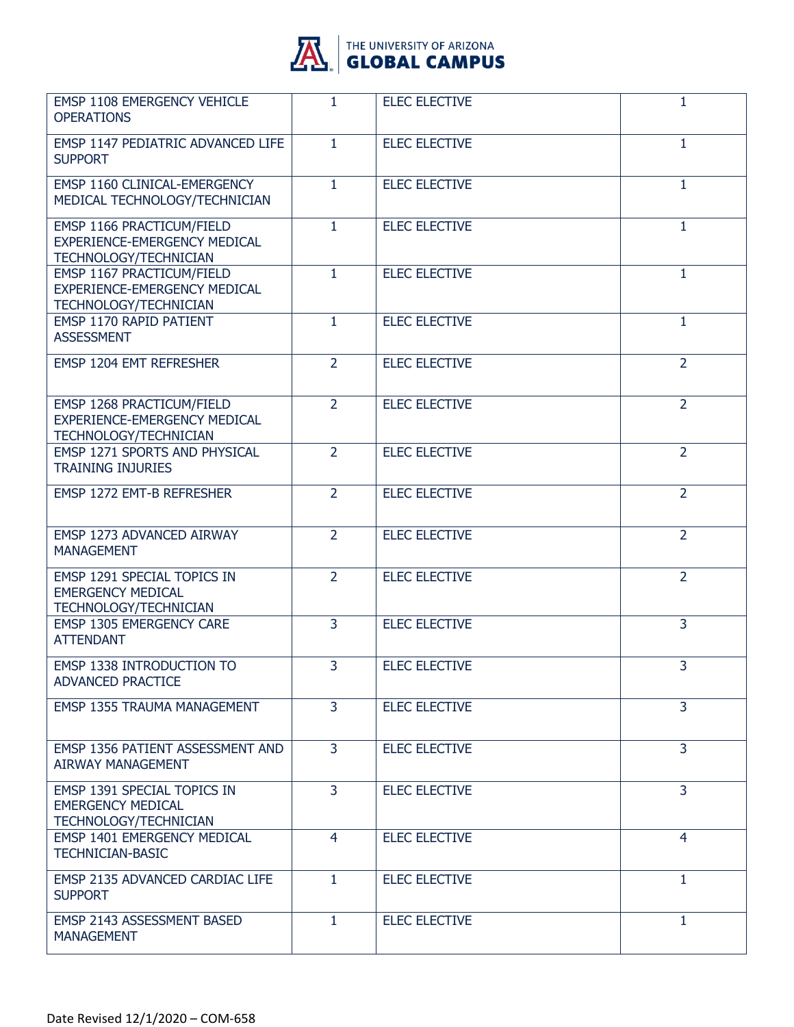

| EMSP 1108 EMERGENCY VEHICLE<br><b>OPERATIONS</b>                                          | 1.             | <b>ELEC ELECTIVE</b> | 1              |
|-------------------------------------------------------------------------------------------|----------------|----------------------|----------------|
| EMSP 1147 PEDIATRIC ADVANCED LIFE<br><b>SUPPORT</b>                                       | $\mathbf{1}$   | <b>ELEC ELECTIVE</b> | $\mathbf{1}$   |
| <b>EMSP 1160 CLINICAL-EMERGENCY</b><br>MEDICAL TECHNOLOGY/TECHNICIAN                      | 1              | <b>ELEC ELECTIVE</b> | 1              |
| EMSP 1166 PRACTICUM/FIELD<br>EXPERIENCE-EMERGENCY MEDICAL<br><b>TECHNOLOGY/TECHNICIAN</b> | $\mathbf{1}$   | <b>ELEC ELECTIVE</b> | 1              |
| EMSP 1167 PRACTICUM/FIELD<br>EXPERIENCE-EMERGENCY MEDICAL<br>TECHNOLOGY/TECHNICIAN        | $\mathbf{1}$   | <b>ELEC ELECTIVE</b> | 1              |
| EMSP 1170 RAPID PATIENT<br><b>ASSESSMENT</b>                                              | $\mathbf{1}$   | <b>ELEC ELECTIVE</b> | 1              |
| EMSP 1204 EMT REFRESHER                                                                   | $\overline{2}$ | <b>ELEC ELECTIVE</b> | $\overline{2}$ |
| EMSP 1268 PRACTICUM/FIELD<br>EXPERIENCE-EMERGENCY MEDICAL<br><b>TECHNOLOGY/TECHNICIAN</b> | $\overline{2}$ | <b>ELEC ELECTIVE</b> | $\overline{2}$ |
| EMSP 1271 SPORTS AND PHYSICAL<br><b>TRAINING INJURIES</b>                                 | $\overline{2}$ | <b>ELEC ELECTIVE</b> | $\overline{2}$ |
| EMSP 1272 EMT-B REFRESHER                                                                 | $\overline{2}$ | <b>ELEC ELECTIVE</b> | $\overline{2}$ |
| EMSP 1273 ADVANCED AIRWAY<br><b>MANAGEMENT</b>                                            | $\overline{2}$ | <b>ELEC ELECTIVE</b> | $\overline{2}$ |
| EMSP 1291 SPECIAL TOPICS IN<br><b>EMERGENCY MEDICAL</b><br>TECHNOLOGY/TECHNICIAN          | $\overline{2}$ | <b>ELEC ELECTIVE</b> | $\overline{2}$ |
| <b>EMSP 1305 EMERGENCY CARE</b><br><b>ATTENDANT</b>                                       | $\overline{3}$ | <b>ELEC ELECTIVE</b> | 3              |
| <b>EMSP 1338 INTRODUCTION TO</b><br><b>ADVANCED PRACTICE</b>                              | 3              | <b>ELEC ELECTIVE</b> | 3              |
| EMSP 1355 TRAUMA MANAGEMENT                                                               | 3              | <b>ELEC ELECTIVE</b> | 3              |
| EMSP 1356 PATIENT ASSESSMENT AND<br><b>AIRWAY MANAGEMENT</b>                              | 3              | <b>ELEC ELECTIVE</b> | 3              |
| EMSP 1391 SPECIAL TOPICS IN<br><b>EMERGENCY MEDICAL</b><br>TECHNOLOGY/TECHNICIAN          | 3              | <b>ELEC ELECTIVE</b> | $\overline{3}$ |
| <b>EMSP 1401 EMERGENCY MEDICAL</b><br><b>TECHNICIAN-BASIC</b>                             | 4              | <b>ELEC ELECTIVE</b> | $\overline{4}$ |
| EMSP 2135 ADVANCED CARDIAC LIFE<br><b>SUPPORT</b>                                         | $\mathbf{1}$   | <b>ELEC ELECTIVE</b> | $\mathbf{1}$   |
| EMSP 2143 ASSESSMENT BASED<br><b>MANAGEMENT</b>                                           | $\mathbf{1}$   | <b>ELEC ELECTIVE</b> | $\mathbf{1}$   |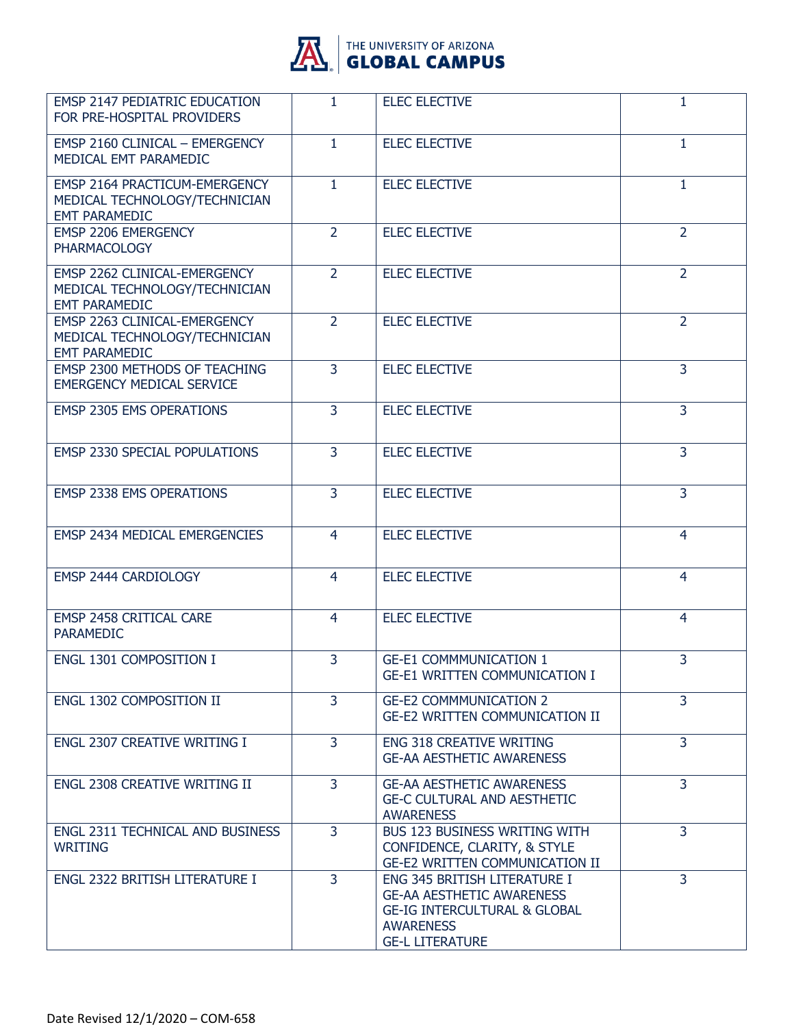

| <b>EMSP 2147 PEDIATRIC EDUCATION</b><br>FOR PRE-HOSPITAL PROVIDERS                            | $\mathbf{1}$   | <b>ELEC ELECTIVE</b>                                                                                                                                      | 1              |
|-----------------------------------------------------------------------------------------------|----------------|-----------------------------------------------------------------------------------------------------------------------------------------------------------|----------------|
| <b>EMSP 2160 CLINICAL - EMERGENCY</b><br>MEDICAL EMT PARAMEDIC                                | $\mathbf{1}$   | <b>ELEC ELECTIVE</b>                                                                                                                                      | 1              |
| <b>EMSP 2164 PRACTICUM-EMERGENCY</b><br>MEDICAL TECHNOLOGY/TECHNICIAN<br><b>EMT PARAMEDIC</b> | $\mathbf{1}$   | <b>ELEC ELECTIVE</b>                                                                                                                                      | 1              |
| EMSP 2206 EMERGENCY<br><b>PHARMACOLOGY</b>                                                    | $\overline{2}$ | <b>ELEC ELECTIVE</b>                                                                                                                                      | $\overline{2}$ |
| EMSP 2262 CLINICAL-EMERGENCY<br>MEDICAL TECHNOLOGY/TECHNICIAN<br><b>EMT PARAMEDIC</b>         | $\overline{2}$ | <b>ELEC ELECTIVE</b>                                                                                                                                      | $\overline{2}$ |
| EMSP 2263 CLINICAL-EMERGENCY<br>MEDICAL TECHNOLOGY/TECHNICIAN<br><b>EMT PARAMEDIC</b>         | $\overline{2}$ | <b>ELEC ELECTIVE</b>                                                                                                                                      | $\overline{2}$ |
| EMSP 2300 METHODS OF TEACHING<br><b>EMERGENCY MEDICAL SERVICE</b>                             | 3              | <b>ELEC ELECTIVE</b>                                                                                                                                      | 3              |
| <b>EMSP 2305 EMS OPERATIONS</b>                                                               | 3              | <b>ELEC ELECTIVE</b>                                                                                                                                      | 3              |
| <b>EMSP 2330 SPECIAL POPULATIONS</b>                                                          | $\overline{3}$ | <b>ELEC ELECTIVE</b>                                                                                                                                      | 3              |
| <b>EMSP 2338 EMS OPERATIONS</b>                                                               | 3              | <b>ELEC ELECTIVE</b>                                                                                                                                      | 3              |
| EMSP 2434 MEDICAL EMERGENCIES                                                                 | 4              | <b>ELEC ELECTIVE</b>                                                                                                                                      | 4              |
| EMSP 2444 CARDIOLOGY                                                                          | 4              | <b>ELEC ELECTIVE</b>                                                                                                                                      | 4              |
| <b>EMSP 2458 CRITICAL CARE</b><br><b>PARAMEDIC</b>                                            | $\overline{4}$ | <b>ELEC ELECTIVE</b>                                                                                                                                      | $\overline{4}$ |
| ENGL 1301 COMPOSITION I                                                                       | 3              | <b>GE-E1 COMMMUNICATION 1</b><br><b>GE-E1 WRITTEN COMMUNICATION I</b>                                                                                     | 3              |
| ENGL 1302 COMPOSITION II                                                                      | 3              | <b>GE-E2 COMMMUNICATION 2</b><br><b>GE-E2 WRITTEN COMMUNICATION II</b>                                                                                    | 3              |
| <b>ENGL 2307 CREATIVE WRITING I</b>                                                           | $\overline{3}$ | <b>ENG 318 CREATIVE WRITING</b><br><b>GE-AA AESTHETIC AWARENESS</b>                                                                                       | $\overline{3}$ |
| <b>ENGL 2308 CREATIVE WRITING II</b>                                                          | 3              | <b>GE-AA AESTHETIC AWARENESS</b><br><b>GE-C CULTURAL AND AESTHETIC</b><br><b>AWARENESS</b>                                                                | 3              |
| ENGL 2311 TECHNICAL AND BUSINESS<br><b>WRITING</b>                                            | 3              | <b>BUS 123 BUSINESS WRITING WITH</b><br>CONFIDENCE, CLARITY, & STYLE<br><b>GE-E2 WRITTEN COMMUNICATION II</b>                                             | 3              |
| ENGL 2322 BRITISH LITERATURE I                                                                | $\overline{3}$ | ENG 345 BRITISH LITERATURE I<br><b>GE-AA AESTHETIC AWARENESS</b><br><b>GE-IG INTERCULTURAL &amp; GLOBAL</b><br><b>AWARENESS</b><br><b>GE-L LITERATURE</b> | 3              |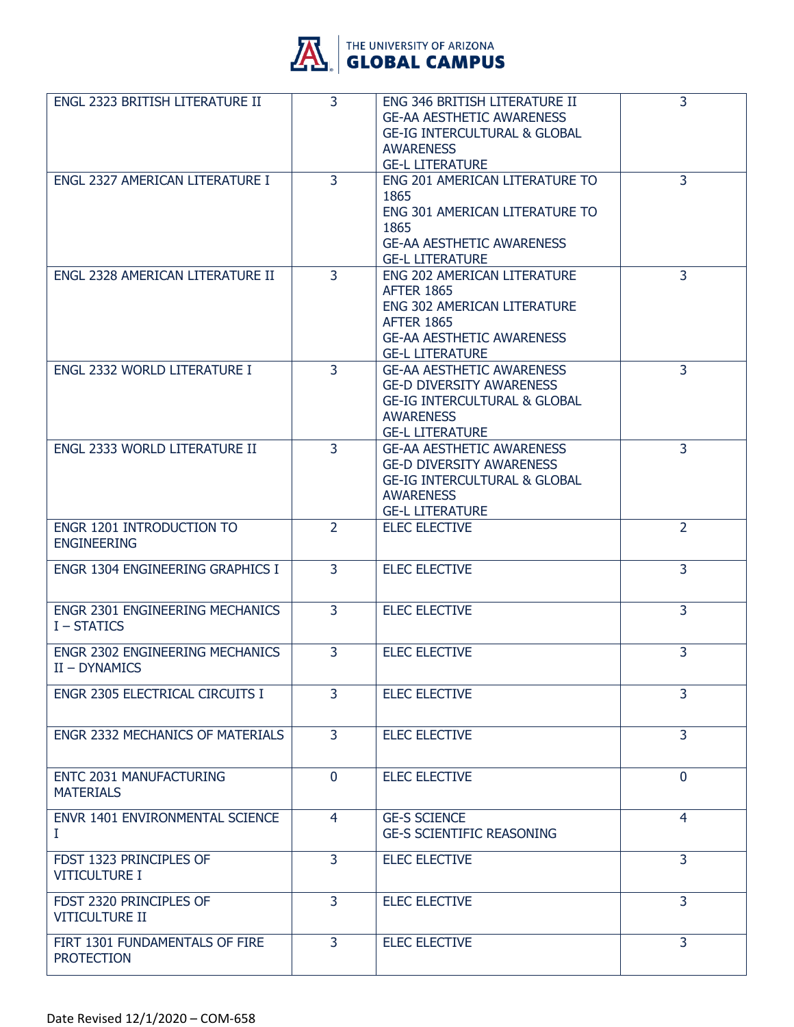

| ENGL 2323 BRITISH LITERATURE II                         | 3              | ENG 346 BRITISH LITERATURE II<br><b>GE-AA AESTHETIC AWARENESS</b><br><b>GE-IG INTERCULTURAL &amp; GLOBAL</b><br><b>AWARENESS</b><br><b>GE-L LITERATURE</b>                | 3              |
|---------------------------------------------------------|----------------|---------------------------------------------------------------------------------------------------------------------------------------------------------------------------|----------------|
| ENGL 2327 AMERICAN LITERATURE I                         | 3              | ENG 201 AMERICAN LITERATURE TO<br>1865<br>ENG 301 AMERICAN LITERATURE TO<br>1865<br><b>GE-AA AESTHETIC AWARENESS</b><br><b>GE-L LITERATURE</b>                            | 3              |
| ENGL 2328 AMERICAN LITERATURE II                        | $\overline{3}$ | ENG 202 AMERICAN LITERATURE<br><b>AFTER 1865</b><br><b>ENG 302 AMERICAN LITERATURE</b><br><b>AFTER 1865</b><br><b>GE-AA AESTHETIC AWARENESS</b><br><b>GE-L LITERATURE</b> | 3              |
| ENGL 2332 WORLD LITERATURE I                            | $\overline{3}$ | <b>GE-AA AESTHETIC AWARENESS</b><br><b>GE-D DIVERSITY AWARENESS</b><br><b>GE-IG INTERCULTURAL &amp; GLOBAL</b><br><b>AWARENESS</b><br><b>GE-L LITERATURE</b>              | $\overline{3}$ |
| ENGL 2333 WORLD LITERATURE II                           | $\overline{3}$ | <b>GE-AA AESTHETIC AWARENESS</b><br><b>GE-D DIVERSITY AWARENESS</b><br><b>GE-IG INTERCULTURAL &amp; GLOBAL</b><br><b>AWARENESS</b><br><b>GE-L LITERATURE</b>              | $\overline{3}$ |
| ENGR 1201 INTRODUCTION TO<br><b>ENGINEERING</b>         | $\overline{2}$ | <b>ELEC ELECTIVE</b>                                                                                                                                                      | 2              |
| ENGR 1304 ENGINEERING GRAPHICS I                        | 3              | <b>ELEC ELECTIVE</b>                                                                                                                                                      | $\overline{3}$ |
| ENGR 2301 ENGINEERING MECHANICS<br>I - STATICS          | 3              | <b>ELEC ELECTIVE</b>                                                                                                                                                      | 3              |
| <b>ENGR 2302 ENGINEERING MECHANICS</b><br>II - DYNAMICS | 3              | <b>ELEC ELECTIVE</b>                                                                                                                                                      | 3              |
| ENGR 2305 ELECTRICAL CIRCUITS I                         | $\overline{3}$ | <b>ELEC ELECTIVE</b>                                                                                                                                                      | 3              |
| ENGR 2332 MECHANICS OF MATERIALS                        | 3              | <b>ELEC ELECTIVE</b>                                                                                                                                                      | 3              |
| ENTC 2031 MANUFACTURING<br><b>MATERIALS</b>             | $\mathbf{0}$   | <b>ELEC ELECTIVE</b>                                                                                                                                                      | $\mathbf{0}$   |
| <b>ENVR 1401 ENVIRONMENTAL SCIENCE</b><br>I             | $\overline{4}$ | <b>GE-S SCIENCE</b><br><b>GE-S SCIENTIFIC REASONING</b>                                                                                                                   | $\overline{4}$ |
| FDST 1323 PRINCIPLES OF<br><b>VITICULTURE I</b>         | 3              | <b>ELEC ELECTIVE</b>                                                                                                                                                      | 3              |
| FDST 2320 PRINCIPLES OF<br><b>VITICULTURE II</b>        | 3              | <b>ELEC ELECTIVE</b>                                                                                                                                                      | 3              |
| FIRT 1301 FUNDAMENTALS OF FIRE<br><b>PROTECTION</b>     | $\overline{3}$ | <b>ELEC ELECTIVE</b>                                                                                                                                                      | 3              |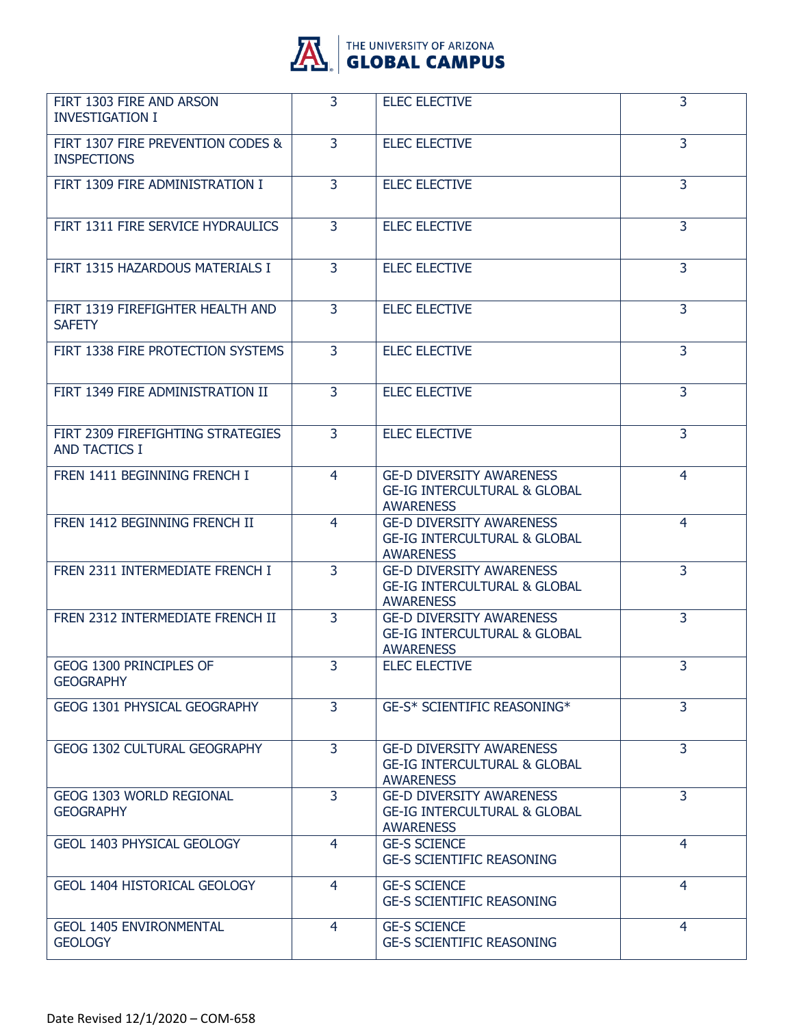

| FIRT 1303 FIRE AND ARSON<br><b>INVESTIGATION I</b>        | 3              | <b>ELEC ELECTIVE</b>                                                                           | 3              |
|-----------------------------------------------------------|----------------|------------------------------------------------------------------------------------------------|----------------|
| FIRT 1307 FIRE PREVENTION CODES &<br><b>INSPECTIONS</b>   | 3              | <b>ELEC ELECTIVE</b>                                                                           | 3              |
| FIRT 1309 FIRE ADMINISTRATION I                           | $\overline{3}$ | <b>ELEC ELECTIVE</b>                                                                           | $\overline{3}$ |
| FIRT 1311 FIRE SERVICE HYDRAULICS                         | $\mathbf{3}$   | <b>ELEC ELECTIVE</b>                                                                           | 3              |
| FIRT 1315 HAZARDOUS MATERIALS I                           | 3              | <b>ELEC ELECTIVE</b>                                                                           | 3              |
| FIRT 1319 FIREFIGHTER HEALTH AND<br><b>SAFETY</b>         | $\overline{3}$ | <b>ELEC ELECTIVE</b>                                                                           | $\overline{3}$ |
| FIRT 1338 FIRE PROTECTION SYSTEMS                         | $\mathbf{3}$   | <b>ELEC ELECTIVE</b>                                                                           | 3              |
| FIRT 1349 FIRE ADMINISTRATION II                          | 3              | <b>ELEC ELECTIVE</b>                                                                           | 3              |
| FIRT 2309 FIREFIGHTING STRATEGIES<br><b>AND TACTICS I</b> | $\overline{3}$ | <b>ELEC ELECTIVE</b>                                                                           | $\overline{3}$ |
| FREN 1411 BEGINNING FRENCH I                              | 4              | <b>GE-D DIVERSITY AWARENESS</b><br><b>GE-IG INTERCULTURAL &amp; GLOBAL</b><br><b>AWARENESS</b> | 4              |
| FREN 1412 BEGINNING FRENCH II                             | $\overline{4}$ | <b>GE-D DIVERSITY AWARENESS</b><br><b>GE-IG INTERCULTURAL &amp; GLOBAL</b><br><b>AWARENESS</b> | 4              |
| FREN 2311 INTERMEDIATE FRENCH I                           | $\overline{3}$ | <b>GE-D DIVERSITY AWARENESS</b><br><b>GE-IG INTERCULTURAL &amp; GLOBAL</b><br><b>AWARENESS</b> | $\overline{3}$ |
| FREN 2312 INTERMEDIATE FRENCH II                          | 3              | <b>GE-D DIVERSITY AWARENESS</b><br><b>GE-IG INTERCULTURAL &amp; GLOBAL</b><br><b>AWARENESS</b> | $\overline{3}$ |
| GEOG 1300 PRINCIPLES OF<br><b>GEOGRAPHY</b>               | 3              | <b>ELEC ELECTIVE</b>                                                                           | 3              |
| GEOG 1301 PHYSICAL GEOGRAPHY                              | 3              | <b>GE-S* SCIENTIFIC REASONING*</b>                                                             | 3              |
| <b>GEOG 1302 CULTURAL GEOGRAPHY</b>                       | $\overline{3}$ | <b>GE-D DIVERSITY AWARENESS</b><br><b>GE-IG INTERCULTURAL &amp; GLOBAL</b><br><b>AWARENESS</b> | 3              |
| <b>GEOG 1303 WORLD REGIONAL</b><br><b>GEOGRAPHY</b>       | $\overline{3}$ | <b>GE-D DIVERSITY AWARENESS</b><br><b>GE-IG INTERCULTURAL &amp; GLOBAL</b><br><b>AWARENESS</b> | $\overline{3}$ |
| GEOL 1403 PHYSICAL GEOLOGY                                | 4              | <b>GE-S SCIENCE</b><br><b>GE-S SCIENTIFIC REASONING</b>                                        | $\overline{4}$ |
| GEOL 1404 HISTORICAL GEOLOGY                              | 4              | <b>GE-S SCIENCE</b><br><b>GE-S SCIENTIFIC REASONING</b>                                        | 4              |
| <b>GEOL 1405 ENVIRONMENTAL</b><br><b>GEOLOGY</b>          | $\overline{4}$ | <b>GE-S SCIENCE</b><br><b>GE-S SCIENTIFIC REASONING</b>                                        | $\overline{4}$ |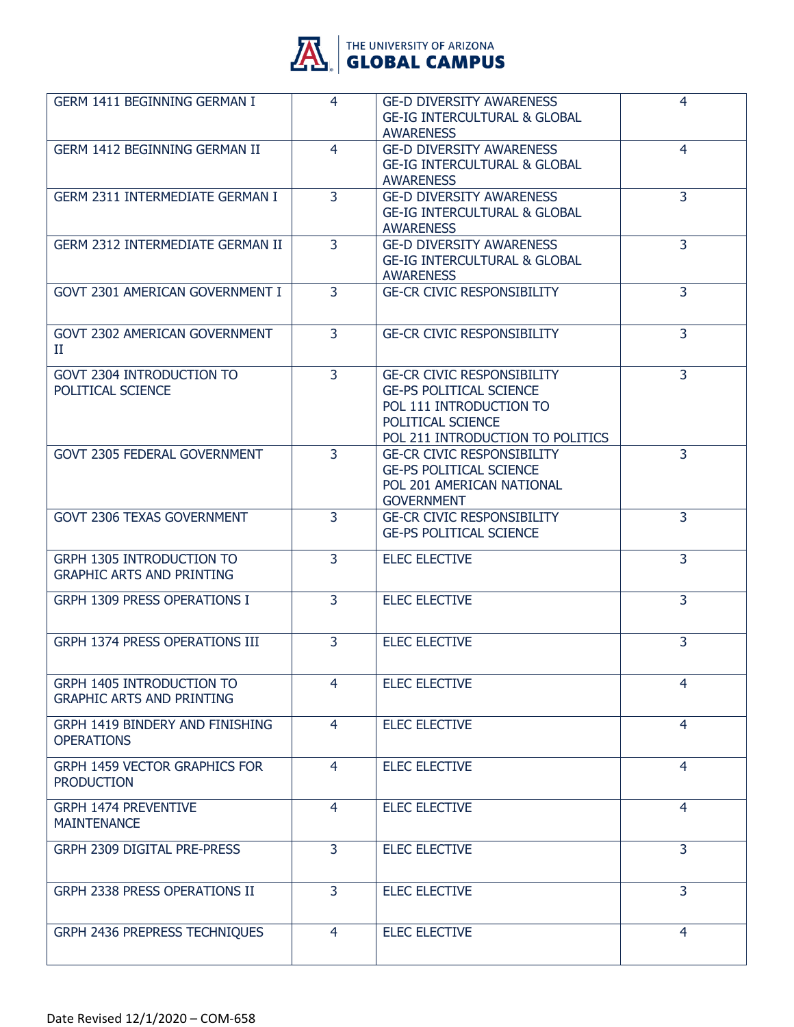

| GERM 1411 BEGINNING GERMAN I                                         | 4              | <b>GE-D DIVERSITY AWARENESS</b><br><b>GE-IG INTERCULTURAL &amp; GLOBAL</b><br><b>AWARENESS</b>                                                          | 4              |
|----------------------------------------------------------------------|----------------|---------------------------------------------------------------------------------------------------------------------------------------------------------|----------------|
| GERM 1412 BEGINNING GERMAN II                                        | $\overline{4}$ | <b>GE-D DIVERSITY AWARENESS</b><br><b>GE-IG INTERCULTURAL &amp; GLOBAL</b><br><b>AWARENESS</b>                                                          | 4              |
| <b>GERM 2311 INTERMEDIATE GERMAN I</b>                               | $\overline{3}$ | <b>GE-D DIVERSITY AWARENESS</b><br><b>GE-IG INTERCULTURAL &amp; GLOBAL</b><br><b>AWARENESS</b>                                                          | $\overline{3}$ |
| <b>GERM 2312 INTERMEDIATE GERMAN II</b>                              | $\overline{3}$ | <b>GE-D DIVERSITY AWARENESS</b><br><b>GE-IG INTERCULTURAL &amp; GLOBAL</b><br><b>AWARENESS</b>                                                          | 3              |
| GOVT 2301 AMERICAN GOVERNMENT I                                      | 3              | <b>GE-CR CIVIC RESPONSIBILITY</b>                                                                                                                       | 3              |
| GOVT 2302 AMERICAN GOVERNMENT<br>П                                   | 3              | <b>GE-CR CIVIC RESPONSIBILITY</b>                                                                                                                       | 3              |
| <b>GOVT 2304 INTRODUCTION TO</b><br>POLITICAL SCIENCE                | $\overline{3}$ | <b>GE-CR CIVIC RESPONSIBILITY</b><br><b>GE-PS POLITICAL SCIENCE</b><br>POL 111 INTRODUCTION TO<br>POLITICAL SCIENCE<br>POL 211 INTRODUCTION TO POLITICS | 3              |
| <b>GOVT 2305 FEDERAL GOVERNMENT</b>                                  | $\overline{3}$ | <b>GE-CR CIVIC RESPONSIBILITY</b><br><b>GE-PS POLITICAL SCIENCE</b><br>POL 201 AMERICAN NATIONAL<br><b>GOVERNMENT</b>                                   | 3              |
| GOVT 2306 TEXAS GOVERNMENT                                           | 3              | <b>GE-CR CIVIC RESPONSIBILITY</b><br><b>GE-PS POLITICAL SCIENCE</b>                                                                                     | 3              |
| <b>GRPH 1305 INTRODUCTION TO</b><br><b>GRAPHIC ARTS AND PRINTING</b> | 3              | <b>ELEC ELECTIVE</b>                                                                                                                                    | 3              |
| <b>GRPH 1309 PRESS OPERATIONS I</b>                                  | 3              | <b>ELEC ELECTIVE</b>                                                                                                                                    | 3              |
| GRPH 1374 PRESS OPERATIONS III                                       | 3              | <b>ELEC ELECTIVE</b>                                                                                                                                    | 3              |
| <b>GRPH 1405 INTRODUCTION TO</b><br><b>GRAPHIC ARTS AND PRINTING</b> | 4              | <b>ELEC ELECTIVE</b>                                                                                                                                    | 4              |
| GRPH 1419 BINDERY AND FINISHING<br><b>OPERATIONS</b>                 | $\overline{4}$ | <b>ELEC ELECTIVE</b>                                                                                                                                    | $\overline{4}$ |
| <b>GRPH 1459 VECTOR GRAPHICS FOR</b><br><b>PRODUCTION</b>            | 4              | <b>ELEC ELECTIVE</b>                                                                                                                                    | $\overline{4}$ |
| <b>GRPH 1474 PREVENTIVE</b><br><b>MAINTENANCE</b>                    | 4              | <b>ELEC ELECTIVE</b>                                                                                                                                    | 4              |
| GRPH 2309 DIGITAL PRE-PRESS                                          | 3              | <b>ELEC ELECTIVE</b>                                                                                                                                    | 3              |
| GRPH 2338 PRESS OPERATIONS II                                        | 3              | <b>ELEC ELECTIVE</b>                                                                                                                                    | $\overline{3}$ |
| GRPH 2436 PREPRESS TECHNIQUES                                        | 4              | <b>ELEC ELECTIVE</b>                                                                                                                                    | $\overline{4}$ |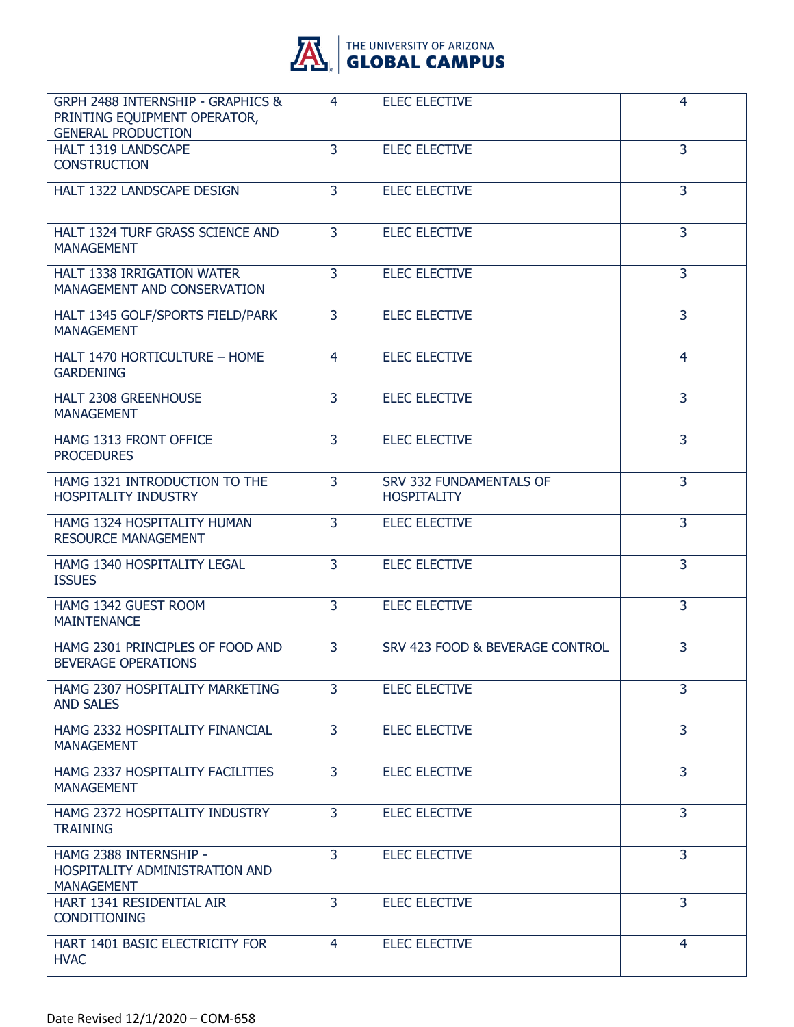

| <b>GRPH 2488 INTERNSHIP - GRAPHICS &amp;</b><br>PRINTING EQUIPMENT OPERATOR,<br><b>GENERAL PRODUCTION</b> | 4              | <b>ELEC ELECTIVE</b>                          | 4              |
|-----------------------------------------------------------------------------------------------------------|----------------|-----------------------------------------------|----------------|
| HALT 1319 LANDSCAPE<br><b>CONSTRUCTION</b>                                                                | $\overline{3}$ | <b>ELEC ELECTIVE</b>                          | 3              |
| HALT 1322 LANDSCAPE DESIGN                                                                                | $\overline{3}$ | <b>ELEC ELECTIVE</b>                          | $\overline{3}$ |
| HALT 1324 TURF GRASS SCIENCE AND<br><b>MANAGEMENT</b>                                                     | 3              | <b>ELEC ELECTIVE</b>                          | 3              |
| HALT 1338 IRRIGATION WATER<br>MANAGEMENT AND CONSERVATION                                                 | $\overline{3}$ | <b>ELEC ELECTIVE</b>                          | 3              |
| HALT 1345 GOLF/SPORTS FIELD/PARK<br><b>MANAGEMENT</b>                                                     | $\overline{3}$ | <b>ELEC ELECTIVE</b>                          | $\overline{3}$ |
| HALT 1470 HORTICULTURE - HOME<br><b>GARDENING</b>                                                         | 4              | <b>ELEC ELECTIVE</b>                          | 4              |
| HALT 2308 GREENHOUSE<br><b>MANAGEMENT</b>                                                                 | 3              | <b>ELEC ELECTIVE</b>                          | 3              |
| HAMG 1313 FRONT OFFICE<br><b>PROCEDURES</b>                                                               | 3              | <b>ELEC ELECTIVE</b>                          | $\overline{3}$ |
| HAMG 1321 INTRODUCTION TO THE<br><b>HOSPITALITY INDUSTRY</b>                                              | 3              | SRV 332 FUNDAMENTALS OF<br><b>HOSPITALITY</b> | 3              |
| HAMG 1324 HOSPITALITY HUMAN<br><b>RESOURCE MANAGEMENT</b>                                                 | $\overline{3}$ | <b>ELEC ELECTIVE</b>                          | 3              |
| HAMG 1340 HOSPITALITY LEGAL<br><b>ISSUES</b>                                                              | $\overline{3}$ | <b>ELEC ELECTIVE</b>                          | $\overline{3}$ |
| HAMG 1342 GUEST ROOM<br><b>MAINTENANCE</b>                                                                | 3              | <b>ELEC ELECTIVE</b>                          | 3              |
| HAMG 2301 PRINCIPLES OF FOOD AND<br>BEVERAGE OPERATIONS                                                   | 3              | SRV 423 FOOD & BEVERAGE CONTROL               | 3              |
| HAMG 2307 HOSPITALITY MARKETING<br><b>AND SALES</b>                                                       | 3              | <b>ELEC ELECTIVE</b>                          | 3              |
| HAMG 2332 HOSPITALITY FINANCIAL<br><b>MANAGEMENT</b>                                                      | 3              | <b>ELEC ELECTIVE</b>                          | 3              |
| HAMG 2337 HOSPITALITY FACILITIES<br><b>MANAGEMENT</b>                                                     | 3              | <b>ELEC ELECTIVE</b>                          | 3              |
| HAMG 2372 HOSPITALITY INDUSTRY<br><b>TRAINING</b>                                                         | 3              | <b>ELEC ELECTIVE</b>                          | 3              |
| HAMG 2388 INTERNSHIP -<br>HOSPITALITY ADMINISTRATION AND<br><b>MANAGEMENT</b>                             | 3              | <b>ELEC ELECTIVE</b>                          | 3              |
| HART 1341 RESIDENTIAL AIR<br><b>CONDITIONING</b>                                                          | 3              | <b>ELEC ELECTIVE</b>                          | 3              |
| HART 1401 BASIC ELECTRICITY FOR<br><b>HVAC</b>                                                            | 4              | <b>ELEC ELECTIVE</b>                          | 4              |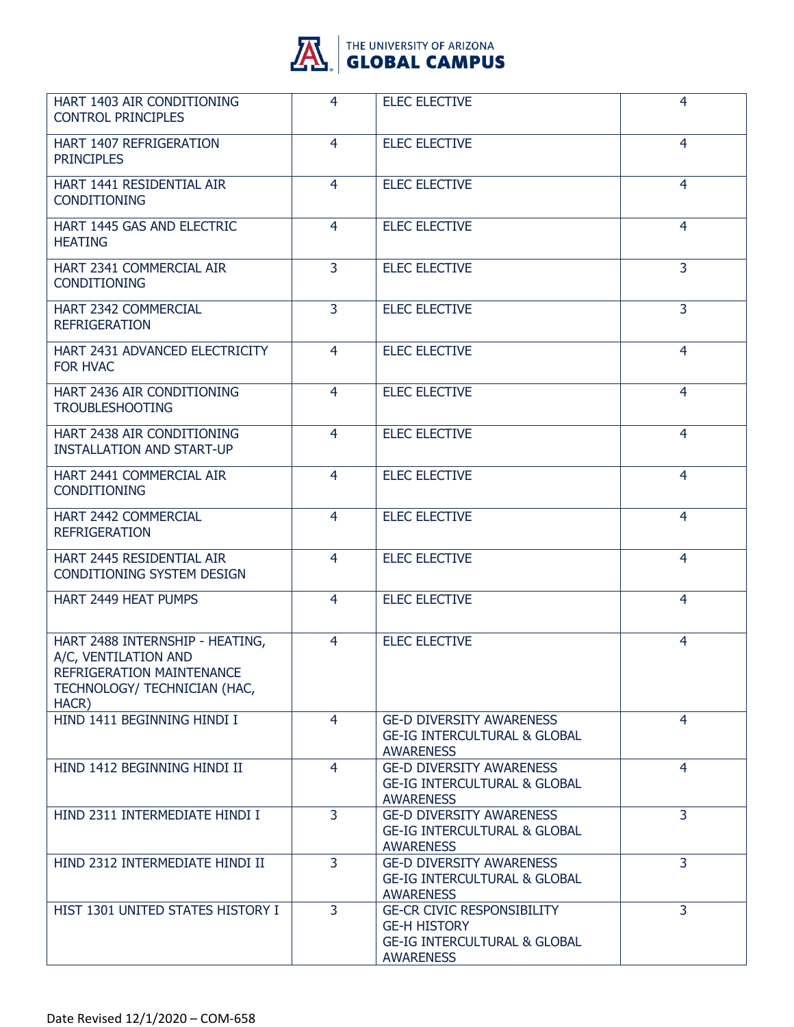

| HART 1403 AIR CONDITIONING<br><b>CONTROL PRINCIPLES</b>                                                                       | 4              | <b>ELEC ELECTIVE</b>                                                                                                    | 4              |
|-------------------------------------------------------------------------------------------------------------------------------|----------------|-------------------------------------------------------------------------------------------------------------------------|----------------|
| HART 1407 REFRIGERATION<br><b>PRINCIPLES</b>                                                                                  | $\overline{4}$ | <b>ELEC ELECTIVE</b>                                                                                                    | $\overline{4}$ |
| HART 1441 RESIDENTIAL AIR<br><b>CONDITIONING</b>                                                                              | 4              | <b>ELEC ELECTIVE</b>                                                                                                    | 4              |
| HART 1445 GAS AND ELECTRIC<br><b>HEATING</b>                                                                                  | 4              | <b>ELEC ELECTIVE</b>                                                                                                    | 4              |
| HART 2341 COMMERCIAL AIR<br><b>CONDITIONING</b>                                                                               | $\overline{3}$ | <b>ELEC ELECTIVE</b>                                                                                                    | $\overline{3}$ |
| HART 2342 COMMERCIAL<br><b>REFRIGERATION</b>                                                                                  | 3              | <b>ELEC ELECTIVE</b>                                                                                                    | $\overline{3}$ |
| HART 2431 ADVANCED ELECTRICITY<br><b>FOR HVAC</b>                                                                             | 4              | <b>ELEC ELECTIVE</b>                                                                                                    | 4              |
| HART 2436 AIR CONDITIONING<br><b>TROUBLESHOOTING</b>                                                                          | $\overline{4}$ | <b>ELEC ELECTIVE</b>                                                                                                    | $\overline{4}$ |
| HART 2438 AIR CONDITIONING<br><b>INSTALLATION AND START-UP</b>                                                                | 4              | <b>ELEC ELECTIVE</b>                                                                                                    | 4              |
| HART 2441 COMMERCIAL AIR<br><b>CONDITIONING</b>                                                                               | 4              | <b>ELEC ELECTIVE</b>                                                                                                    | 4              |
| HART 2442 COMMERCIAL<br><b>REFRIGERATION</b>                                                                                  | $\overline{4}$ | <b>ELEC ELECTIVE</b>                                                                                                    | $\overline{4}$ |
| HART 2445 RESIDENTIAL AIR<br><b>CONDITIONING SYSTEM DESIGN</b>                                                                | 4              | <b>ELEC ELECTIVE</b>                                                                                                    | 4              |
| HART 2449 HEAT PUMPS                                                                                                          | 4              | <b>ELEC ELECTIVE</b>                                                                                                    | 4              |
| HART 2488 INTERNSHIP - HEATING,<br>A/C, VENTILATION AND<br>REFRIGERATION MAINTENANCE<br>TECHNOLOGY/ TECHNICIAN (HAC,<br>HACR) | 4              | <b>ELEC ELECTIVE</b>                                                                                                    | 4              |
| HIND 1411 BEGINNING HINDI I                                                                                                   | 4              | <b>GE-D DIVERSITY AWARENESS</b><br><b>GE-IG INTERCULTURAL &amp; GLOBAL</b><br><b>AWARENESS</b>                          | 4              |
| HIND 1412 BEGINNING HINDI II                                                                                                  | 4              | <b>GE-D DIVERSITY AWARENESS</b><br><b>GE-IG INTERCULTURAL &amp; GLOBAL</b><br><b>AWARENESS</b>                          | $\overline{4}$ |
| HIND 2311 INTERMEDIATE HINDI I                                                                                                | 3              | <b>GE-D DIVERSITY AWARENESS</b><br><b>GE-IG INTERCULTURAL &amp; GLOBAL</b><br><b>AWARENESS</b>                          | $\overline{3}$ |
| HIND 2312 INTERMEDIATE HINDI II                                                                                               | $\overline{3}$ | <b>GE-D DIVERSITY AWARENESS</b><br><b>GE-IG INTERCULTURAL &amp; GLOBAL</b><br><b>AWARENESS</b>                          | $\overline{3}$ |
| HIST 1301 UNITED STATES HISTORY I                                                                                             | $\overline{3}$ | <b>GE-CR CIVIC RESPONSIBILITY</b><br><b>GE-H HISTORY</b><br><b>GE-IG INTERCULTURAL &amp; GLOBAL</b><br><b>AWARENESS</b> | 3              |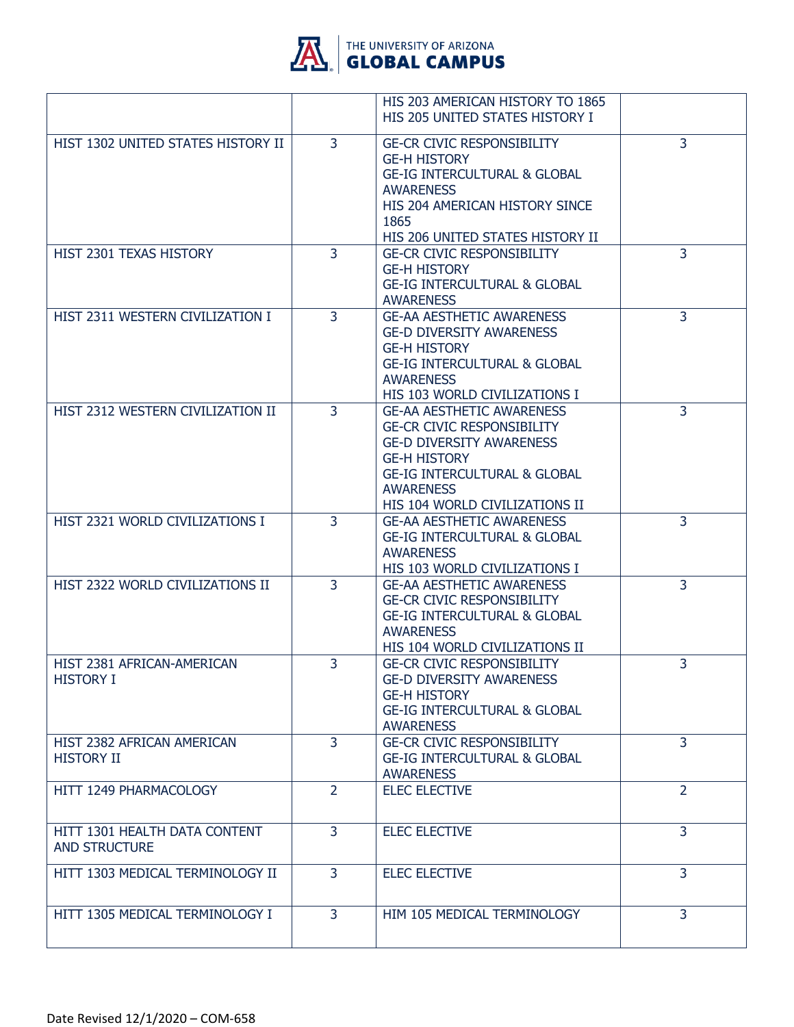

|                                                       |                | HIS 203 AMERICAN HISTORY TO 1865<br>HIS 205 UNITED STATES HISTORY I                                                                                                                                                              |                |
|-------------------------------------------------------|----------------|----------------------------------------------------------------------------------------------------------------------------------------------------------------------------------------------------------------------------------|----------------|
| HIST 1302 UNITED STATES HISTORY II                    | 3              | <b>GE-CR CIVIC RESPONSIBILITY</b><br><b>GE-H HISTORY</b><br><b>GE-IG INTERCULTURAL &amp; GLOBAL</b><br><b>AWARENESS</b><br>HIS 204 AMERICAN HISTORY SINCE<br>1865<br>HIS 206 UNITED STATES HISTORY II                            | 3              |
| HIST 2301 TEXAS HISTORY                               | 3              | <b>GE-CR CIVIC RESPONSIBILITY</b><br><b>GE-H HISTORY</b><br><b>GE-IG INTERCULTURAL &amp; GLOBAL</b><br><b>AWARENESS</b>                                                                                                          | 3              |
| HIST 2311 WESTERN CIVILIZATION I                      | 3              | <b>GE-AA AESTHETIC AWARENESS</b><br><b>GE-D DIVERSITY AWARENESS</b><br><b>GE-H HISTORY</b><br><b>GE-IG INTERCULTURAL &amp; GLOBAL</b><br><b>AWARENESS</b><br>HIS 103 WORLD CIVILIZATIONS I                                       | 3              |
| HIST 2312 WESTERN CIVILIZATION II                     | $\overline{3}$ | <b>GE-AA AESTHETIC AWARENESS</b><br><b>GE-CR CIVIC RESPONSIBILITY</b><br><b>GE-D DIVERSITY AWARENESS</b><br><b>GE-H HISTORY</b><br><b>GE-IG INTERCULTURAL &amp; GLOBAL</b><br><b>AWARENESS</b><br>HIS 104 WORLD CIVILIZATIONS II | $\overline{3}$ |
| HIST 2321 WORLD CIVILIZATIONS I                       | 3              | <b>GE-AA AESTHETIC AWARENESS</b><br><b>GE-IG INTERCULTURAL &amp; GLOBAL</b><br><b>AWARENESS</b><br>HIS 103 WORLD CIVILIZATIONS I                                                                                                 | 3              |
| HIST 2322 WORLD CIVILIZATIONS II                      | 3              | <b>GE-AA AESTHETIC AWARENESS</b><br><b>GE-CR CIVIC RESPONSIBILITY</b><br><b>GE-IG INTERCULTURAL &amp; GLOBAL</b><br><b>AWARENESS</b><br>HIS 104 WORLD CIVILIZATIONS II                                                           | 3              |
| HIST 2381 AFRICAN-AMERICAN<br><b>HISTORY I</b>        | 3              | <b>GE-CR CIVIC RESPONSIBILITY</b><br><b>GE-D DIVERSITY AWARENESS</b><br><b>GE-H HISTORY</b><br><b>GE-IG INTERCULTURAL &amp; GLOBAL</b><br><b>AWARENESS</b>                                                                       | 3              |
| HIST 2382 AFRICAN AMERICAN<br><b>HISTORY II</b>       | $\overline{3}$ | <b>GE-CR CIVIC RESPONSIBILITY</b><br><b>GE-IG INTERCULTURAL &amp; GLOBAL</b><br><b>AWARENESS</b>                                                                                                                                 | $\overline{3}$ |
| HITT 1249 PHARMACOLOGY                                | $\overline{2}$ | <b>ELEC ELECTIVE</b>                                                                                                                                                                                                             | $\overline{2}$ |
| HITT 1301 HEALTH DATA CONTENT<br><b>AND STRUCTURE</b> | $\overline{3}$ | <b>ELEC ELECTIVE</b>                                                                                                                                                                                                             | 3              |
| HITT 1303 MEDICAL TERMINOLOGY II                      | 3              | <b>ELEC ELECTIVE</b>                                                                                                                                                                                                             | $\overline{3}$ |
| HITT 1305 MEDICAL TERMINOLOGY I                       | 3              | HIM 105 MEDICAL TERMINOLOGY                                                                                                                                                                                                      | 3              |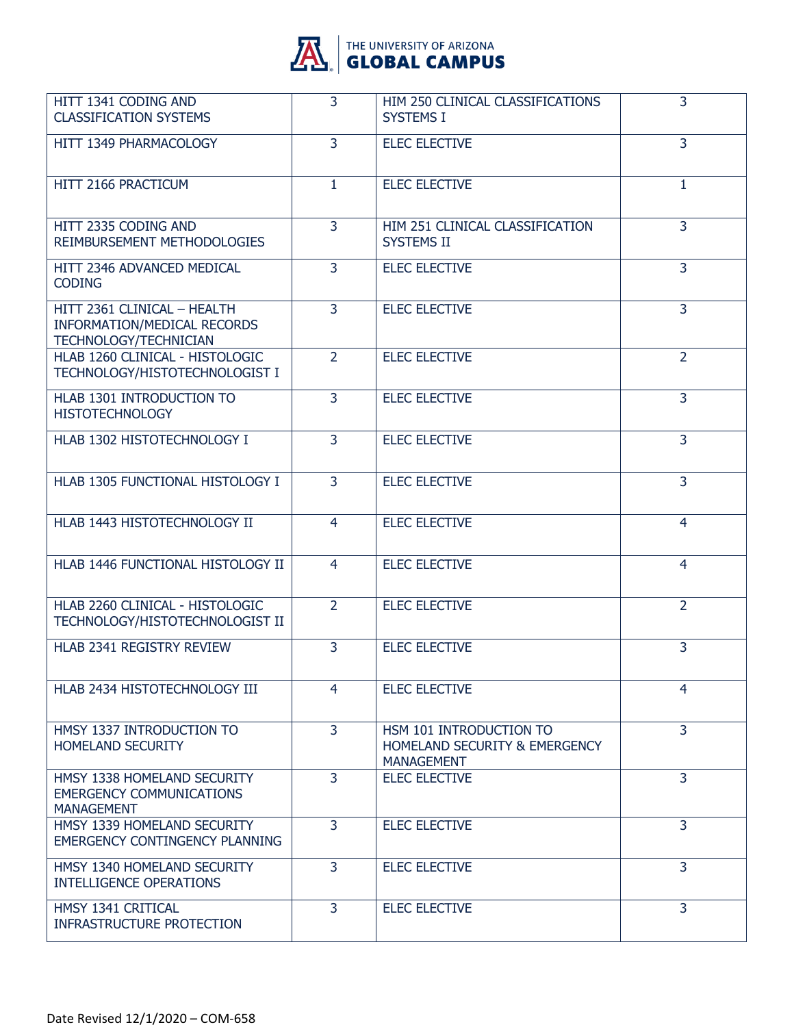

| HITT 1341 CODING AND<br><b>CLASSIFICATION SYSTEMS</b>                                             | $\overline{3}$ | HIM 250 CLINICAL CLASSIFICATIONS<br><b>SYSTEMS I</b>                          | 3              |
|---------------------------------------------------------------------------------------------------|----------------|-------------------------------------------------------------------------------|----------------|
| HITT 1349 PHARMACOLOGY                                                                            | 3              | <b>ELEC ELECTIVE</b>                                                          | 3              |
| HITT 2166 PRACTICUM                                                                               | 1              | <b>ELEC ELECTIVE</b>                                                          | 1              |
| HITT 2335 CODING AND<br>REIMBURSEMENT METHODOLOGIES                                               | $\overline{3}$ | HIM 251 CLINICAL CLASSIFICATION<br><b>SYSTEMS II</b>                          | $\overline{3}$ |
| HITT 2346 ADVANCED MEDICAL<br><b>CODING</b>                                                       | 3              | <b>ELEC ELECTIVE</b>                                                          | 3              |
| HITT 2361 CLINICAL - HEALTH<br><b>INFORMATION/MEDICAL RECORDS</b><br><b>TECHNOLOGY/TECHNICIAN</b> | $\overline{3}$ | <b>ELEC ELECTIVE</b>                                                          | $\overline{3}$ |
| HLAB 1260 CLINICAL - HISTOLOGIC<br>TECHNOLOGY/HISTOTECHNOLOGIST I                                 | $\overline{2}$ | <b>ELEC ELECTIVE</b>                                                          | $\overline{2}$ |
| HLAB 1301 INTRODUCTION TO<br><b>HISTOTECHNOLOGY</b>                                               | $\overline{3}$ | <b>ELEC ELECTIVE</b>                                                          | $\overline{3}$ |
| HLAB 1302 HISTOTECHNOLOGY I                                                                       | 3              | <b>ELEC ELECTIVE</b>                                                          | 3              |
| HLAB 1305 FUNCTIONAL HISTOLOGY I                                                                  | $\overline{3}$ | <b>ELEC ELECTIVE</b>                                                          | $\overline{3}$ |
| HLAB 1443 HISTOTECHNOLOGY II                                                                      | $\overline{4}$ | <b>ELEC ELECTIVE</b>                                                          | $\overline{4}$ |
| HLAB 1446 FUNCTIONAL HISTOLOGY II                                                                 | $\overline{4}$ | <b>ELEC ELECTIVE</b>                                                          | 4              |
| HLAB 2260 CLINICAL - HISTOLOGIC<br>TECHNOLOGY/HISTOTECHNOLOGIST II                                | $\overline{2}$ | <b>ELEC ELECTIVE</b>                                                          | $\overline{2}$ |
| HLAB 2341 REGISTRY REVIEW                                                                         | 3              | <b>ELEC ELECTIVE</b>                                                          | 3              |
| HLAB 2434 HISTOTECHNOLOGY III                                                                     | 4              | <b>ELEC ELECTIVE</b>                                                          | 4              |
| HMSY 1337 INTRODUCTION TO<br><b>HOMELAND SECURITY</b>                                             | $\overline{3}$ | HSM 101 INTRODUCTION TO<br>HOMELAND SECURITY & EMERGENCY<br><b>MANAGEMENT</b> | $\overline{3}$ |
| HMSY 1338 HOMELAND SECURITY<br><b>EMERGENCY COMMUNICATIONS</b><br><b>MANAGEMENT</b>               | $\overline{3}$ | <b>ELEC ELECTIVE</b>                                                          | $\overline{3}$ |
| HMSY 1339 HOMELAND SECURITY<br><b>EMERGENCY CONTINGENCY PLANNING</b>                              | $\overline{3}$ | <b>ELEC ELECTIVE</b>                                                          | $\overline{3}$ |
| HMSY 1340 HOMELAND SECURITY<br><b>INTELLIGENCE OPERATIONS</b>                                     | $\overline{3}$ | <b>ELEC ELECTIVE</b>                                                          | $\overline{3}$ |
| HMSY 1341 CRITICAL<br><b>INFRASTRUCTURE PROTECTION</b>                                            | 3              | <b>ELEC ELECTIVE</b>                                                          | 3              |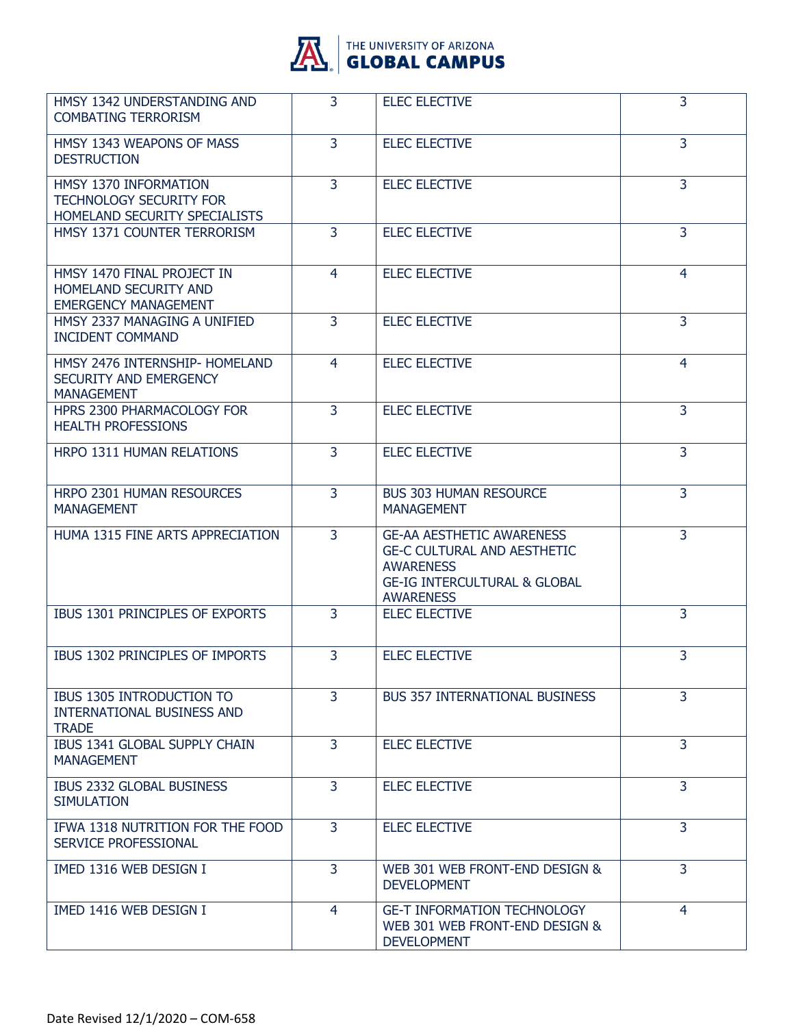

| HMSY 1342 UNDERSTANDING AND<br><b>COMBATING TERRORISM</b>                                 | $\overline{3}$ | <b>ELEC ELECTIVE</b>                                                                                                                                      | 3              |
|-------------------------------------------------------------------------------------------|----------------|-----------------------------------------------------------------------------------------------------------------------------------------------------------|----------------|
| HMSY 1343 WEAPONS OF MASS<br><b>DESTRUCTION</b>                                           | 3              | <b>ELEC ELECTIVE</b>                                                                                                                                      | $\overline{3}$ |
| HMSY 1370 INFORMATION<br><b>TECHNOLOGY SECURITY FOR</b><br>HOMELAND SECURITY SPECIALISTS  | 3              | <b>ELEC ELECTIVE</b>                                                                                                                                      | $\overline{3}$ |
| HMSY 1371 COUNTER TERRORISM                                                               | 3              | <b>ELEC ELECTIVE</b>                                                                                                                                      | 3              |
| HMSY 1470 FINAL PROJECT IN<br><b>HOMELAND SECURITY AND</b><br><b>EMERGENCY MANAGEMENT</b> | 4              | <b>ELEC ELECTIVE</b>                                                                                                                                      | $\overline{4}$ |
| HMSY 2337 MANAGING A UNIFIED<br><b>INCIDENT COMMAND</b>                                   | 3              | <b>ELEC ELECTIVE</b>                                                                                                                                      | 3              |
| HMSY 2476 INTERNSHIP- HOMELAND<br>SECURITY AND EMERGENCY<br><b>MANAGEMENT</b>             | 4              | <b>ELEC ELECTIVE</b>                                                                                                                                      | 4              |
| HPRS 2300 PHARMACOLOGY FOR<br><b>HEALTH PROFESSIONS</b>                                   | 3              | <b>ELEC ELECTIVE</b>                                                                                                                                      | $\overline{3}$ |
| HRPO 1311 HUMAN RELATIONS                                                                 | $\overline{3}$ | <b>ELEC ELECTIVE</b>                                                                                                                                      | 3              |
| HRPO 2301 HUMAN RESOURCES<br><b>MANAGEMENT</b>                                            | $\overline{3}$ | <b>BUS 303 HUMAN RESOURCE</b><br><b>MANAGEMENT</b>                                                                                                        | $\overline{3}$ |
| HUMA 1315 FINE ARTS APPRECIATION                                                          | 3              | <b>GE-AA AESTHETIC AWARENESS</b><br><b>GE-C CULTURAL AND AESTHETIC</b><br><b>AWARENESS</b><br><b>GE-IG INTERCULTURAL &amp; GLOBAL</b><br><b>AWARENESS</b> | $\overline{3}$ |
| IBUS 1301 PRINCIPLES OF EXPORTS                                                           | 3              | <b>ELEC ELECTIVE</b>                                                                                                                                      | $\overline{3}$ |
| IBUS 1302 PRINCIPLES OF IMPORTS                                                           | 3              | <b>ELEC ELECTIVE</b>                                                                                                                                      | 3              |
| <b>IBUS 1305 INTRODUCTION TO</b><br><b>INTERNATIONAL BUSINESS AND</b><br><b>TRADE</b>     | 3              | <b>BUS 357 INTERNATIONAL BUSINESS</b>                                                                                                                     | 3              |
| IBUS 1341 GLOBAL SUPPLY CHAIN<br><b>MANAGEMENT</b>                                        | 3              | <b>ELEC ELECTIVE</b>                                                                                                                                      | 3              |
| IBUS 2332 GLOBAL BUSINESS<br><b>SIMULATION</b>                                            | $\overline{3}$ | <b>ELEC ELECTIVE</b>                                                                                                                                      | 3              |
| IFWA 1318 NUTRITION FOR THE FOOD<br>SERVICE PROFESSIONAL                                  | 3              | <b>ELEC ELECTIVE</b>                                                                                                                                      | 3              |
| IMED 1316 WEB DESIGN I                                                                    | 3              | WEB 301 WEB FRONT-END DESIGN &<br><b>DEVELOPMENT</b>                                                                                                      | 3              |
| IMED 1416 WEB DESIGN I                                                                    | 4              | <b>GE-T INFORMATION TECHNOLOGY</b><br>WEB 301 WEB FRONT-END DESIGN &<br><b>DEVELOPMENT</b>                                                                | $\overline{4}$ |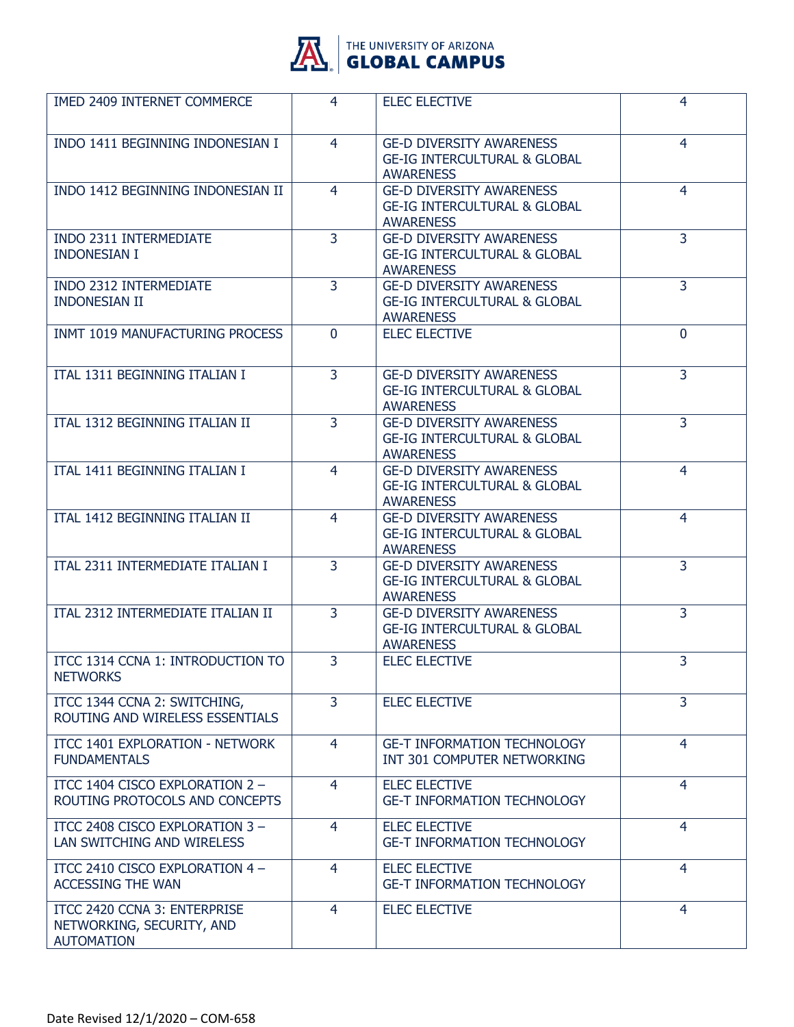

| <b>IMED 2409 INTERNET COMMERCE</b>                                             | 4              | <b>ELEC ELECTIVE</b>                                                                           | 4              |
|--------------------------------------------------------------------------------|----------------|------------------------------------------------------------------------------------------------|----------------|
| INDO 1411 BEGINNING INDONESIAN I                                               | 4              | <b>GE-D DIVERSITY AWARENESS</b><br><b>GE-IG INTERCULTURAL &amp; GLOBAL</b><br><b>AWARENESS</b> | 4              |
| INDO 1412 BEGINNING INDONESIAN II                                              | 4              | <b>GE-D DIVERSITY AWARENESS</b><br><b>GE-IG INTERCULTURAL &amp; GLOBAL</b><br><b>AWARENESS</b> | 4              |
| INDO 2311 INTERMEDIATE<br><b>INDONESIAN I</b>                                  | $\overline{3}$ | <b>GE-D DIVERSITY AWARENESS</b><br><b>GE-IG INTERCULTURAL &amp; GLOBAL</b><br><b>AWARENESS</b> | $\overline{3}$ |
| <b>INDO 2312 INTERMEDIATE</b><br><b>INDONESIAN II</b>                          | $\overline{3}$ | <b>GE-D DIVERSITY AWARENESS</b><br><b>GE-IG INTERCULTURAL &amp; GLOBAL</b><br><b>AWARENESS</b> | $\overline{3}$ |
| INMT 1019 MANUFACTURING PROCESS                                                | $\Omega$       | <b>ELEC ELECTIVE</b>                                                                           | $\Omega$       |
| ITAL 1311 BEGINNING ITALIAN I                                                  | $\overline{3}$ | <b>GE-D DIVERSITY AWARENESS</b><br><b>GE-IG INTERCULTURAL &amp; GLOBAL</b><br><b>AWARENESS</b> | 3              |
| ITAL 1312 BEGINNING ITALIAN II                                                 | $\overline{3}$ | <b>GE-D DIVERSITY AWARENESS</b><br><b>GE-IG INTERCULTURAL &amp; GLOBAL</b><br><b>AWARENESS</b> | 3              |
| ITAL 1411 BEGINNING ITALIAN I                                                  | 4              | <b>GE-D DIVERSITY AWARENESS</b><br><b>GE-IG INTERCULTURAL &amp; GLOBAL</b><br><b>AWARENESS</b> | 4              |
| ITAL 1412 BEGINNING ITALIAN II                                                 | 4              | <b>GE-D DIVERSITY AWARENESS</b><br><b>GE-IG INTERCULTURAL &amp; GLOBAL</b><br><b>AWARENESS</b> | 4              |
| ITAL 2311 INTERMEDIATE ITALIAN I                                               | $\overline{3}$ | <b>GE-D DIVERSITY AWARENESS</b><br><b>GE-IG INTERCULTURAL &amp; GLOBAL</b><br><b>AWARENESS</b> | 3              |
| ITAL 2312 INTERMEDIATE ITALIAN II                                              | $\overline{3}$ | <b>GE-D DIVERSITY AWARENESS</b><br><b>GE-IG INTERCULTURAL &amp; GLOBAL</b><br><b>AWARENESS</b> | $\overline{3}$ |
| ITCC 1314 CCNA 1: INTRODUCTION TO<br><b>NETWORKS</b>                           | 3              | <b>ELEC ELECTIVE</b>                                                                           | 3              |
| ITCC 1344 CCNA 2: SWITCHING,<br>ROUTING AND WIRELESS ESSENTIALS                | $\overline{3}$ | <b>ELEC ELECTIVE</b>                                                                           | 3              |
| ITCC 1401 EXPLORATION - NETWORK<br><b>FUNDAMENTALS</b>                         | $\overline{4}$ | <b>GE-T INFORMATION TECHNOLOGY</b><br>INT 301 COMPUTER NETWORKING                              | $\overline{4}$ |
| ITCC 1404 CISCO EXPLORATION 2 -<br>ROUTING PROTOCOLS AND CONCEPTS              | $\overline{4}$ | <b>ELEC ELECTIVE</b><br><b>GE-T INFORMATION TECHNOLOGY</b>                                     | 4              |
| ITCC 2408 CISCO EXPLORATION 3 -<br>LAN SWITCHING AND WIRELESS                  | $\overline{4}$ | <b>ELEC ELECTIVE</b><br><b>GE-T INFORMATION TECHNOLOGY</b>                                     | 4              |
| ITCC 2410 CISCO EXPLORATION 4 -<br><b>ACCESSING THE WAN</b>                    | 4              | <b>ELEC ELECTIVE</b><br><b>GE-T INFORMATION TECHNOLOGY</b>                                     | $\overline{4}$ |
| ITCC 2420 CCNA 3: ENTERPRISE<br>NETWORKING, SECURITY, AND<br><b>AUTOMATION</b> | 4              | <b>ELEC ELECTIVE</b>                                                                           | 4              |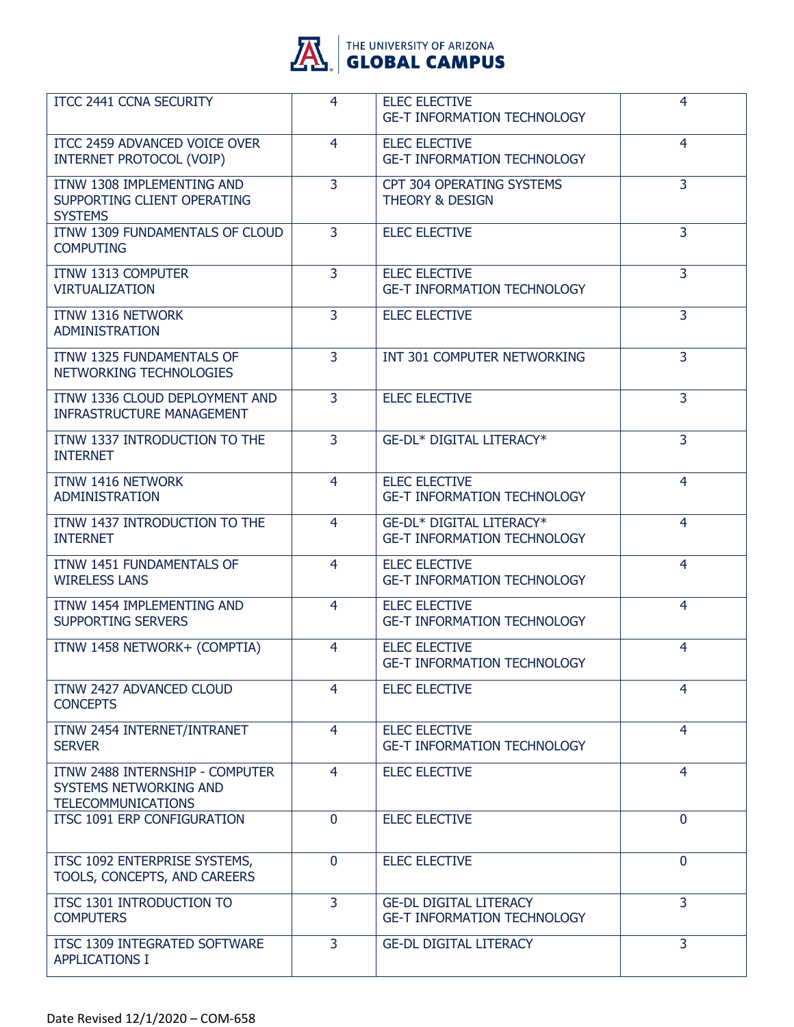

| ITCC 2441 CCNA SECURITY                                                                | $\overline{4}$ | <b>ELEC ELECTIVE</b><br><b>GE-T INFORMATION TECHNOLOGY</b>          | 4              |
|----------------------------------------------------------------------------------------|----------------|---------------------------------------------------------------------|----------------|
| ITCC 2459 ADVANCED VOICE OVER<br>INTERNET PROTOCOL (VOIP)                              | $\overline{4}$ | <b>ELEC ELECTIVE</b><br><b>GE-T INFORMATION TECHNOLOGY</b>          | $\overline{4}$ |
| ITNW 1308 IMPLEMENTING AND<br>SUPPORTING CLIENT OPERATING<br><b>SYSTEMS</b>            | $\overline{3}$ | CPT 304 OPERATING SYSTEMS<br><b>THEORY &amp; DESIGN</b>             | $\overline{3}$ |
| ITNW 1309 FUNDAMENTALS OF CLOUD<br><b>COMPUTING</b>                                    | 3              | <b>ELEC ELECTIVE</b>                                                | $\overline{3}$ |
| ITNW 1313 COMPUTER<br><b>VIRTUALIZATION</b>                                            | 3              | <b>ELEC ELECTIVE</b><br><b>GE-T INFORMATION TECHNOLOGY</b>          | $\overline{3}$ |
| ITNW 1316 NETWORK<br><b>ADMINISTRATION</b>                                             | 3              | <b>ELEC ELECTIVE</b>                                                | 3              |
| ITNW 1325 FUNDAMENTALS OF<br>NETWORKING TECHNOLOGIES                                   | $\overline{3}$ | INT 301 COMPUTER NETWORKING                                         | $\overline{3}$ |
| ITNW 1336 CLOUD DEPLOYMENT AND<br><b>INFRASTRUCTURE MANAGEMENT</b>                     | 3              | <b>ELEC ELECTIVE</b>                                                | $\overline{3}$ |
| ITNW 1337 INTRODUCTION TO THE<br><b>INTERNET</b>                                       | $\overline{3}$ | GE-DL* DIGITAL LITERACY*                                            | 3              |
| ITNW 1416 NETWORK<br><b>ADMINISTRATION</b>                                             | $\overline{4}$ | <b>ELEC ELECTIVE</b><br><b>GE-T INFORMATION TECHNOLOGY</b>          | $\overline{4}$ |
| ITNW 1437 INTRODUCTION TO THE<br><b>INTERNET</b>                                       | $\overline{4}$ | GE-DL* DIGITAL LITERACY*<br><b>GE-T INFORMATION TECHNOLOGY</b>      | $\overline{4}$ |
| ITNW 1451 FUNDAMENTALS OF<br><b>WIRELESS LANS</b>                                      | $\overline{4}$ | <b>ELEC ELECTIVE</b><br><b>GE-T INFORMATION TECHNOLOGY</b>          | 4              |
| ITNW 1454 IMPLEMENTING AND<br><b>SUPPORTING SERVERS</b>                                | $\overline{4}$ | <b>ELEC ELECTIVE</b><br><b>GE-T INFORMATION TECHNOLOGY</b>          | $\overline{4}$ |
| ITNW 1458 NETWORK+ (COMPTIA)                                                           | $\overline{4}$ | <b>ELEC ELECTIVE</b><br><b>GE-T INFORMATION TECHNOLOGY</b>          | $\overline{4}$ |
| ITNW 2427 ADVANCED CLOUD<br><b>CONCEPTS</b>                                            | 4              | <b>ELEC ELECTIVE</b>                                                | 4              |
| ITNW 2454 INTERNET/INTRANET<br><b>SERVER</b>                                           | $\overline{4}$ | <b>ELEC ELECTIVE</b><br><b>GE-T INFORMATION TECHNOLOGY</b>          | $\overline{4}$ |
| ITNW 2488 INTERNSHIP - COMPUTER<br>SYSTEMS NETWORKING AND<br><b>TELECOMMUNICATIONS</b> | $\overline{4}$ | <b>ELEC ELECTIVE</b>                                                | $\overline{4}$ |
| <b>ITSC 1091 ERP CONFIGURATION</b>                                                     | $\mathbf{0}$   | <b>ELEC ELECTIVE</b>                                                | $\mathbf 0$    |
| ITSC 1092 ENTERPRISE SYSTEMS,<br>TOOLS, CONCEPTS, AND CAREERS                          | $\mathbf{0}$   | <b>ELEC ELECTIVE</b>                                                | $\mathbf{0}$   |
| ITSC 1301 INTRODUCTION TO<br><b>COMPUTERS</b>                                          | 3              | <b>GE-DL DIGITAL LITERACY</b><br><b>GE-T INFORMATION TECHNOLOGY</b> | 3              |
| ITSC 1309 INTEGRATED SOFTWARE<br><b>APPLICATIONS I</b>                                 | $\overline{3}$ | <b>GE-DL DIGITAL LITERACY</b>                                       | 3              |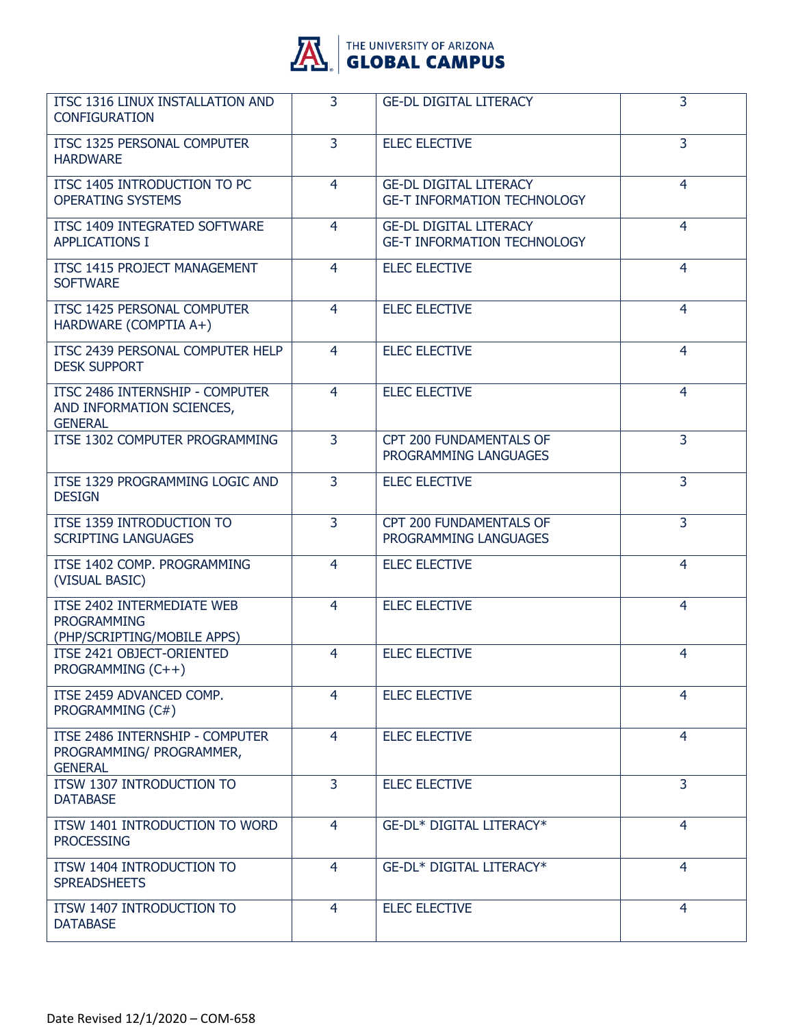

| ITSC 1316 LINUX INSTALLATION AND<br><b>CONFIGURATION</b>                        | 3              | <b>GE-DL DIGITAL LITERACY</b>                                       | 3              |
|---------------------------------------------------------------------------------|----------------|---------------------------------------------------------------------|----------------|
| ITSC 1325 PERSONAL COMPUTER<br><b>HARDWARE</b>                                  | $\overline{3}$ | <b>ELEC ELECTIVE</b>                                                | $\overline{3}$ |
| ITSC 1405 INTRODUCTION TO PC<br><b>OPERATING SYSTEMS</b>                        | 4              | <b>GE-DL DIGITAL LITERACY</b><br><b>GE-T INFORMATION TECHNOLOGY</b> | $\overline{4}$ |
| ITSC 1409 INTEGRATED SOFTWARE<br><b>APPLICATIONS I</b>                          | $\overline{4}$ | <b>GE-DL DIGITAL LITERACY</b><br><b>GE-T INFORMATION TECHNOLOGY</b> | 4              |
| ITSC 1415 PROJECT MANAGEMENT<br><b>SOFTWARE</b>                                 | 4              | <b>ELEC ELECTIVE</b>                                                | 4              |
| ITSC 1425 PERSONAL COMPUTER<br>HARDWARE (COMPTIA A+)                            | $\overline{4}$ | <b>ELEC ELECTIVE</b>                                                | $\overline{4}$ |
| ITSC 2439 PERSONAL COMPUTER HELP<br><b>DESK SUPPORT</b>                         | 4              | <b>ELEC ELECTIVE</b>                                                | 4              |
| ITSC 2486 INTERNSHIP - COMPUTER<br>AND INFORMATION SCIENCES,<br><b>GENERAL</b>  | 4              | <b>ELEC ELECTIVE</b>                                                | 4              |
| ITSE 1302 COMPUTER PROGRAMMING                                                  | $\overline{3}$ | CPT 200 FUNDAMENTALS OF<br>PROGRAMMING LANGUAGES                    | $\overline{3}$ |
| ITSE 1329 PROGRAMMING LOGIC AND<br><b>DESIGN</b>                                | 3              | <b>ELEC ELECTIVE</b>                                                | 3              |
| ITSE 1359 INTRODUCTION TO<br><b>SCRIPTING LANGUAGES</b>                         | $\overline{3}$ | CPT 200 FUNDAMENTALS OF<br>PROGRAMMING LANGUAGES                    | 3              |
| ITSE 1402 COMP. PROGRAMMING<br>(VISUAL BASIC)                                   | 4              | <b>ELEC ELECTIVE</b>                                                | 4              |
| ITSE 2402 INTERMEDIATE WEB<br><b>PROGRAMMING</b><br>(PHP/SCRIPTING/MOBILE APPS) | 4              | <b>ELEC ELECTIVE</b>                                                | 4              |
| ITSE 2421 OBJECT-ORIENTED<br>PROGRAMMING (C++)                                  | 4              | <b>ELEC ELECTIVE</b>                                                | 4              |
| ITSE 2459 ADVANCED COMP.<br>PROGRAMMING (C#)                                    | 4              | <b>ELEC ELECTIVE</b>                                                | 4              |
| ITSE 2486 INTERNSHIP - COMPUTER<br>PROGRAMMING/ PROGRAMMER,<br><b>GENERAL</b>   | 4              | <b>ELEC ELECTIVE</b>                                                | $\overline{4}$ |
| ITSW 1307 INTRODUCTION TO<br><b>DATABASE</b>                                    | $\overline{3}$ | <b>ELEC ELECTIVE</b>                                                | $\overline{3}$ |
| ITSW 1401 INTRODUCTION TO WORD<br><b>PROCESSING</b>                             | 4              | GE-DL* DIGITAL LITERACY*                                            | $\overline{4}$ |
| ITSW 1404 INTRODUCTION TO<br><b>SPREADSHEETS</b>                                | $\overline{4}$ | GE-DL* DIGITAL LITERACY*                                            | 4              |
| ITSW 1407 INTRODUCTION TO<br><b>DATABASE</b>                                    | $\overline{4}$ | <b>ELEC ELECTIVE</b>                                                | $\overline{4}$ |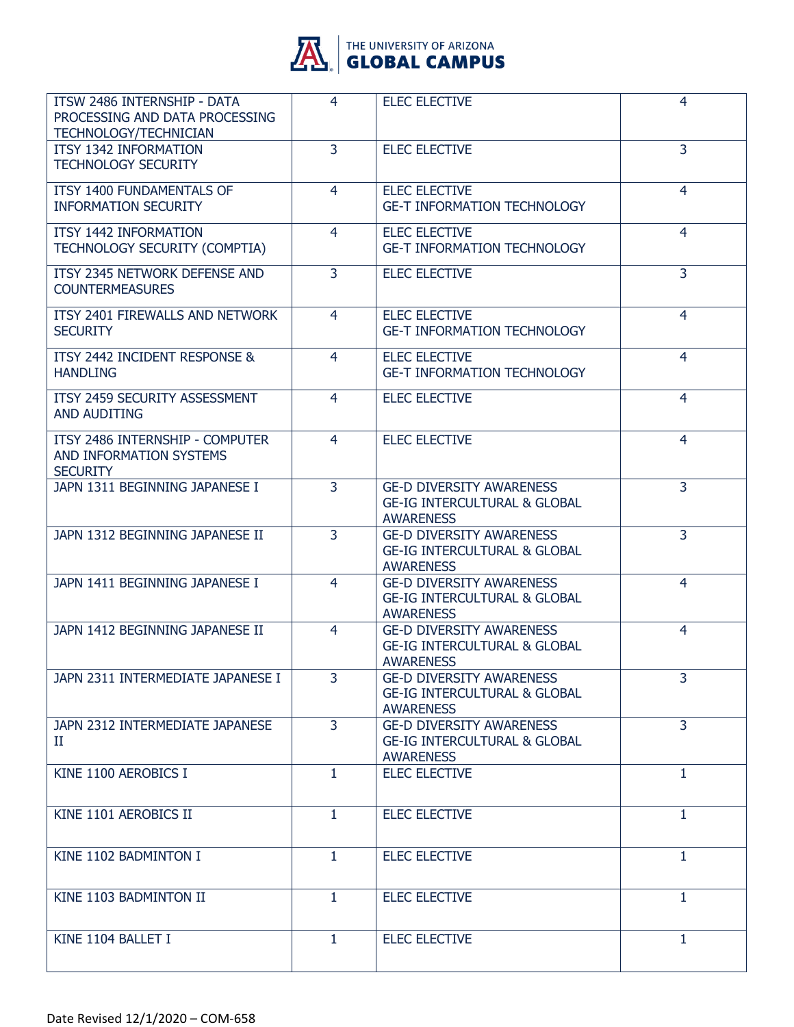

| ITSW 2486 INTERNSHIP - DATA<br>PROCESSING AND DATA PROCESSING<br><b>TECHNOLOGY/TECHNICIAN</b> | 4              | <b>ELEC ELECTIVE</b>                                                                           | 4              |
|-----------------------------------------------------------------------------------------------|----------------|------------------------------------------------------------------------------------------------|----------------|
| ITSY 1342 INFORMATION<br><b>TECHNOLOGY SECURITY</b>                                           | 3              | <b>ELEC ELECTIVE</b>                                                                           | 3              |
| <b>ITSY 1400 FUNDAMENTALS OF</b><br><b>INFORMATION SECURITY</b>                               | 4              | <b>ELEC ELECTIVE</b><br><b>GE-T INFORMATION TECHNOLOGY</b>                                     | $\overline{4}$ |
| ITSY 1442 INFORMATION<br>TECHNOLOGY SECURITY (COMPTIA)                                        | $\overline{4}$ | <b>ELEC ELECTIVE</b><br><b>GE-T INFORMATION TECHNOLOGY</b>                                     | 4              |
| ITSY 2345 NETWORK DEFENSE AND<br><b>COUNTERMEASURES</b>                                       | 3              | <b>ELEC ELECTIVE</b>                                                                           | 3              |
| ITSY 2401 FIREWALLS AND NETWORK<br><b>SECURITY</b>                                            | 4              | <b>ELEC ELECTIVE</b><br><b>GE-T INFORMATION TECHNOLOGY</b>                                     | 4              |
| ITSY 2442 INCIDENT RESPONSE &<br><b>HANDLING</b>                                              | 4              | <b>ELEC ELECTIVE</b><br><b>GE-T INFORMATION TECHNOLOGY</b>                                     | 4              |
| ITSY 2459 SECURITY ASSESSMENT<br>AND AUDITING                                                 | 4              | <b>ELEC ELECTIVE</b>                                                                           | 4              |
| ITSY 2486 INTERNSHIP - COMPUTER<br>AND INFORMATION SYSTEMS<br><b>SECURITY</b>                 | 4              | <b>ELEC ELECTIVE</b>                                                                           | 4              |
| JAPN 1311 BEGINNING JAPANESE I                                                                | 3              | <b>GE-D DIVERSITY AWARENESS</b><br><b>GE-IG INTERCULTURAL &amp; GLOBAL</b><br><b>AWARENESS</b> | $\overline{3}$ |
| JAPN 1312 BEGINNING JAPANESE II                                                               | $\overline{3}$ | <b>GE-D DIVERSITY AWARENESS</b><br><b>GE-IG INTERCULTURAL &amp; GLOBAL</b><br><b>AWARENESS</b> | $\overline{3}$ |
| JAPN 1411 BEGINNING JAPANESE I                                                                | $\overline{4}$ | <b>GE-D DIVERSITY AWARENESS</b><br><b>GE-IG INTERCULTURAL &amp; GLOBAL</b><br><b>AWARENESS</b> | $\overline{4}$ |
| JAPN 1412 BEGINNING JAPANESE II                                                               | $\overline{4}$ | <b>GE-D DIVERSITY AWARENESS</b><br><b>GE-IG INTERCULTURAL &amp; GLOBAL</b><br><b>AWARENESS</b> | $\overline{4}$ |
| JAPN 2311 INTERMEDIATE JAPANESE I                                                             | 3              | <b>GE-D DIVERSITY AWARENESS</b><br><b>GE-IG INTERCULTURAL &amp; GLOBAL</b><br><b>AWARENESS</b> | 3              |
| JAPN 2312 INTERMEDIATE JAPANESE<br>П.                                                         | 3              | <b>GE-D DIVERSITY AWARENESS</b><br><b>GE-IG INTERCULTURAL &amp; GLOBAL</b><br><b>AWARENESS</b> | $\overline{3}$ |
| KINE 1100 AEROBICS I                                                                          | $\mathbf{1}$   | <b>ELEC ELECTIVE</b>                                                                           | $\mathbf{1}$   |
| KINE 1101 AEROBICS II                                                                         | $\mathbf{1}$   | <b>ELEC ELECTIVE</b>                                                                           | 1              |
| KINE 1102 BADMINTON I                                                                         | $\mathbf{1}$   | <b>ELEC ELECTIVE</b>                                                                           | 1              |
| KINE 1103 BADMINTON II                                                                        | $\mathbf{1}$   | <b>ELEC ELECTIVE</b>                                                                           | 1              |
| KINE 1104 BALLET I                                                                            | $\mathbf{1}$   | <b>ELEC ELECTIVE</b>                                                                           | $\mathbf{1}$   |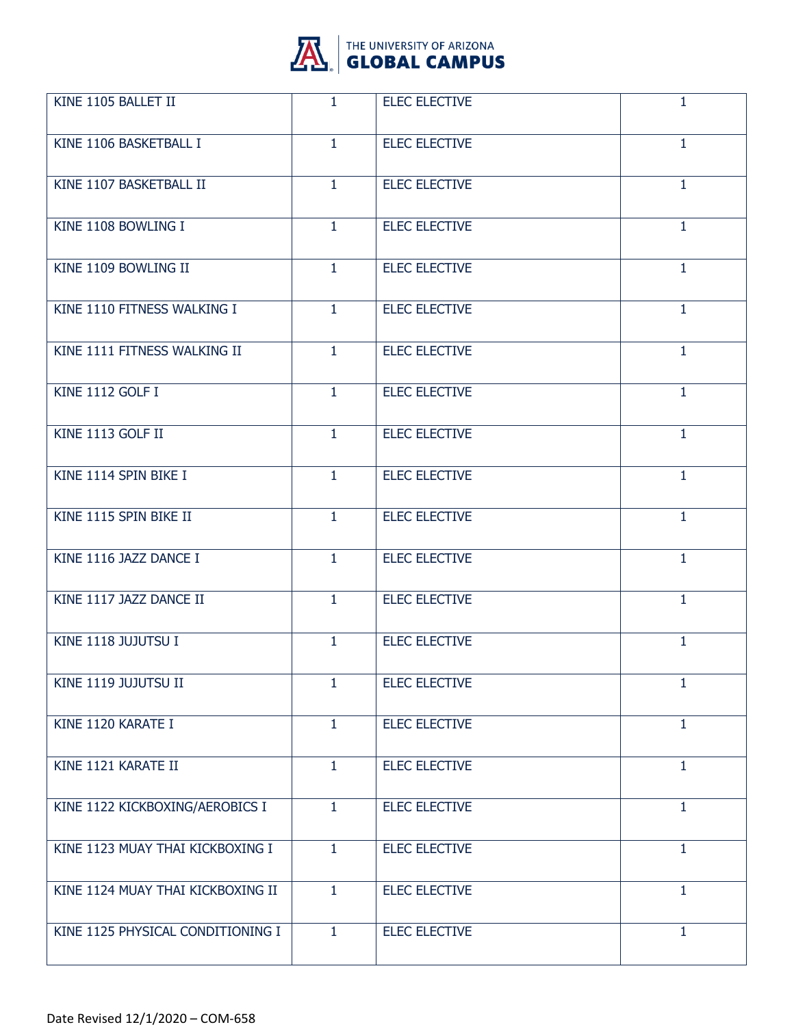

| KINE 1105 BALLET II               | $\mathbf{1}$ | <b>ELEC ELECTIVE</b> | $\mathbf{1}$ |
|-----------------------------------|--------------|----------------------|--------------|
| KINE 1106 BASKETBALL I            | $\mathbf{1}$ | <b>ELEC ELECTIVE</b> | $\mathbf{1}$ |
| KINE 1107 BASKETBALL II           | $\mathbf{1}$ | <b>ELEC ELECTIVE</b> | $\mathbf{1}$ |
| KINE 1108 BOWLING I               | $\mathbf{1}$ | <b>ELEC ELECTIVE</b> | $\mathbf{1}$ |
| KINE 1109 BOWLING II              | $\mathbf{1}$ | <b>ELEC ELECTIVE</b> | $\mathbf{1}$ |
| KINE 1110 FITNESS WALKING I       | $\mathbf{1}$ | <b>ELEC ELECTIVE</b> | $\mathbf{1}$ |
| KINE 1111 FITNESS WALKING II      | $\mathbf{1}$ | <b>ELEC ELECTIVE</b> | $\mathbf{1}$ |
| KINE 1112 GOLF I                  | $\mathbf{1}$ | <b>ELEC ELECTIVE</b> | 1            |
| KINE 1113 GOLF II                 | $\mathbf{1}$ | <b>ELEC ELECTIVE</b> | $\mathbf{1}$ |
| KINE 1114 SPIN BIKE I             | $\mathbf{1}$ | <b>ELEC ELECTIVE</b> | $\mathbf{1}$ |
| KINE 1115 SPIN BIKE II            | $\mathbf{1}$ | <b>ELEC ELECTIVE</b> | $\mathbf{1}$ |
| KINE 1116 JAZZ DANCE I            | $\mathbf{1}$ | <b>ELEC ELECTIVE</b> | $\mathbf{1}$ |
| KINE 1117 JAZZ DANCE II           | $\mathbf{1}$ | <b>ELEC ELECTIVE</b> | $\mathbf{1}$ |
| KINE 1118 JUJUTSU I               | 1.           | <b>ELEC ELECTIVE</b> | $\mathbf{1}$ |
| KINE 1119 JUJUTSU II              | 1            | <b>ELEC ELECTIVE</b> | 1            |
| KINE 1120 KARATE I                | $\mathbf{1}$ | <b>ELEC ELECTIVE</b> | $\mathbf{1}$ |
| KINE 1121 KARATE II               | $\mathbf{1}$ | <b>ELEC ELECTIVE</b> | 1            |
| KINE 1122 KICKBOXING/AEROBICS I   | $\mathbf{1}$ | <b>ELEC ELECTIVE</b> | 1            |
| KINE 1123 MUAY THAI KICKBOXING I  | $\mathbf{1}$ | <b>ELEC ELECTIVE</b> | $\mathbf{1}$ |
| KINE 1124 MUAY THAI KICKBOXING II | $\mathbf{1}$ | <b>ELEC ELECTIVE</b> | $\mathbf{1}$ |
| KINE 1125 PHYSICAL CONDITIONING I | $\mathbf{1}$ | <b>ELEC ELECTIVE</b> | $\mathbf{1}$ |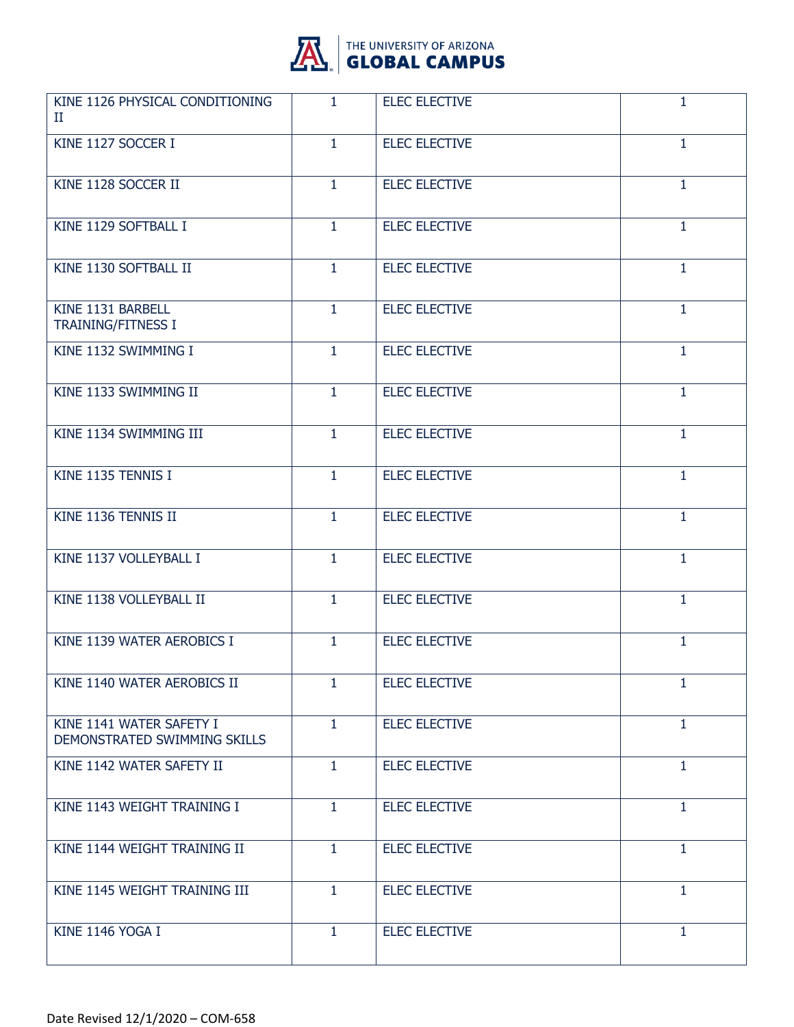

| KINE 1126 PHYSICAL CONDITIONING<br>П                     | 1.           | <b>ELEC ELECTIVE</b> | 1            |
|----------------------------------------------------------|--------------|----------------------|--------------|
| KINE 1127 SOCCER I                                       | $\mathbf{1}$ | <b>ELEC ELECTIVE</b> | $\mathbf{1}$ |
| KINE 1128 SOCCER II                                      | 1            | <b>ELEC ELECTIVE</b> | 1            |
| KINE 1129 SOFTBALL I                                     | $\mathbf{1}$ | <b>ELEC ELECTIVE</b> | 1            |
| KINE 1130 SOFTBALL II                                    | $\mathbf{1}$ | <b>ELEC ELECTIVE</b> | 1            |
| KINE 1131 BARBELL<br><b>TRAINING/FITNESS I</b>           | 1            | <b>ELEC ELECTIVE</b> | 1            |
| KINE 1132 SWIMMING I                                     | $\mathbf{1}$ | <b>ELEC ELECTIVE</b> | 1            |
| KINE 1133 SWIMMING II                                    | $\mathbf{1}$ | <b>ELEC ELECTIVE</b> | 1            |
| KINE 1134 SWIMMING III                                   | 1            | <b>ELEC ELECTIVE</b> | $\mathbf{1}$ |
| KINE 1135 TENNIS I                                       | $\mathbf{1}$ | <b>ELEC ELECTIVE</b> | 1            |
| KINE 1136 TENNIS II                                      | $\mathbf{1}$ | <b>ELEC ELECTIVE</b> | 1            |
| KINE 1137 VOLLEYBALL I                                   | 1            | <b>ELEC ELECTIVE</b> | 1            |
| KINE 1138 VOLLEYBALL II                                  | $\mathbf{1}$ | <b>ELEC ELECTIVE</b> | $\mathbf{1}$ |
| KINE 1139 WATER AEROBICS I                               | $\mathbf{1}$ | <b>ELEC ELECTIVE</b> | 1            |
| KINE 1140 WATER AEROBICS II                              | 1            | <b>ELEC ELECTIVE</b> | $\mathbf{1}$ |
| KINE 1141 WATER SAFETY I<br>DEMONSTRATED SWIMMING SKILLS | $\mathbf{1}$ | <b>ELEC ELECTIVE</b> | 1            |
| KINE 1142 WATER SAFETY II                                | $\mathbf{1}$ | <b>ELEC ELECTIVE</b> | $\mathbf{1}$ |
| KINE 1143 WEIGHT TRAINING I                              | $\mathbf{1}$ | <b>ELEC ELECTIVE</b> | $\mathbf{1}$ |
| KINE 1144 WEIGHT TRAINING II                             | $\mathbf{1}$ | <b>ELEC ELECTIVE</b> | 1            |
| KINE 1145 WEIGHT TRAINING III                            | $\mathbf{1}$ | <b>ELEC ELECTIVE</b> | $\mathbf{1}$ |
| KINE 1146 YOGA I                                         | $\mathbf{1}$ | <b>ELEC ELECTIVE</b> | $\mathbf{1}$ |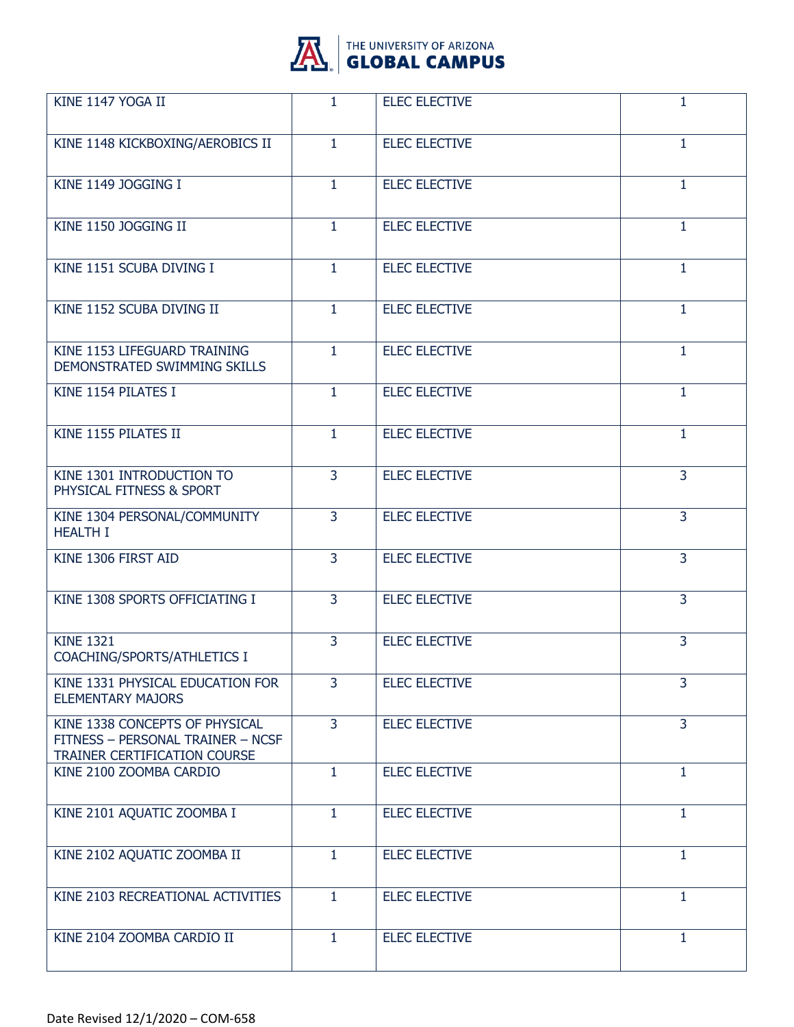

| KINE 1147 YOGA II                                                                                   | $\mathbf{1}$   | <b>ELEC ELECTIVE</b> | 1              |
|-----------------------------------------------------------------------------------------------------|----------------|----------------------|----------------|
| KINE 1148 KICKBOXING/AEROBICS II                                                                    | $\mathbf{1}$   | <b>ELEC ELECTIVE</b> | 1              |
| KINE 1149 JOGGING I                                                                                 | $\mathbf{1}$   | <b>ELEC ELECTIVE</b> | $\mathbf{1}$   |
| KINE 1150 JOGGING II                                                                                | $\mathbf{1}$   | <b>ELEC ELECTIVE</b> | $\mathbf{1}$   |
| KINE 1151 SCUBA DIVING I                                                                            | $\mathbf{1}$   | <b>ELEC ELECTIVE</b> | 1              |
| KINE 1152 SCUBA DIVING II                                                                           | $\mathbf{1}$   | <b>ELEC ELECTIVE</b> | $\mathbf{1}$   |
| KINE 1153 LIFEGUARD TRAINING<br>DEMONSTRATED SWIMMING SKILLS                                        | $\mathbf{1}$   | <b>ELEC ELECTIVE</b> | $\mathbf{1}$   |
| KINE 1154 PILATES I                                                                                 | $\mathbf{1}$   | <b>ELEC ELECTIVE</b> | 1              |
| KINE 1155 PILATES II                                                                                | $\mathbf{1}$   | <b>ELEC ELECTIVE</b> | $\mathbf{1}$   |
| KINE 1301 INTRODUCTION TO<br>PHYSICAL FITNESS & SPORT                                               | 3              | <b>ELEC ELECTIVE</b> | $\overline{3}$ |
| KINE 1304 PERSONAL/COMMUNITY<br><b>HEALTH I</b>                                                     | $\overline{3}$ | <b>ELEC ELECTIVE</b> | 3              |
| KINE 1306 FIRST AID                                                                                 | 3              | <b>ELEC ELECTIVE</b> | 3              |
| KINE 1308 SPORTS OFFICIATING I                                                                      | 3              | <b>ELEC ELECTIVE</b> | $\overline{3}$ |
| <b>KINE 1321</b><br>COACHING/SPORTS/ATHLETICS I                                                     | 3              | <b>ELEC ELECTIVE</b> | 3              |
| KINE 1331 PHYSICAL EDUCATION FOR<br><b>ELEMENTARY MAJORS</b>                                        | 3              | <b>ELEC ELECTIVE</b> | 3              |
| KINE 1338 CONCEPTS OF PHYSICAL<br>FITNESS - PERSONAL TRAINER - NCSF<br>TRAINER CERTIFICATION COURSE | 3              | <b>ELEC ELECTIVE</b> | 3              |
| KINE 2100 ZOOMBA CARDIO                                                                             | $\mathbf{1}$   | <b>ELEC ELECTIVE</b> | $\mathbf{1}$   |
| KINE 2101 AQUATIC ZOOMBA I                                                                          | $\mathbf{1}$   | <b>ELEC ELECTIVE</b> | 1              |
| KINE 2102 AQUATIC ZOOMBA II                                                                         | $\mathbf{1}$   | <b>ELEC ELECTIVE</b> | $\mathbf{1}$   |
| KINE 2103 RECREATIONAL ACTIVITIES                                                                   | $\mathbf{1}$   | <b>ELEC ELECTIVE</b> | $\mathbf{1}$   |
| KINE 2104 ZOOMBA CARDIO II                                                                          | $\mathbf{1}$   | <b>ELEC ELECTIVE</b> | 1              |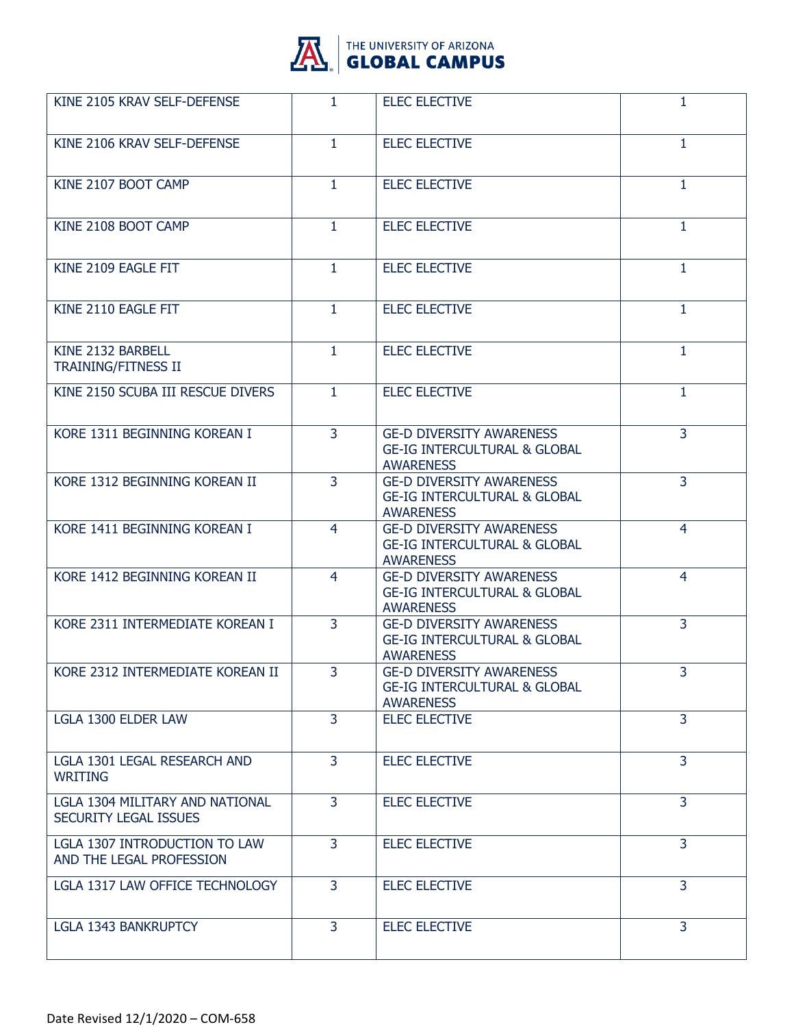

| KINE 2105 KRAV SELF-DEFENSE                               | 1.             | <b>ELEC ELECTIVE</b>                                                                           | 1              |
|-----------------------------------------------------------|----------------|------------------------------------------------------------------------------------------------|----------------|
| KINE 2106 KRAV SELF-DEFENSE                               | $\mathbf{1}$   | <b>ELEC ELECTIVE</b>                                                                           | $\mathbf{1}$   |
| KINE 2107 BOOT CAMP                                       | 1              | <b>ELEC ELECTIVE</b>                                                                           | 1              |
| KINE 2108 BOOT CAMP                                       | $\mathbf{1}$   | <b>ELEC ELECTIVE</b>                                                                           | $\mathbf{1}$   |
| KINE 2109 EAGLE FIT                                       | $\mathbf{1}$   | <b>ELEC ELECTIVE</b>                                                                           | 1              |
| KINE 2110 EAGLE FIT                                       | 1              | <b>ELEC ELECTIVE</b>                                                                           | $\mathbf{1}$   |
| KINE 2132 BARBELL<br><b>TRAINING/FITNESS II</b>           | $\mathbf{1}$   | <b>ELEC ELECTIVE</b>                                                                           | $\mathbf{1}$   |
| KINE 2150 SCUBA III RESCUE DIVERS                         | $\mathbf{1}$   | <b>ELEC ELECTIVE</b>                                                                           | 1              |
| KORE 1311 BEGINNING KOREAN I                              | $\overline{3}$ | <b>GE-D DIVERSITY AWARENESS</b><br><b>GE-IG INTERCULTURAL &amp; GLOBAL</b><br><b>AWARENESS</b> | 3              |
| KORE 1312 BEGINNING KOREAN II                             | 3              | <b>GE-D DIVERSITY AWARENESS</b><br><b>GE-IG INTERCULTURAL &amp; GLOBAL</b><br><b>AWARENESS</b> | 3              |
| KORE 1411 BEGINNING KOREAN I                              | 4              | <b>GE-D DIVERSITY AWARENESS</b><br><b>GE-IG INTERCULTURAL &amp; GLOBAL</b><br><b>AWARENESS</b> | 4              |
| KORE 1412 BEGINNING KOREAN II                             | 4              | <b>GE-D DIVERSITY AWARENESS</b><br><b>GE-IG INTERCULTURAL &amp; GLOBAL</b><br><b>AWARENESS</b> | 4              |
| KORE 2311 INTERMEDIATE KOREAN I                           | 3              | <b>GE-D DIVERSITY AWARENESS</b><br><b>GE-IG INTERCULTURAL &amp; GLOBAL</b><br><b>AWARENESS</b> | 3              |
| KORE 2312 INTERMEDIATE KOREAN II                          | 3              | <b>GE-D DIVERSITY AWARENESS</b><br><b>GE-IG INTERCULTURAL &amp; GLOBAL</b><br><b>AWARENESS</b> | 3              |
| LGLA 1300 ELDER LAW                                       | $\overline{3}$ | <b>ELEC ELECTIVE</b>                                                                           | 3              |
| LGLA 1301 LEGAL RESEARCH AND<br><b>WRITING</b>            | $\overline{3}$ | <b>ELEC ELECTIVE</b>                                                                           | $\overline{3}$ |
| LGLA 1304 MILITARY AND NATIONAL<br>SECURITY LEGAL ISSUES  | 3              | <b>ELEC ELECTIVE</b>                                                                           | 3              |
| LGLA 1307 INTRODUCTION TO LAW<br>AND THE LEGAL PROFESSION | 3              | <b>ELEC ELECTIVE</b>                                                                           | 3              |
| LGLA 1317 LAW OFFICE TECHNOLOGY                           | $\overline{3}$ | <b>ELEC ELECTIVE</b>                                                                           | 3              |
| <b>LGLA 1343 BANKRUPTCY</b>                               | 3              | <b>ELEC ELECTIVE</b>                                                                           | 3              |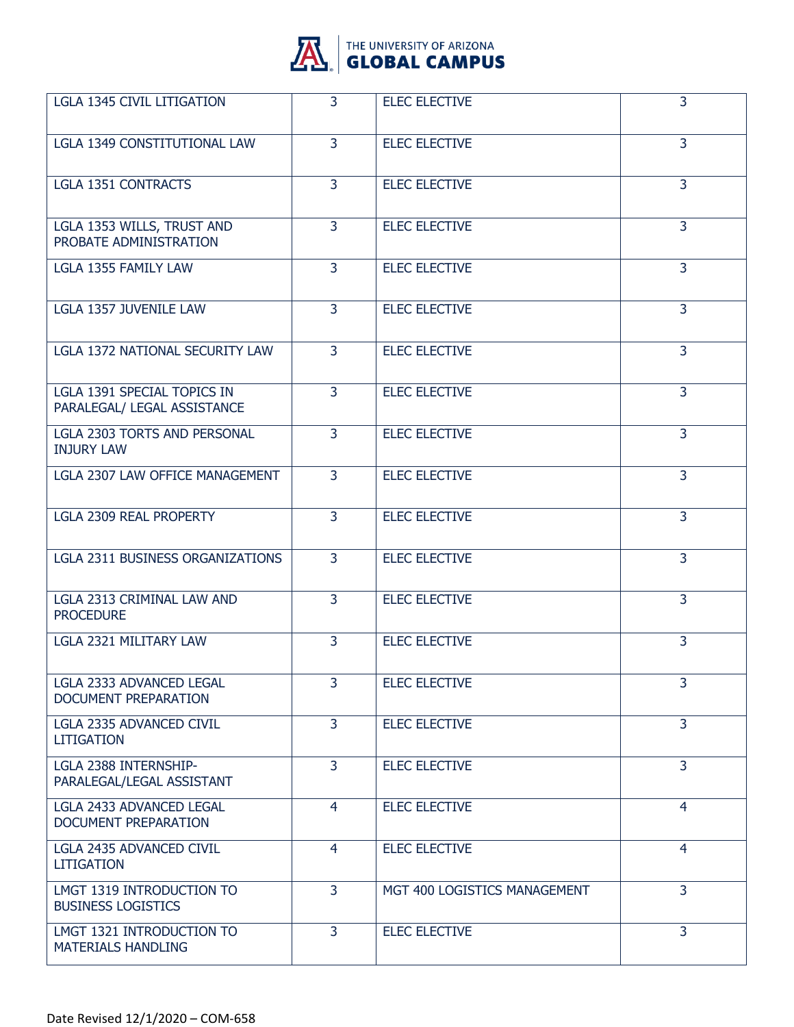

| <b>LGLA 1345 CIVIL LITIGATION</b>                          | 3              | <b>ELEC ELECTIVE</b>         | 3              |
|------------------------------------------------------------|----------------|------------------------------|----------------|
| <b>LGLA 1349 CONSTITUTIONAL LAW</b>                        | $\overline{3}$ | <b>ELEC ELECTIVE</b>         | 3              |
| <b>LGLA 1351 CONTRACTS</b>                                 | 3              | <b>ELEC ELECTIVE</b>         | 3              |
| LGLA 1353 WILLS, TRUST AND<br>PROBATE ADMINISTRATION       | 3              | <b>ELEC ELECTIVE</b>         | 3              |
| LGLA 1355 FAMILY LAW                                       | $\overline{3}$ | <b>ELEC ELECTIVE</b>         | 3              |
| <b>LGLA 1357 JUVENILE LAW</b>                              | 3              | <b>ELEC ELECTIVE</b>         | 3              |
| LGLA 1372 NATIONAL SECURITY LAW                            | 3              | <b>ELEC ELECTIVE</b>         | 3              |
| LGLA 1391 SPECIAL TOPICS IN<br>PARALEGAL/ LEGAL ASSISTANCE | $\overline{3}$ | <b>ELEC ELECTIVE</b>         | $\overline{3}$ |
| LGLA 2303 TORTS AND PERSONAL<br><b>INJURY LAW</b>          | 3              | <b>ELEC ELECTIVE</b>         | 3              |
| LGLA 2307 LAW OFFICE MANAGEMENT                            | 3              | <b>ELEC ELECTIVE</b>         | 3              |
| <b>LGLA 2309 REAL PROPERTY</b>                             | $\overline{3}$ | <b>ELEC ELECTIVE</b>         | $\overline{3}$ |
| <b>LGLA 2311 BUSINESS ORGANIZATIONS</b>                    | $\overline{3}$ | <b>ELEC ELECTIVE</b>         | 3              |
| LGLA 2313 CRIMINAL LAW AND<br><b>PROCEDURE</b>             | 3              | <b>ELEC ELECTIVE</b>         | 3              |
| LGLA 2321 MILITARY LAW                                     | $\overline{3}$ | <b>ELEC ELECTIVE</b>         | 3              |
| <b>LGLA 2333 ADVANCED LEGAL</b><br>DOCUMENT PREPARATION    | $\overline{3}$ | <b>ELEC ELECTIVE</b>         | 3              |
| LGLA 2335 ADVANCED CIVIL<br><b>LITIGATION</b>              | 3              | <b>ELEC ELECTIVE</b>         | 3              |
| LGLA 2388 INTERNSHIP-<br>PARALEGAL/LEGAL ASSISTANT         | 3              | <b>ELEC ELECTIVE</b>         | $\overline{3}$ |
| <b>LGLA 2433 ADVANCED LEGAL</b><br>DOCUMENT PREPARATION    | $\overline{4}$ | <b>ELEC ELECTIVE</b>         | $\overline{4}$ |
| LGLA 2435 ADVANCED CIVIL<br><b>LITIGATION</b>              | $\overline{4}$ | <b>ELEC ELECTIVE</b>         | $\overline{4}$ |
| LMGT 1319 INTRODUCTION TO<br><b>BUSINESS LOGISTICS</b>     | 3              | MGT 400 LOGISTICS MANAGEMENT | $\overline{3}$ |
| LMGT 1321 INTRODUCTION TO<br><b>MATERIALS HANDLING</b>     | $\overline{3}$ | <b>ELEC ELECTIVE</b>         | $\overline{3}$ |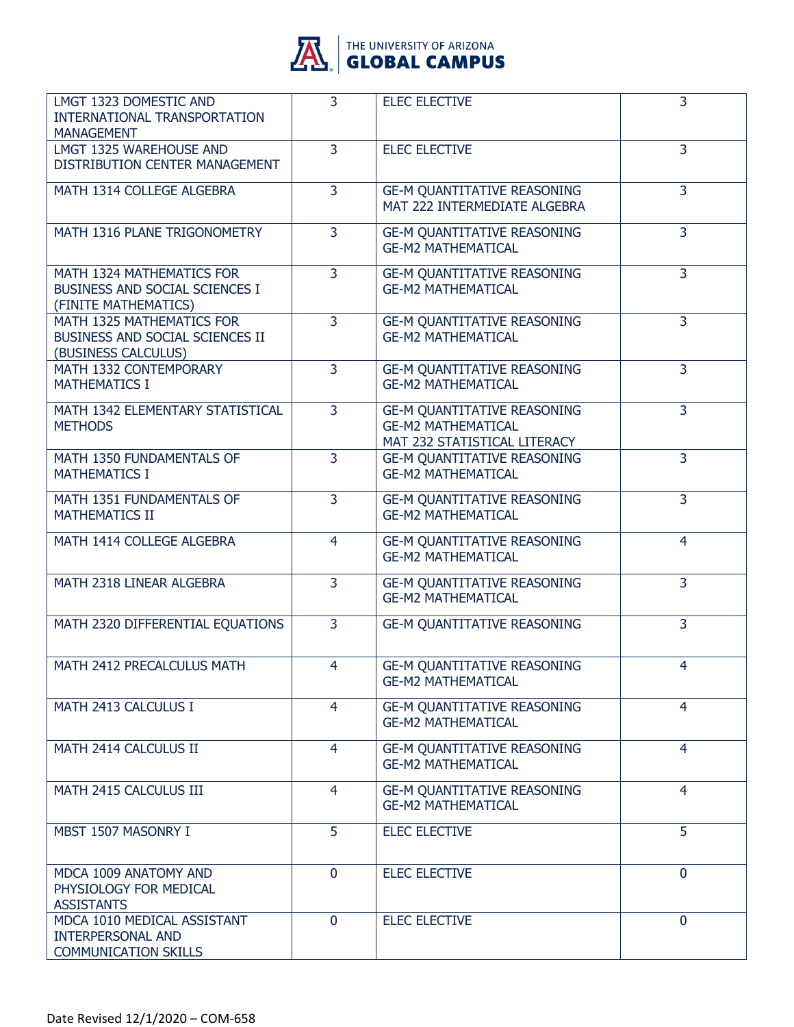

| LMGT 1323 DOMESTIC AND<br>INTERNATIONAL TRANSPORTATION<br><b>MANAGEMENT</b>            | $\overline{3}$ | <b>ELEC ELECTIVE</b>                                                                            | 3              |
|----------------------------------------------------------------------------------------|----------------|-------------------------------------------------------------------------------------------------|----------------|
| LMGT 1325 WAREHOUSE AND<br>DISTRIBUTION CENTER MANAGEMENT                              | 3              | <b>ELEC ELECTIVE</b>                                                                            | 3              |
| MATH 1314 COLLEGE ALGEBRA                                                              | 3              | <b>GE-M QUANTITATIVE REASONING</b><br>MAT 222 INTERMEDIATE ALGEBRA                              | $\overline{3}$ |
| MATH 1316 PLANE TRIGONOMETRY                                                           | $\overline{3}$ | <b>GE-M QUANTITATIVE REASONING</b><br><b>GE-M2 MATHEMATICAL</b>                                 | 3              |
| MATH 1324 MATHEMATICS FOR<br>BUSINESS AND SOCIAL SCIENCES I<br>(FINITE MATHEMATICS)    | 3              | <b>GE-M QUANTITATIVE REASONING</b><br><b>GE-M2 MATHEMATICAL</b>                                 | 3              |
| MATH 1325 MATHEMATICS FOR<br>BUSINESS AND SOCIAL SCIENCES II<br>(BUSINESS CALCULUS)    | $\overline{3}$ | <b>GE-M QUANTITATIVE REASONING</b><br><b>GE-M2 MATHEMATICAL</b>                                 | 3              |
| MATH 1332 CONTEMPORARY<br><b>MATHEMATICS I</b>                                         | $\overline{3}$ | <b>GE-M QUANTITATIVE REASONING</b><br><b>GE-M2 MATHEMATICAL</b>                                 | $\overline{3}$ |
| MATH 1342 ELEMENTARY STATISTICAL<br><b>METHODS</b>                                     | 3              | <b>GE-M QUANTITATIVE REASONING</b><br><b>GE-M2 MATHEMATICAL</b><br>MAT 232 STATISTICAL LITERACY | $\overline{3}$ |
| MATH 1350 FUNDAMENTALS OF<br><b>MATHEMATICS I</b>                                      | $\overline{3}$ | <b>GE-M QUANTITATIVE REASONING</b><br><b>GE-M2 MATHEMATICAL</b>                                 | 3              |
| MATH 1351 FUNDAMENTALS OF<br><b>MATHEMATICS II</b>                                     | 3              | <b>GE-M QUANTITATIVE REASONING</b><br><b>GE-M2 MATHEMATICAL</b>                                 | 3              |
| MATH 1414 COLLEGE ALGEBRA                                                              | 4              | <b>GE-M QUANTITATIVE REASONING</b><br><b>GE-M2 MATHEMATICAL</b>                                 | 4              |
| MATH 2318 LINEAR ALGEBRA                                                               | $\overline{3}$ | <b>GE-M QUANTITATIVE REASONING</b><br><b>GE-M2 MATHEMATICAL</b>                                 | $\overline{3}$ |
| MATH 2320 DIFFERENTIAL EQUATIONS                                                       | 3              | <b>GE-M QUANTITATIVE REASONING</b>                                                              | 3              |
| MATH 2412 PRECALCULUS MATH                                                             | $\overline{4}$ | <b>GE-M QUANTITATIVE REASONING</b><br><b>GE-M2 MATHEMATICAL</b>                                 | $\overline{4}$ |
| MATH 2413 CALCULUS I                                                                   | $\overline{4}$ | <b>GE-M QUANTITATIVE REASONING</b><br><b>GE-M2 MATHEMATICAL</b>                                 | $\overline{4}$ |
| MATH 2414 CALCULUS II                                                                  | 4              | <b>GE-M QUANTITATIVE REASONING</b><br><b>GE-M2 MATHEMATICAL</b>                                 | $\overline{4}$ |
| MATH 2415 CALCULUS III                                                                 | $\overline{4}$ | <b>GE-M QUANTITATIVE REASONING</b><br><b>GE-M2 MATHEMATICAL</b>                                 | $\overline{4}$ |
| MBST 1507 MASONRY I                                                                    | 5              | <b>ELEC ELECTIVE</b>                                                                            | 5              |
| MDCA 1009 ANATOMY AND<br>PHYSIOLOGY FOR MEDICAL<br><b>ASSISTANTS</b>                   | $\mathbf 0$    | <b>ELEC ELECTIVE</b>                                                                            | $\mathbf{0}$   |
| MDCA 1010 MEDICAL ASSISTANT<br><b>INTERPERSONAL AND</b><br><b>COMMUNICATION SKILLS</b> | $\mathbf 0$    | <b>ELEC ELECTIVE</b>                                                                            | $\mathbf{0}$   |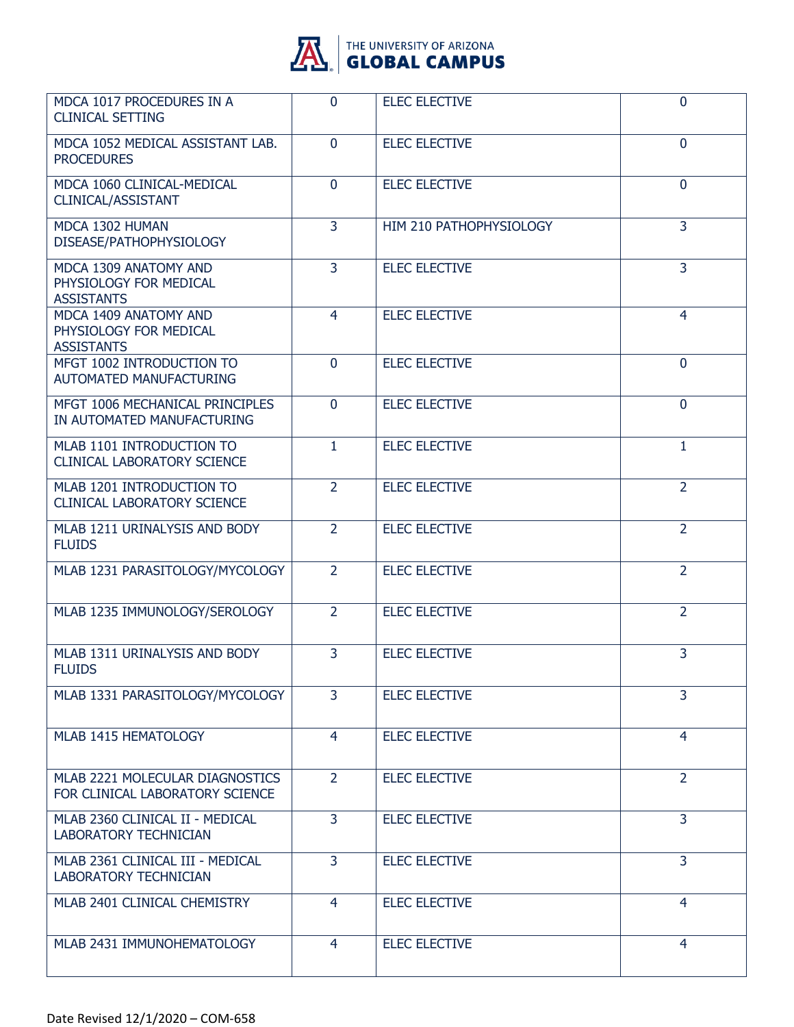

| MDCA 1017 PROCEDURES IN A<br><b>CLINICAL SETTING</b>                 | $\mathbf{0}$   | <b>ELEC ELECTIVE</b>    | $\mathbf 0$    |
|----------------------------------------------------------------------|----------------|-------------------------|----------------|
| MDCA 1052 MEDICAL ASSISTANT LAB.<br><b>PROCEDURES</b>                | $\mathbf{0}$   | <b>ELEC ELECTIVE</b>    | 0              |
| MDCA 1060 CLINICAL-MEDICAL<br>CLINICAL/ASSISTANT                     | $\mathbf 0$    | <b>ELEC ELECTIVE</b>    | $\mathbf 0$    |
| MDCA 1302 HUMAN<br>DISEASE/PATHOPHYSIOLOGY                           | $\overline{3}$ | HIM 210 PATHOPHYSIOLOGY | 3              |
| MDCA 1309 ANATOMY AND<br>PHYSIOLOGY FOR MEDICAL<br><b>ASSISTANTS</b> | $\overline{3}$ | <b>ELEC ELECTIVE</b>    | $\overline{3}$ |
| MDCA 1409 ANATOMY AND<br>PHYSIOLOGY FOR MEDICAL<br><b>ASSISTANTS</b> | $\overline{4}$ | <b>ELEC ELECTIVE</b>    | $\overline{4}$ |
| MFGT 1002 INTRODUCTION TO<br><b>AUTOMATED MANUFACTURING</b>          | $\overline{0}$ | <b>ELEC ELECTIVE</b>    | $\mathbf{0}$   |
| MFGT 1006 MECHANICAL PRINCIPLES<br>IN AUTOMATED MANUFACTURING        | $\mathbf{0}$   | <b>ELEC ELECTIVE</b>    | $\mathbf 0$    |
| MLAB 1101 INTRODUCTION TO<br><b>CLINICAL LABORATORY SCIENCE</b>      | $\mathbf{1}$   | <b>ELEC ELECTIVE</b>    | $\mathbf{1}$   |
| MLAB 1201 INTRODUCTION TO<br><b>CLINICAL LABORATORY SCIENCE</b>      | $\overline{2}$ | <b>ELEC ELECTIVE</b>    | $\overline{2}$ |
| MLAB 1211 URINALYSIS AND BODY<br><b>FLUIDS</b>                       | 2              | <b>ELEC ELECTIVE</b>    | 2              |
| MLAB 1231 PARASITOLOGY/MYCOLOGY                                      | $\overline{2}$ | <b>ELEC ELECTIVE</b>    | $\overline{2}$ |
| MLAB 1235 IMMUNOLOGY/SEROLOGY                                        | $\overline{2}$ | <b>ELEC ELECTIVE</b>    | $\overline{2}$ |
| MLAB 1311 URINALYSIS AND BODY<br><b>FLUIDS</b>                       | 3              | <b>ELEC ELECTIVE</b>    | 3              |
| MLAB 1331 PARASITOLOGY/MYCOLOGY                                      | 3              | <b>ELEC ELECTIVE</b>    | 3              |
| MLAB 1415 HEMATOLOGY                                                 | $\overline{4}$ | <b>ELEC ELECTIVE</b>    | $\overline{4}$ |
| MLAB 2221 MOLECULAR DIAGNOSTICS<br>FOR CLINICAL LABORATORY SCIENCE   | $\overline{2}$ | <b>ELEC ELECTIVE</b>    | $\overline{2}$ |
| MLAB 2360 CLINICAL II - MEDICAL<br><b>LABORATORY TECHNICIAN</b>      | 3              | <b>ELEC ELECTIVE</b>    | 3              |
| MLAB 2361 CLINICAL III - MEDICAL<br><b>LABORATORY TECHNICIAN</b>     | $\overline{3}$ | <b>ELEC ELECTIVE</b>    | 3              |
| MLAB 2401 CLINICAL CHEMISTRY                                         | 4              | <b>ELEC ELECTIVE</b>    | 4              |
| MLAB 2431 IMMUNOHEMATOLOGY                                           | 4              | <b>ELEC ELECTIVE</b>    | 4              |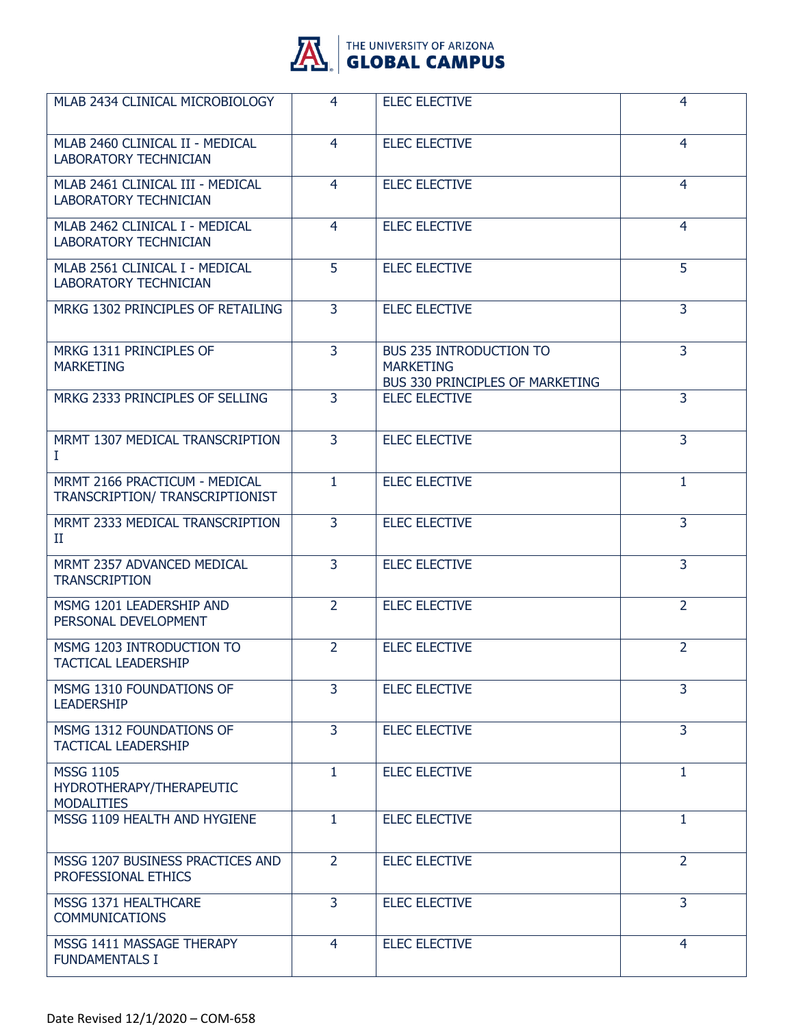

| MLAB 2434 CLINICAL MICROBIOLOGY                                   | 4              | <b>ELEC ELECTIVE</b>                                                                  | 4              |
|-------------------------------------------------------------------|----------------|---------------------------------------------------------------------------------------|----------------|
| MLAB 2460 CLINICAL II - MEDICAL<br><b>LABORATORY TECHNICIAN</b>   | 4              | <b>ELEC ELECTIVE</b>                                                                  | 4              |
| MLAB 2461 CLINICAL III - MEDICAL<br><b>LABORATORY TECHNICIAN</b>  | $\overline{4}$ | <b>ELEC ELECTIVE</b>                                                                  | $\overline{4}$ |
| MLAB 2462 CLINICAL I - MEDICAL<br><b>LABORATORY TECHNICIAN</b>    | $\overline{4}$ | <b>ELEC ELECTIVE</b>                                                                  | $\overline{4}$ |
| MLAB 2561 CLINICAL I - MEDICAL<br><b>LABORATORY TECHNICIAN</b>    | 5              | <b>ELEC ELECTIVE</b>                                                                  | 5              |
| MRKG 1302 PRINCIPLES OF RETAILING                                 | $\overline{3}$ | <b>ELEC ELECTIVE</b>                                                                  | $\overline{3}$ |
| MRKG 1311 PRINCIPLES OF<br><b>MARKETING</b>                       | 3              | <b>BUS 235 INTRODUCTION TO</b><br><b>MARKETING</b><br>BUS 330 PRINCIPLES OF MARKETING | $\overline{3}$ |
| MRKG 2333 PRINCIPLES OF SELLING                                   | $\overline{3}$ | <b>ELEC ELECTIVE</b>                                                                  | $\overline{3}$ |
| MRMT 1307 MEDICAL TRANSCRIPTION<br>L                              | $\overline{3}$ | <b>ELEC ELECTIVE</b>                                                                  | 3              |
| MRMT 2166 PRACTICUM - MEDICAL<br>TRANSCRIPTION/ TRANSCRIPTIONIST  | $\mathbf{1}$   | <b>ELEC ELECTIVE</b>                                                                  | 1              |
| MRMT 2333 MEDICAL TRANSCRIPTION<br>П                              | 3              | <b>ELEC ELECTIVE</b>                                                                  | $\overline{3}$ |
| MRMT 2357 ADVANCED MEDICAL<br><b>TRANSCRIPTION</b>                | $\overline{3}$ | <b>ELEC ELECTIVE</b>                                                                  | 3              |
| MSMG 1201 LEADERSHIP AND<br>PERSONAL DEVELOPMENT                  | $\overline{2}$ | <b>ELEC ELECTIVE</b>                                                                  | $\overline{2}$ |
| MSMG 1203 INTRODUCTION TO<br><b>TACTICAL LEADERSHIP</b>           | $\overline{2}$ | <b>ELEC ELECTIVE</b>                                                                  | $\overline{2}$ |
| MSMG 1310 FOUNDATIONS OF<br><b>LEADERSHIP</b>                     | 3              | <b>ELEC ELECTIVE</b>                                                                  | 3              |
| MSMG 1312 FOUNDATIONS OF<br><b>TACTICAL LEADERSHIP</b>            | $\overline{3}$ | <b>ELEC ELECTIVE</b>                                                                  | $\overline{3}$ |
| <b>MSSG 1105</b><br>HYDROTHERAPY/THERAPEUTIC<br><b>MODALITIES</b> | $\mathbf{1}$   | <b>ELEC ELECTIVE</b>                                                                  | $\mathbf{1}$   |
| MSSG 1109 HEALTH AND HYGIENE                                      | $\mathbf{1}$   | <b>ELEC ELECTIVE</b>                                                                  | $\mathbf{1}$   |
| MSSG 1207 BUSINESS PRACTICES AND<br>PROFESSIONAL ETHICS           | $\overline{2}$ | <b>ELEC ELECTIVE</b>                                                                  | $\overline{2}$ |
| MSSG 1371 HEALTHCARE<br><b>COMMUNICATIONS</b>                     | 3              | <b>ELEC ELECTIVE</b>                                                                  | 3              |
| MSSG 1411 MASSAGE THERAPY<br><b>FUNDAMENTALS I</b>                | $\overline{4}$ | <b>ELEC ELECTIVE</b>                                                                  | $\overline{4}$ |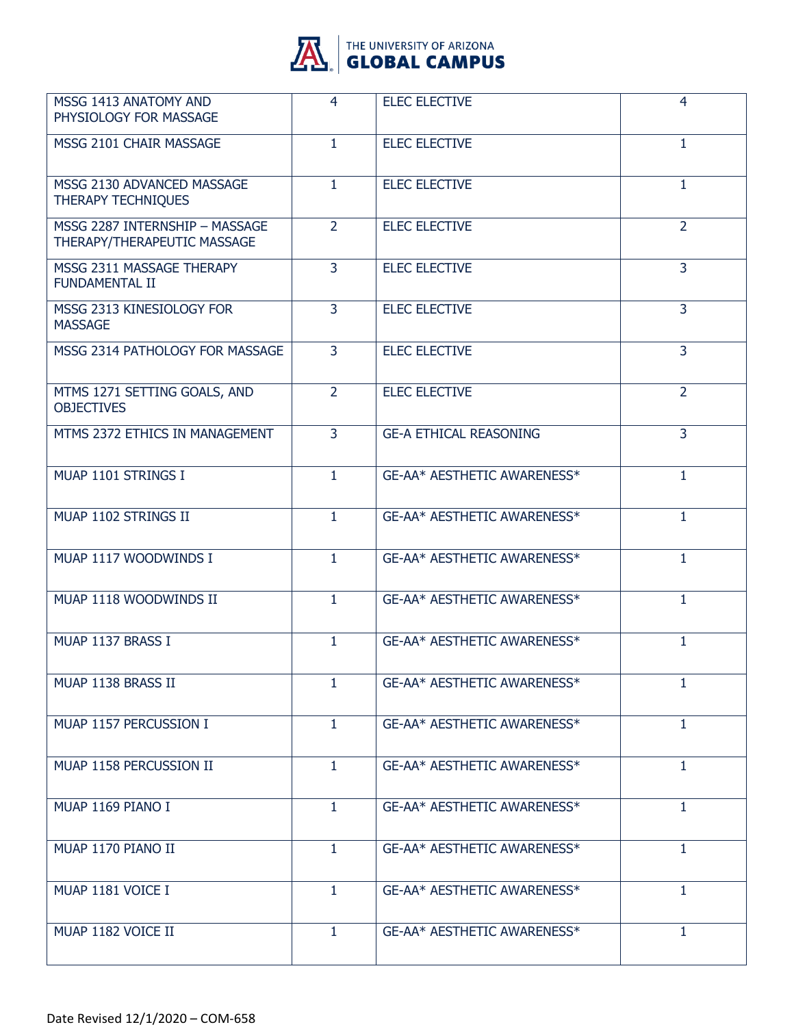

| MSSG 1413 ANATOMY AND<br>PHYSIOLOGY FOR MASSAGE               | 4              | <b>ELEC ELECTIVE</b>          | 4              |
|---------------------------------------------------------------|----------------|-------------------------------|----------------|
| MSSG 2101 CHAIR MASSAGE                                       | $\mathbf{1}$   | <b>ELEC ELECTIVE</b>          | 1              |
| MSSG 2130 ADVANCED MASSAGE<br><b>THERAPY TECHNIQUES</b>       | $\mathbf{1}$   | <b>ELEC ELECTIVE</b>          | 1              |
| MSSG 2287 INTERNSHIP - MASSAGE<br>THERAPY/THERAPEUTIC MASSAGE | $\overline{2}$ | <b>ELEC ELECTIVE</b>          | $\overline{2}$ |
| MSSG 2311 MASSAGE THERAPY<br><b>FUNDAMENTAL II</b>            | 3              | <b>ELEC ELECTIVE</b>          | 3              |
| MSSG 2313 KINESIOLOGY FOR<br><b>MASSAGE</b>                   | $\overline{3}$ | <b>ELEC ELECTIVE</b>          | 3              |
| MSSG 2314 PATHOLOGY FOR MASSAGE                               | $\overline{3}$ | <b>ELEC ELECTIVE</b>          | $\overline{3}$ |
| MTMS 1271 SETTING GOALS, AND<br><b>OBJECTIVES</b>             | $\overline{2}$ | <b>ELEC ELECTIVE</b>          | $\overline{2}$ |
| MTMS 2372 ETHICS IN MANAGEMENT                                | $\overline{3}$ | <b>GE-A ETHICAL REASONING</b> | 3              |
| MUAP 1101 STRINGS I                                           | $\mathbf{1}$   | GE-AA* AESTHETIC AWARENESS*   | $\mathbf{1}$   |
| MUAP 1102 STRINGS II                                          | $\mathbf{1}$   | GE-AA* AESTHETIC AWARENESS*   | $\mathbf{1}$   |
| MUAP 1117 WOODWINDS I                                         | 1              | GE-AA* AESTHETIC AWARENESS*   | $\mathbf{1}$   |
| MUAP 1118 WOODWINDS II                                        | $\mathbf{1}$   | GE-AA* AESTHETIC AWARENESS*   | $\mathbf{1}$   |
| MUAP 1137 BRASS I                                             | 1.             | GE-AA* AESTHETIC AWARENESS*   | 1.             |
| MUAP 1138 BRASS II                                            | 1              | GE-AA* AESTHETIC AWARENESS*   | 1              |
| MUAP 1157 PERCUSSION I                                        | $\mathbf{1}$   | GE-AA* AESTHETIC AWARENESS*   | $\mathbf{1}$   |
| MUAP 1158 PERCUSSION II                                       | $\mathbf{1}$   | GE-AA* AESTHETIC AWARENESS*   | 1              |
| MUAP 1169 PIANO I                                             | $\mathbf{1}$   | GE-AA* AESTHETIC AWARENESS*   | $\mathbf{1}$   |
| MUAP 1170 PIANO II                                            | $\mathbf{1}$   | GE-AA* AESTHETIC AWARENESS*   | $\mathbf{1}$   |
| MUAP 1181 VOICE I                                             | $\mathbf{1}$   | GE-AA* AESTHETIC AWARENESS*   | 1              |
| MUAP 1182 VOICE II                                            | $\mathbf{1}$   | GE-AA* AESTHETIC AWARENESS*   | 1              |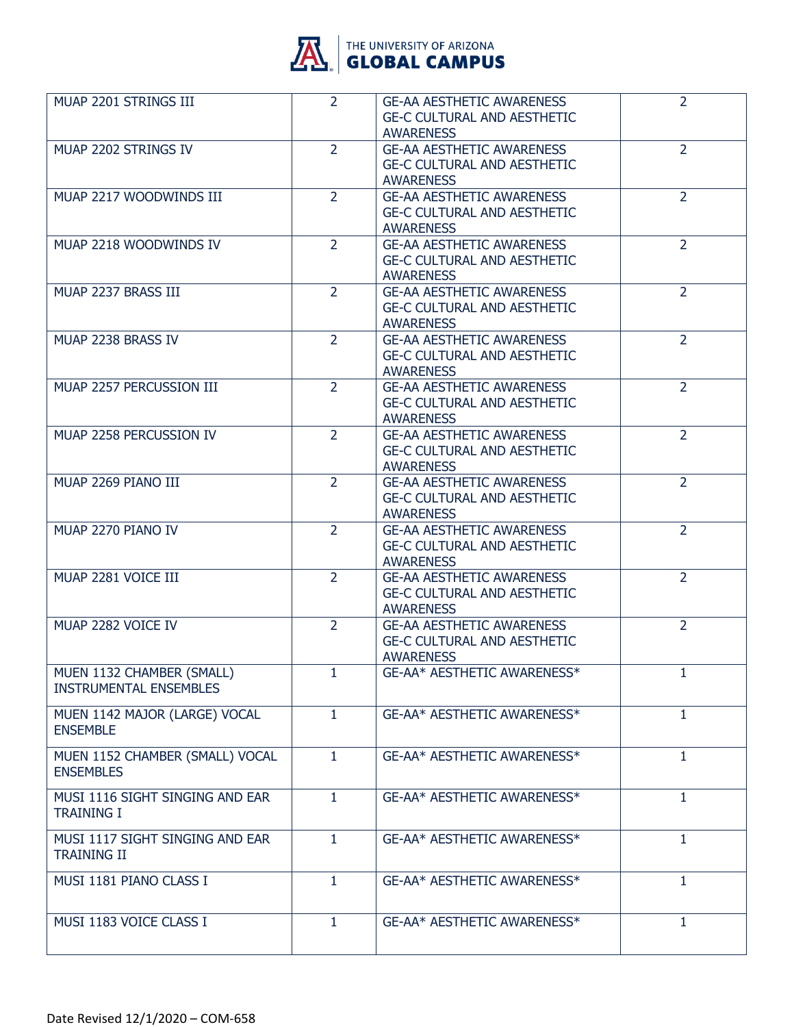

| MUAP 2201 STRINGS III                                      | $\overline{2}$ | <b>GE-AA AESTHETIC AWARENESS</b><br><b>GE-C CULTURAL AND AESTHETIC</b><br><b>AWARENESS</b> | $\overline{2}$ |
|------------------------------------------------------------|----------------|--------------------------------------------------------------------------------------------|----------------|
| MUAP 2202 STRINGS IV                                       | $\overline{2}$ | <b>GE-AA AESTHETIC AWARENESS</b><br><b>GE-C CULTURAL AND AESTHETIC</b><br><b>AWARENESS</b> | $\overline{2}$ |
| MUAP 2217 WOODWINDS III                                    | $\overline{2}$ | <b>GE-AA AESTHETIC AWARENESS</b><br><b>GE-C CULTURAL AND AESTHETIC</b><br><b>AWARENESS</b> | $\overline{2}$ |
| MUAP 2218 WOODWINDS IV                                     | $\overline{2}$ | <b>GE-AA AESTHETIC AWARENESS</b><br><b>GE-C CULTURAL AND AESTHETIC</b><br><b>AWARENESS</b> | $\overline{2}$ |
| MUAP 2237 BRASS III                                        | $\overline{2}$ | <b>GE-AA AESTHETIC AWARENESS</b><br><b>GE-C CULTURAL AND AESTHETIC</b><br><b>AWARENESS</b> | $\overline{2}$ |
| MUAP 2238 BRASS IV                                         | $\overline{2}$ | <b>GE-AA AESTHETIC AWARENESS</b><br><b>GE-C CULTURAL AND AESTHETIC</b><br><b>AWARENESS</b> | $\overline{2}$ |
| MUAP 2257 PERCUSSION III                                   | $\overline{2}$ | <b>GE-AA AESTHETIC AWARENESS</b><br><b>GE-C CULTURAL AND AESTHETIC</b><br><b>AWARENESS</b> | $\overline{2}$ |
| MUAP 2258 PERCUSSION IV                                    | $\overline{2}$ | <b>GE-AA AESTHETIC AWARENESS</b><br><b>GE-C CULTURAL AND AESTHETIC</b><br><b>AWARENESS</b> | $\overline{2}$ |
| MUAP 2269 PIANO III                                        | $\overline{2}$ | <b>GE-AA AESTHETIC AWARENESS</b><br><b>GE-C CULTURAL AND AESTHETIC</b><br><b>AWARENESS</b> | $\overline{2}$ |
| MUAP 2270 PIANO IV                                         | $\overline{2}$ | <b>GE-AA AESTHETIC AWARENESS</b><br><b>GE-C CULTURAL AND AESTHETIC</b><br><b>AWARENESS</b> | $\overline{2}$ |
| MUAP 2281 VOICE III                                        | $\overline{2}$ | <b>GE-AA AESTHETIC AWARENESS</b><br><b>GE-C CULTURAL AND AESTHETIC</b><br><b>AWARENESS</b> | $\overline{2}$ |
| MUAP 2282 VOICE IV                                         | $\overline{2}$ | <b>GE-AA AESTHETIC AWARENESS</b><br><b>GE-C CULTURAL AND AESTHETIC</b><br><b>AWARENESS</b> | $\overline{2}$ |
| MUEN 1132 CHAMBER (SMALL)<br><b>INSTRUMENTAL ENSEMBLES</b> | $\mathbf{1}$   | GE-AA* AESTHETIC AWARENESS*                                                                | $\mathbf{1}$   |
| MUEN 1142 MAJOR (LARGE) VOCAL<br><b>ENSEMBLE</b>           | 1.             | GE-AA* AESTHETIC AWARENESS*                                                                | $\mathbf{1}$   |
| MUEN 1152 CHAMBER (SMALL) VOCAL<br><b>ENSEMBLES</b>        | $\mathbf{1}$   | GE-AA* AESTHETIC AWARENESS*                                                                | $\mathbf{1}$   |
| MUSI 1116 SIGHT SINGING AND EAR<br><b>TRAINING I</b>       | $\mathbf{1}$   | GE-AA* AESTHETIC AWARENESS*                                                                | $\mathbf{1}$   |
| MUSI 1117 SIGHT SINGING AND EAR<br><b>TRAINING II</b>      | 1              | GE-AA* AESTHETIC AWARENESS*                                                                | $\mathbf{1}$   |
| MUSI 1181 PIANO CLASS I                                    | $\mathbf{1}$   | GE-AA* AESTHETIC AWARENESS*                                                                | 1              |
| MUSI 1183 VOICE CLASS I                                    | $\mathbf{1}$   | GE-AA* AESTHETIC AWARENESS*                                                                | 1              |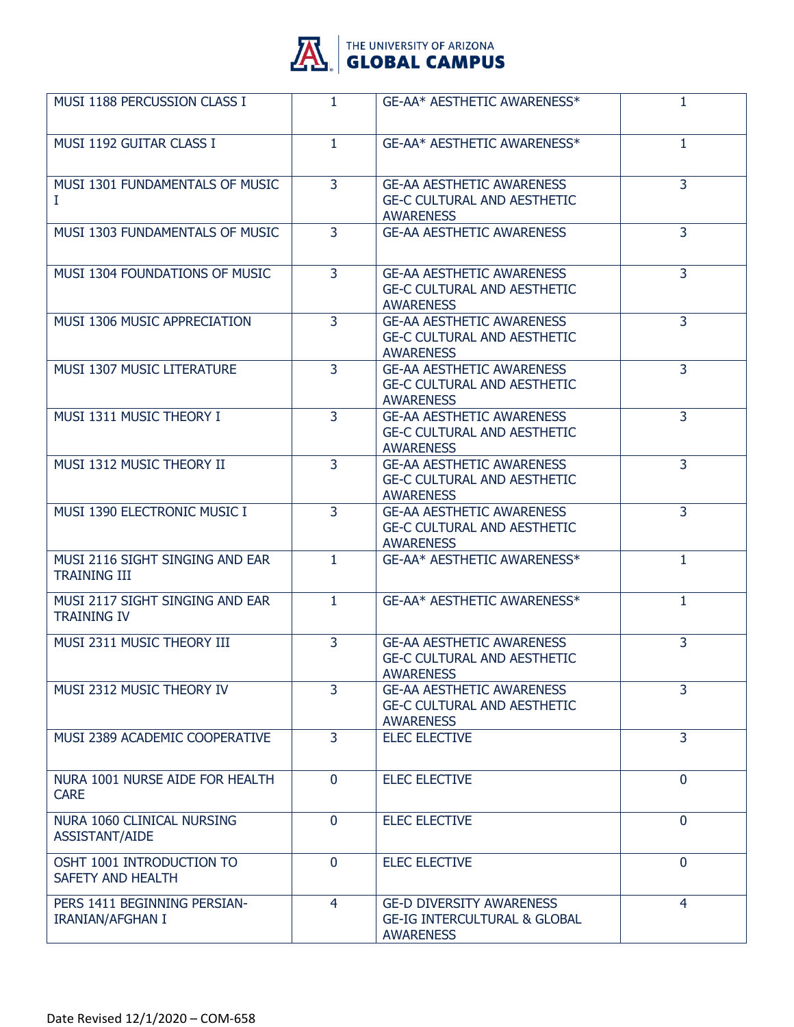

| MUSI 1188 PERCUSSION CLASS I                            | $\mathbf{1}$   | GE-AA* AESTHETIC AWARENESS*                                                                    | $\mathbf{1}$   |
|---------------------------------------------------------|----------------|------------------------------------------------------------------------------------------------|----------------|
| MUSI 1192 GUITAR CLASS I                                | $\mathbf{1}$   | GE-AA* AESTHETIC AWARENESS*                                                                    | 1              |
| MUSI 1301 FUNDAMENTALS OF MUSIC<br>Ι.                   | $\overline{3}$ | <b>GE-AA AESTHETIC AWARENESS</b><br><b>GE-C CULTURAL AND AESTHETIC</b><br><b>AWARENESS</b>     | $\overline{3}$ |
| MUSI 1303 FUNDAMENTALS OF MUSIC                         | $\overline{3}$ | <b>GE-AA AESTHETIC AWARENESS</b>                                                               | $\overline{3}$ |
| MUSI 1304 FOUNDATIONS OF MUSIC                          | $\overline{3}$ | <b>GE-AA AESTHETIC AWARENESS</b><br><b>GE-C CULTURAL AND AESTHETIC</b><br><b>AWARENESS</b>     | $\overline{3}$ |
| MUSI 1306 MUSIC APPRECIATION                            | $\overline{3}$ | <b>GE-AA AESTHETIC AWARENESS</b><br><b>GE-C CULTURAL AND AESTHETIC</b><br><b>AWARENESS</b>     | $\overline{3}$ |
| MUSI 1307 MUSIC LITERATURE                              | $\overline{3}$ | <b>GE-AA AESTHETIC AWARENESS</b><br><b>GE-C CULTURAL AND AESTHETIC</b><br><b>AWARENESS</b>     | $\overline{3}$ |
| MUSI 1311 MUSIC THEORY I                                | 3              | <b>GE-AA AESTHETIC AWARENESS</b><br><b>GE-C CULTURAL AND AESTHETIC</b><br><b>AWARENESS</b>     | $\overline{3}$ |
| MUSI 1312 MUSIC THEORY II                               | 3              | <b>GE-AA AESTHETIC AWARENESS</b><br><b>GE-C CULTURAL AND AESTHETIC</b><br><b>AWARENESS</b>     | $\overline{3}$ |
| <b>MUSI 1390 ELECTRONIC MUSIC I</b>                     | 3              | <b>GE-AA AESTHETIC AWARENESS</b><br><b>GE-C CULTURAL AND AESTHETIC</b><br><b>AWARENESS</b>     | 3              |
| MUSI 2116 SIGHT SINGING AND EAR<br><b>TRAINING III</b>  | 1              | GE-AA* AESTHETIC AWARENESS*                                                                    | 1              |
| MUSI 2117 SIGHT SINGING AND EAR<br><b>TRAINING IV</b>   | $\mathbf{1}$   | GE-AA* AESTHETIC AWARENESS*                                                                    | $\mathbf{1}$   |
| MUSI 2311 MUSIC THEORY III                              | 3              | <b>GE-AA AESTHETIC AWARENESS</b><br><b>GE-C CULTURAL AND AESTHETIC</b><br><b>AWARENESS</b>     | 3              |
| MUSI 2312 MUSIC THEORY IV                               | $\overline{3}$ | <b>GE-AA AESTHETIC AWARENESS</b><br><b>GE-C CULTURAL AND AESTHETIC</b><br><b>AWARENESS</b>     | 3              |
| MUSI 2389 ACADEMIC COOPERATIVE                          | 3              | <b>ELEC ELECTIVE</b>                                                                           | 3              |
| NURA 1001 NURSE AIDE FOR HEALTH<br><b>CARE</b>          | $\mathbf 0$    | <b>ELEC ELECTIVE</b>                                                                           | $\mathbf{0}$   |
| NURA 1060 CLINICAL NURSING<br><b>ASSISTANT/AIDE</b>     | $\mathbf{0}$   | <b>ELEC ELECTIVE</b>                                                                           | $\mathbf 0$    |
| OSHT 1001 INTRODUCTION TO<br>SAFETY AND HEALTH          | $\Omega$       | <b>ELEC ELECTIVE</b>                                                                           | $\mathbf 0$    |
| PERS 1411 BEGINNING PERSIAN-<br><b>IRANIAN/AFGHAN I</b> | 4              | <b>GE-D DIVERSITY AWARENESS</b><br><b>GE-IG INTERCULTURAL &amp; GLOBAL</b><br><b>AWARENESS</b> | 4              |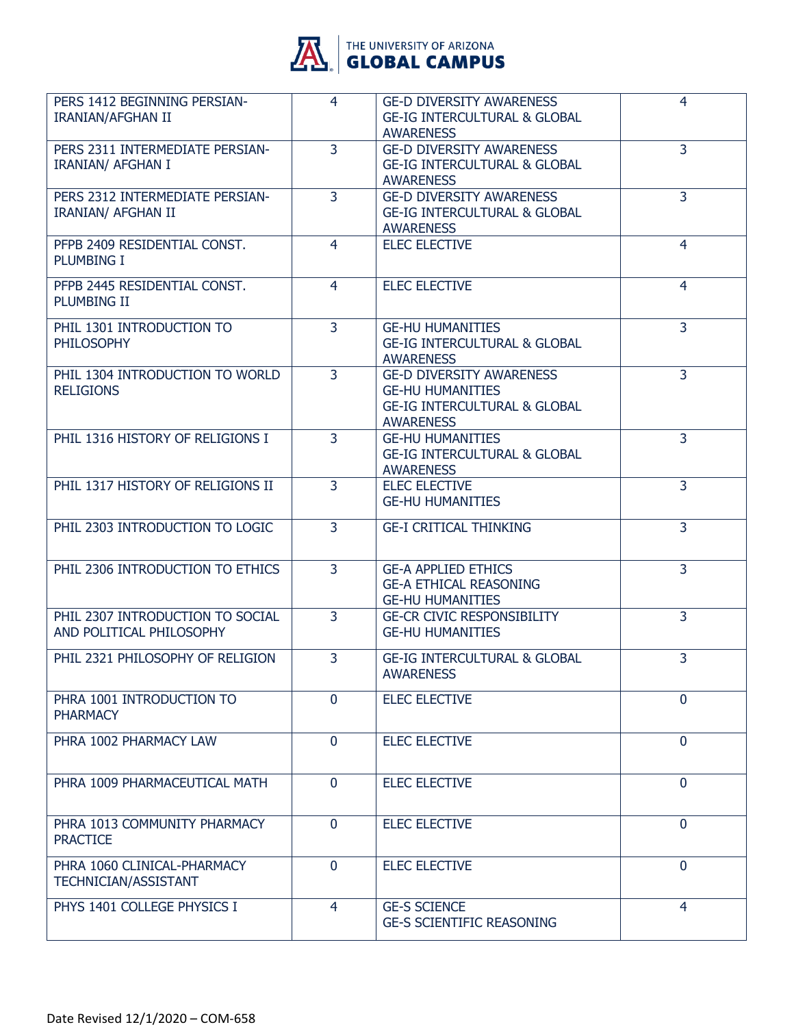

| 4              | <b>GE-D DIVERSITY AWARENESS</b><br><b>GE-IG INTERCULTURAL &amp; GLOBAL</b><br><b>AWARENESS</b> | 4                                                                    |
|----------------|------------------------------------------------------------------------------------------------|----------------------------------------------------------------------|
| $\overline{3}$ | <b>GE-D DIVERSITY AWARENESS</b><br><b>GE-IG INTERCULTURAL &amp; GLOBAL</b><br><b>AWARENESS</b> | 3                                                                    |
| 3              | <b>GE-D DIVERSITY AWARENESS</b><br><b>GE-IG INTERCULTURAL &amp; GLOBAL</b><br><b>AWARENESS</b> | 3                                                                    |
| $\overline{4}$ | <b>ELEC ELECTIVE</b>                                                                           | $\overline{4}$                                                       |
| 4              | <b>ELEC ELECTIVE</b>                                                                           | 4                                                                    |
| $\overline{3}$ | <b>GE-HU HUMANITIES</b><br><b>GE-IG INTERCULTURAL &amp; GLOBAL</b><br><b>AWARENESS</b>         | 3                                                                    |
| 3              | <b>GE-HU HUMANITIES</b><br><b>GE-IG INTERCULTURAL &amp; GLOBAL</b><br><b>AWARENESS</b>         | 3                                                                    |
| 3              | <b>GE-HU HUMANITIES</b><br><b>GE-IG INTERCULTURAL &amp; GLOBAL</b><br><b>AWARENESS</b>         | 3                                                                    |
| 3              | <b>ELEC ELECTIVE</b><br><b>GE-HU HUMANITIES</b>                                                | 3                                                                    |
| $\overline{3}$ | <b>GE-I CRITICAL THINKING</b>                                                                  | $\overline{3}$                                                       |
| $\overline{3}$ | <b>GE-A APPLIED ETHICS</b><br><b>GE-A ETHICAL REASONING</b><br><b>GE-HU HUMANITIES</b>         | 3                                                                    |
|                | <b>GE-HU HUMANITIES</b>                                                                        | 3                                                                    |
| 3              | <b>GE-IG INTERCULTURAL &amp; GLOBAL</b><br><b>AWARENESS</b>                                    | 3                                                                    |
| $\mathbf{0}$   | <b>ELEC ELECTIVE</b>                                                                           | $\mathbf{0}$                                                         |
| $\overline{0}$ | <b>ELEC ELECTIVE</b>                                                                           | $\mathbf{0}$                                                         |
| $\mathbf 0$    | <b>ELEC ELECTIVE</b>                                                                           | $\mathbf 0$                                                          |
| $\mathbf{0}$   | <b>ELEC ELECTIVE</b>                                                                           | $\mathbf{0}$                                                         |
| $\mathbf{0}$   | <b>ELEC ELECTIVE</b>                                                                           | $\mathbf 0$                                                          |
| 4              | <b>GE-S SCIENCE</b><br><b>GE-S SCIENTIFIC REASONING</b>                                        | 4                                                                    |
|                | $\overline{3}$                                                                                 | <b>GE-D DIVERSITY AWARENESS</b><br><b>GE-CR CIVIC RESPONSIBILITY</b> |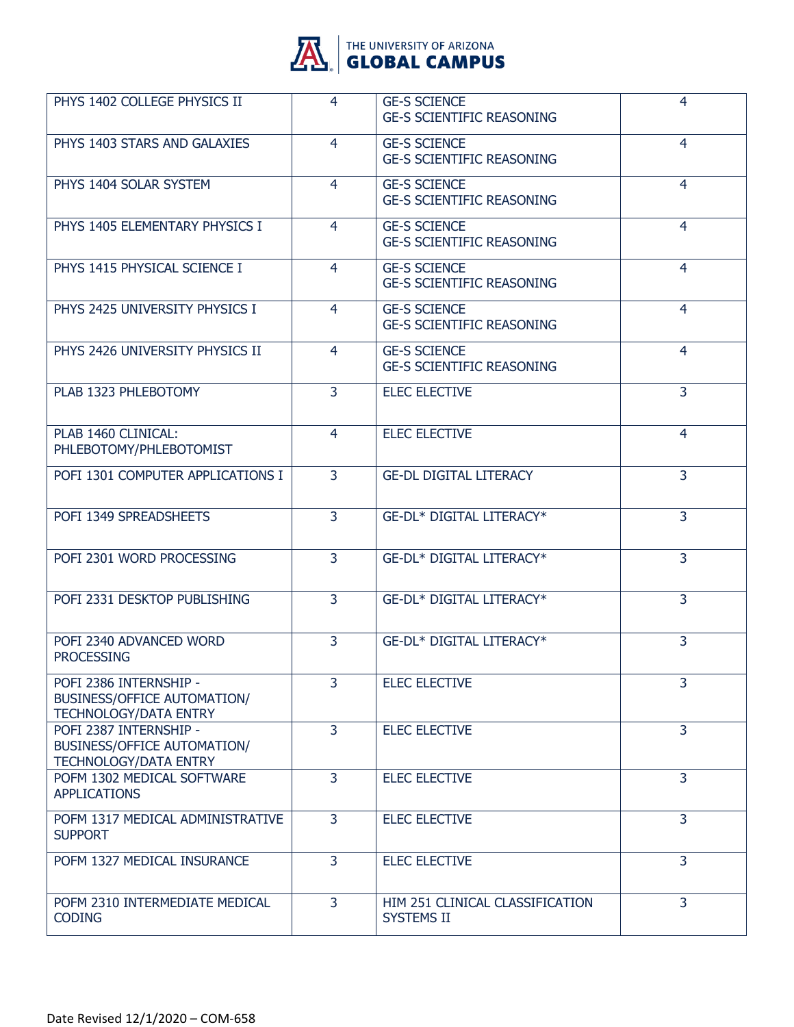

| PHYS 1402 COLLEGE PHYSICS II                                                                 | 4              | <b>GE-S SCIENCE</b><br><b>GE-S SCIENTIFIC REASONING</b> | 4              |
|----------------------------------------------------------------------------------------------|----------------|---------------------------------------------------------|----------------|
| PHYS 1403 STARS AND GALAXIES                                                                 | 4              | <b>GE-S SCIENCE</b><br><b>GE-S SCIENTIFIC REASONING</b> | $\overline{4}$ |
| PHYS 1404 SOLAR SYSTEM                                                                       | 4              | <b>GE-S SCIENCE</b><br><b>GE-S SCIENTIFIC REASONING</b> | 4              |
| PHYS 1405 ELEMENTARY PHYSICS I                                                               | 4              | <b>GE-S SCIENCE</b><br><b>GE-S SCIENTIFIC REASONING</b> | 4              |
| PHYS 1415 PHYSICAL SCIENCE I                                                                 | $\overline{4}$ | <b>GE-S SCIENCE</b><br><b>GE-S SCIENTIFIC REASONING</b> | 4              |
| PHYS 2425 UNIVERSITY PHYSICS I                                                               | $\overline{4}$ | <b>GE-S SCIENCE</b><br><b>GE-S SCIENTIFIC REASONING</b> | 4              |
| PHYS 2426 UNIVERSITY PHYSICS II                                                              | 4              | <b>GE-S SCIENCE</b><br><b>GE-S SCIENTIFIC REASONING</b> | 4              |
| PLAB 1323 PHLEBOTOMY                                                                         | 3              | <b>ELEC ELECTIVE</b>                                    | 3              |
| PLAB 1460 CLINICAL:<br>PHLEBOTOMY/PHLEBOTOMIST                                               | 4              | <b>ELEC ELECTIVE</b>                                    | 4              |
| POFI 1301 COMPUTER APPLICATIONS I                                                            | 3              | <b>GE-DL DIGITAL LITERACY</b>                           | 3              |
| POFI 1349 SPREADSHEETS                                                                       | 3              | GE-DL* DIGITAL LITERACY*                                | 3              |
| POFI 2301 WORD PROCESSING                                                                    | $\overline{3}$ | <b>GE-DL* DIGITAL LITERACY*</b>                         | 3              |
| POFI 2331 DESKTOP PUBLISHING                                                                 | 3              | <b>GE-DL* DIGITAL LITERACY*</b>                         | 3              |
| POFI 2340 ADVANCED WORD<br><b>PROCESSING</b>                                                 | 3              | <b>GE-DL* DIGITAL LITERACY*</b>                         | 3              |
| POFI 2386 INTERNSHIP -<br>BUSINESS/OFFICE AUTOMATION/<br><b>TECHNOLOGY/DATA ENTRY</b>        | $\overline{3}$ | <b>ELEC ELECTIVE</b>                                    | 3              |
| POFI 2387 INTERNSHIP -<br><b>BUSINESS/OFFICE AUTOMATION/</b><br><b>TECHNOLOGY/DATA ENTRY</b> | 3              | <b>ELEC ELECTIVE</b>                                    | 3              |
| POFM 1302 MEDICAL SOFTWARE<br><b>APPLICATIONS</b>                                            | 3              | <b>ELEC ELECTIVE</b>                                    | 3              |
| POFM 1317 MEDICAL ADMINISTRATIVE<br><b>SUPPORT</b>                                           | $\overline{3}$ | <b>ELEC ELECTIVE</b>                                    | 3              |
| POFM 1327 MEDICAL INSURANCE                                                                  | $\overline{3}$ | <b>ELEC ELECTIVE</b>                                    | $\overline{3}$ |
| POFM 2310 INTERMEDIATE MEDICAL<br><b>CODING</b>                                              | 3              | HIM 251 CLINICAL CLASSIFICATION<br><b>SYSTEMS II</b>    | 3              |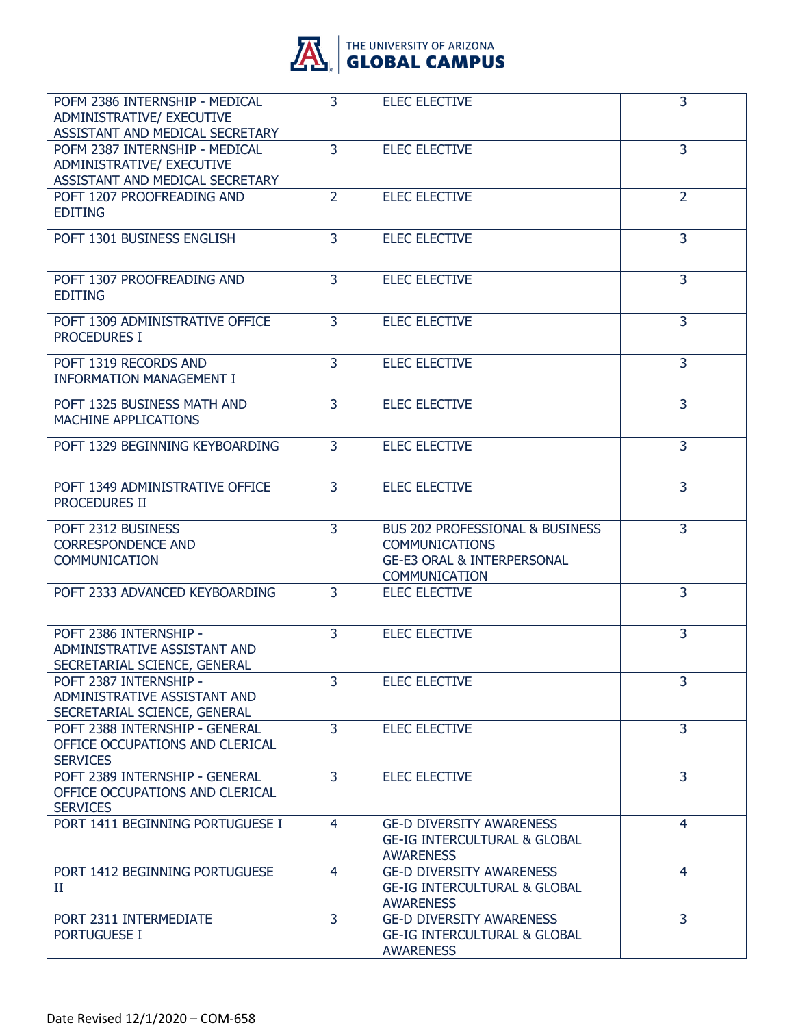

| POFM 2386 INTERNSHIP - MEDICAL<br>ADMINISTRATIVE/ EXECUTIVE<br>ASSISTANT AND MEDICAL SECRETARY | $\overline{3}$ | <b>ELEC ELECTIVE</b>                                                                                                                 | 3              |
|------------------------------------------------------------------------------------------------|----------------|--------------------------------------------------------------------------------------------------------------------------------------|----------------|
| POFM 2387 INTERNSHIP - MEDICAL<br>ADMINISTRATIVE/ EXECUTIVE<br>ASSISTANT AND MEDICAL SECRETARY | 3              | <b>ELEC ELECTIVE</b>                                                                                                                 | 3              |
| POFT 1207 PROOFREADING AND<br><b>EDITING</b>                                                   | $\overline{2}$ | <b>ELEC ELECTIVE</b>                                                                                                                 | $\overline{2}$ |
| POFT 1301 BUSINESS ENGLISH                                                                     | $\overline{3}$ | <b>ELEC ELECTIVE</b>                                                                                                                 | $\overline{3}$ |
| POFT 1307 PROOFREADING AND<br><b>EDITING</b>                                                   | 3              | <b>ELEC ELECTIVE</b>                                                                                                                 | 3              |
| POFT 1309 ADMINISTRATIVE OFFICE<br><b>PROCEDURES I</b>                                         | 3              | <b>ELEC ELECTIVE</b>                                                                                                                 | 3              |
| POFT 1319 RECORDS AND<br><b>INFORMATION MANAGEMENT I</b>                                       | 3              | <b>ELEC ELECTIVE</b>                                                                                                                 | $\overline{3}$ |
| POFT 1325 BUSINESS MATH AND<br>MACHINE APPLICATIONS                                            | $\overline{3}$ | <b>ELEC ELECTIVE</b>                                                                                                                 | 3              |
| POFT 1329 BEGINNING KEYBOARDING                                                                | 3              | <b>ELEC ELECTIVE</b>                                                                                                                 | 3              |
| POFT 1349 ADMINISTRATIVE OFFICE<br>PROCEDURES II                                               | 3              | <b>ELEC ELECTIVE</b>                                                                                                                 | $\overline{3}$ |
| POFT 2312 BUSINESS<br><b>CORRESPONDENCE AND</b><br><b>COMMUNICATION</b>                        | 3              | <b>BUS 202 PROFESSIONAL &amp; BUSINESS</b><br><b>COMMUNICATIONS</b><br><b>GE-E3 ORAL &amp; INTERPERSONAL</b><br><b>COMMUNICATION</b> | 3              |
| POFT 2333 ADVANCED KEYBOARDING                                                                 | $\overline{3}$ | <b>ELEC ELECTIVE</b>                                                                                                                 | 3              |
| POFT 2386 INTERNSHIP -<br>ADMINISTRATIVE ASSISTANT AND<br>SECRETARIAL SCIENCE, GENERAL         | 3              | <b>ELEC ELECTIVE</b>                                                                                                                 | 3              |
| POFT 2387 INTERNSHIP -<br>ADMINISTRATIVE ASSISTANT AND<br>SECRETARIAL SCIENCE, GENERAL         | 3              | <b>ELEC ELECTIVE</b>                                                                                                                 | 3              |
| POFT 2388 INTERNSHIP - GENERAL<br>OFFICE OCCUPATIONS AND CLERICAL<br><b>SERVICES</b>           | 3              | <b>ELEC ELECTIVE</b>                                                                                                                 | 3              |
| POFT 2389 INTERNSHIP - GENERAL<br>OFFICE OCCUPATIONS AND CLERICAL<br><b>SERVICES</b>           | 3              | <b>ELEC ELECTIVE</b>                                                                                                                 | 3              |
| PORT 1411 BEGINNING PORTUGUESE I                                                               | 4              | <b>GE-D DIVERSITY AWARENESS</b><br><b>GE-IG INTERCULTURAL &amp; GLOBAL</b><br><b>AWARENESS</b>                                       | 4              |
| PORT 1412 BEGINNING PORTUGUESE<br>П                                                            | 4              | <b>GE-D DIVERSITY AWARENESS</b><br><b>GE-IG INTERCULTURAL &amp; GLOBAL</b><br><b>AWARENESS</b>                                       | $\overline{4}$ |
| PORT 2311 INTERMEDIATE<br><b>PORTUGUESE I</b>                                                  | $\overline{3}$ | <b>GE-D DIVERSITY AWARENESS</b><br><b>GE-IG INTERCULTURAL &amp; GLOBAL</b><br><b>AWARENESS</b>                                       | $\overline{3}$ |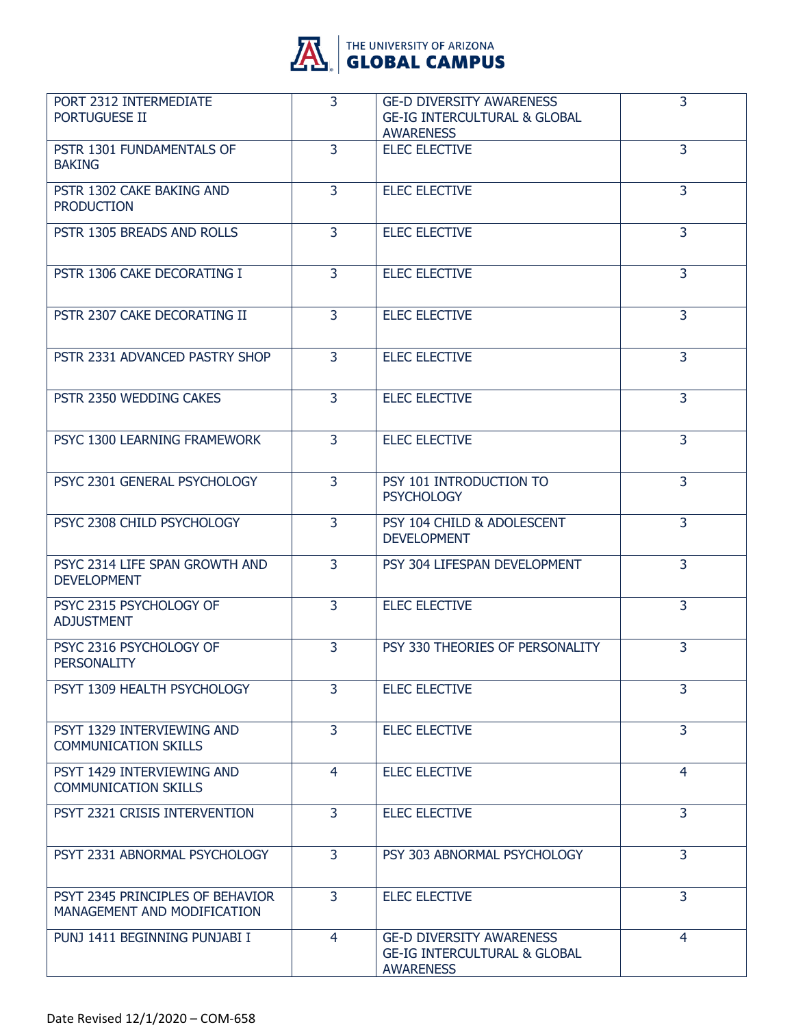

| PORT 2312 INTERMEDIATE<br>PORTUGUESE II                         | $\overline{3}$ | <b>GE-D DIVERSITY AWARENESS</b><br><b>GE-IG INTERCULTURAL &amp; GLOBAL</b><br><b>AWARENESS</b> | 3              |
|-----------------------------------------------------------------|----------------|------------------------------------------------------------------------------------------------|----------------|
| PSTR 1301 FUNDAMENTALS OF<br><b>BAKING</b>                      | $\overline{3}$ | <b>ELEC ELECTIVE</b>                                                                           | $\overline{3}$ |
| PSTR 1302 CAKE BAKING AND<br><b>PRODUCTION</b>                  | $\overline{3}$ | <b>ELEC ELECTIVE</b>                                                                           | 3              |
| PSTR 1305 BREADS AND ROLLS                                      | 3              | <b>ELEC ELECTIVE</b>                                                                           | $\overline{3}$ |
| PSTR 1306 CAKE DECORATING I                                     | $\overline{3}$ | <b>ELEC ELECTIVE</b>                                                                           | $\overline{3}$ |
| PSTR 2307 CAKE DECORATING II                                    | 3              | <b>ELEC ELECTIVE</b>                                                                           | 3              |
| PSTR 2331 ADVANCED PASTRY SHOP                                  | 3              | <b>ELEC ELECTIVE</b>                                                                           | 3              |
| PSTR 2350 WEDDING CAKES                                         | $\overline{3}$ | <b>ELEC ELECTIVE</b>                                                                           | $\overline{3}$ |
| PSYC 1300 LEARNING FRAMEWORK                                    | 3              | <b>ELEC ELECTIVE</b>                                                                           | 3              |
| PSYC 2301 GENERAL PSYCHOLOGY                                    | 3              | PSY 101 INTRODUCTION TO<br><b>PSYCHOLOGY</b>                                                   | $\overline{3}$ |
| PSYC 2308 CHILD PSYCHOLOGY                                      | $\overline{3}$ | PSY 104 CHILD & ADOLESCENT<br><b>DEVELOPMENT</b>                                               | $\overline{3}$ |
| PSYC 2314 LIFE SPAN GROWTH AND<br><b>DEVELOPMENT</b>            | 3              | PSY 304 LIFESPAN DEVELOPMENT                                                                   | 3              |
| PSYC 2315 PSYCHOLOGY OF<br><b>ADJUSTMENT</b>                    | 3              | <b>ELEC ELECTIVE</b>                                                                           | $\overline{3}$ |
| PSYC 2316 PSYCHOLOGY OF<br><b>PERSONALITY</b>                   | $\overline{3}$ | PSY 330 THEORIES OF PERSONALITY                                                                | 3              |
| PSYT 1309 HEALTH PSYCHOLOGY                                     | $\overline{3}$ | <b>ELEC ELECTIVE</b>                                                                           | 3              |
| PSYT 1329 INTERVIEWING AND<br><b>COMMUNICATION SKILLS</b>       | $\mathbf{3}$   | <b>ELEC ELECTIVE</b>                                                                           | 3              |
| PSYT 1429 INTERVIEWING AND<br><b>COMMUNICATION SKILLS</b>       | 4              | <b>ELEC ELECTIVE</b>                                                                           | 4              |
| PSYT 2321 CRISIS INTERVENTION                                   | 3              | <b>ELEC ELECTIVE</b>                                                                           | 3              |
| PSYT 2331 ABNORMAL PSYCHOLOGY                                   | 3              | PSY 303 ABNORMAL PSYCHOLOGY                                                                    | $\overline{3}$ |
| PSYT 2345 PRINCIPLES OF BEHAVIOR<br>MANAGEMENT AND MODIFICATION | $\overline{3}$ | <b>ELEC ELECTIVE</b>                                                                           | 3              |
| PUNJ 1411 BEGINNING PUNJABI I                                   | $\overline{4}$ | <b>GE-D DIVERSITY AWARENESS</b><br><b>GE-IG INTERCULTURAL &amp; GLOBAL</b><br><b>AWARENESS</b> | 4              |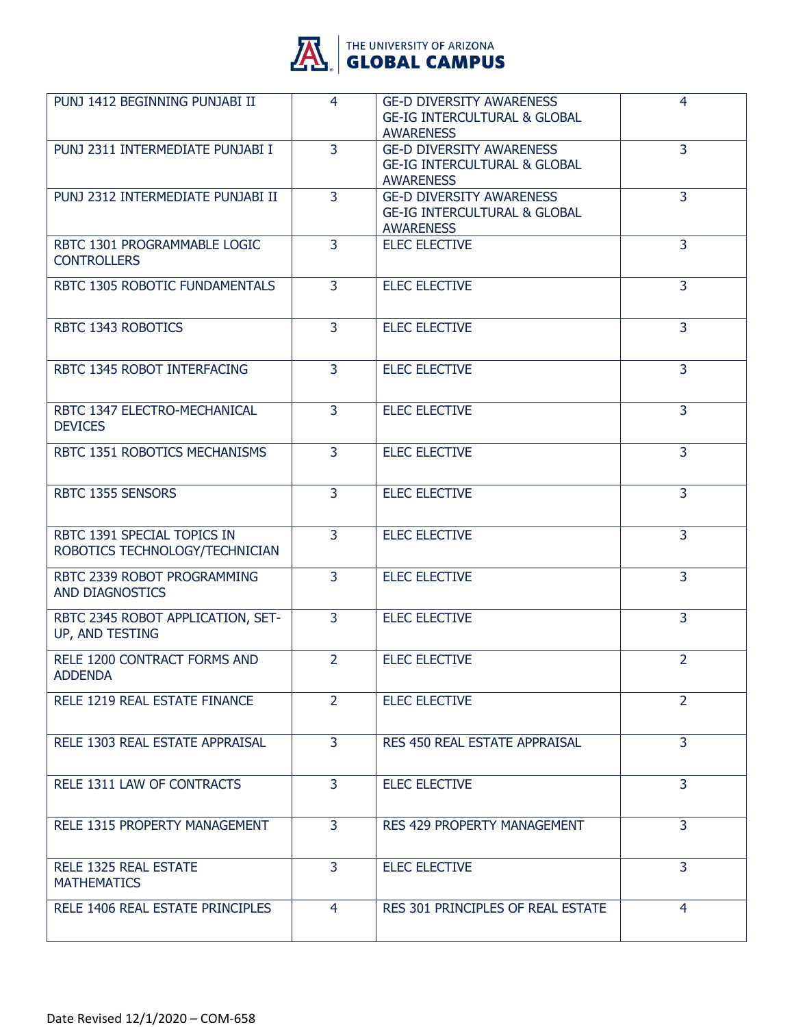

| PUNJ 1412 BEGINNING PUNJABI II                                | 4              | <b>GE-D DIVERSITY AWARENESS</b><br><b>GE-IG INTERCULTURAL &amp; GLOBAL</b><br><b>AWARENESS</b> | 4              |
|---------------------------------------------------------------|----------------|------------------------------------------------------------------------------------------------|----------------|
| PUNJ 2311 INTERMEDIATE PUNJABI I                              | $\overline{3}$ | <b>GE-D DIVERSITY AWARENESS</b><br><b>GE-IG INTERCULTURAL &amp; GLOBAL</b><br><b>AWARENESS</b> | $\overline{3}$ |
| PUNJ 2312 INTERMEDIATE PUNJABI II                             | $\overline{3}$ | <b>GE-D DIVERSITY AWARENESS</b><br><b>GE-IG INTERCULTURAL &amp; GLOBAL</b><br><b>AWARENESS</b> | $\overline{3}$ |
| RBTC 1301 PROGRAMMABLE LOGIC<br><b>CONTROLLERS</b>            | 3              | <b>ELEC ELECTIVE</b>                                                                           | 3              |
| RBTC 1305 ROBOTIC FUNDAMENTALS                                | 3              | <b>ELEC ELECTIVE</b>                                                                           | 3              |
| RBTC 1343 ROBOTICS                                            | $\overline{3}$ | <b>ELEC ELECTIVE</b>                                                                           | $\overline{3}$ |
| RBTC 1345 ROBOT INTERFACING                                   | 3              | <b>ELEC ELECTIVE</b>                                                                           | 3              |
| RBTC 1347 ELECTRO-MECHANICAL<br><b>DEVICES</b>                | 3              | <b>ELEC ELECTIVE</b>                                                                           | 3              |
| RBTC 1351 ROBOTICS MECHANISMS                                 | $\overline{3}$ | <b>ELEC ELECTIVE</b>                                                                           | $\overline{3}$ |
| RBTC 1355 SENSORS                                             | 3              | <b>ELEC ELECTIVE</b>                                                                           | 3              |
| RBTC 1391 SPECIAL TOPICS IN<br>ROBOTICS TECHNOLOGY/TECHNICIAN | 3              | <b>ELEC ELECTIVE</b>                                                                           | 3              |
| RBTC 2339 ROBOT PROGRAMMING<br>AND DIAGNOSTICS                | $\overline{3}$ | <b>ELEC ELECTIVE</b>                                                                           | $\overline{3}$ |
| RBTC 2345 ROBOT APPLICATION, SET-<br>UP, AND TESTING          | 3              | <b>ELEC ELECTIVE</b>                                                                           | 3              |
| RELE 1200 CONTRACT FORMS AND<br><b>ADDENDA</b>                | $\overline{2}$ | <b>ELEC ELECTIVE</b>                                                                           | $\overline{2}$ |
| RELE 1219 REAL ESTATE FINANCE                                 | $\overline{2}$ | <b>ELEC ELECTIVE</b>                                                                           | $\overline{2}$ |
| RELE 1303 REAL ESTATE APPRAISAL                               | $\overline{3}$ | RES 450 REAL ESTATE APPRAISAL                                                                  | 3              |
| RELE 1311 LAW OF CONTRACTS                                    | 3              | <b>ELEC ELECTIVE</b>                                                                           | 3              |
| RELE 1315 PROPERTY MANAGEMENT                                 | 3              | RES 429 PROPERTY MANAGEMENT                                                                    | $\overline{3}$ |
| RELE 1325 REAL ESTATE<br><b>MATHEMATICS</b>                   | 3              | <b>ELEC ELECTIVE</b>                                                                           | 3              |
| RELE 1406 REAL ESTATE PRINCIPLES                              | 4              | RES 301 PRINCIPLES OF REAL ESTATE                                                              | $\overline{4}$ |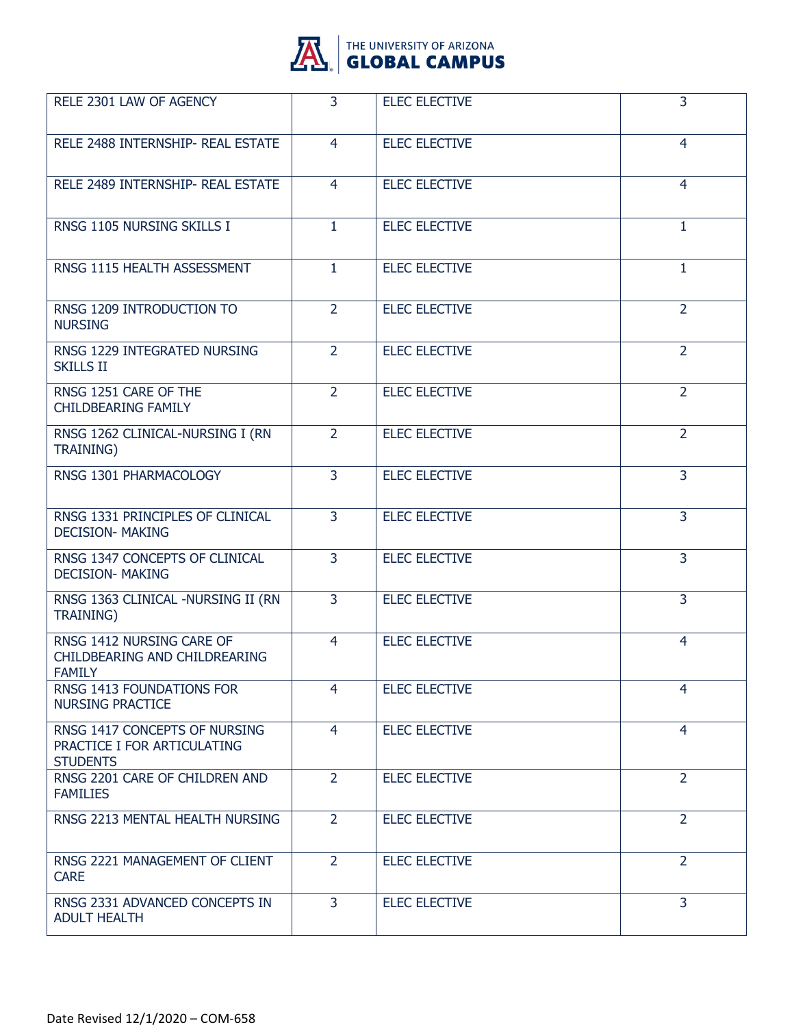

| RELE 2301 LAW OF AGENCY                                                         | 3              | <b>ELEC ELECTIVE</b> | 3              |
|---------------------------------------------------------------------------------|----------------|----------------------|----------------|
| RELE 2488 INTERNSHIP- REAL ESTATE                                               | $\overline{4}$ | <b>ELEC ELECTIVE</b> | $\overline{4}$ |
| RELE 2489 INTERNSHIP- REAL ESTATE                                               | 4              | <b>ELEC ELECTIVE</b> | $\overline{4}$ |
| RNSG 1105 NURSING SKILLS I                                                      | $\mathbf{1}$   | <b>ELEC ELECTIVE</b> | $\mathbf{1}$   |
| RNSG 1115 HEALTH ASSESSMENT                                                     | $\mathbf{1}$   | <b>ELEC ELECTIVE</b> | $\mathbf{1}$   |
| RNSG 1209 INTRODUCTION TO<br><b>NURSING</b>                                     | $\overline{2}$ | <b>ELEC ELECTIVE</b> | $\overline{2}$ |
| RNSG 1229 INTEGRATED NURSING<br><b>SKILLS II</b>                                | $\overline{2}$ | <b>ELEC ELECTIVE</b> | $\overline{2}$ |
| RNSG 1251 CARE OF THE<br><b>CHILDBEARING FAMILY</b>                             | $\overline{2}$ | <b>ELEC ELECTIVE</b> | $\overline{2}$ |
| RNSG 1262 CLINICAL-NURSING I (RN<br><b>TRAINING)</b>                            | $\overline{2}$ | <b>ELEC ELECTIVE</b> | $\overline{2}$ |
| RNSG 1301 PHARMACOLOGY                                                          | 3              | <b>ELEC ELECTIVE</b> | 3              |
| RNSG 1331 PRINCIPLES OF CLINICAL<br><b>DECISION- MAKING</b>                     | $\overline{3}$ | <b>ELEC ELECTIVE</b> | $\overline{3}$ |
| RNSG 1347 CONCEPTS OF CLINICAL<br><b>DECISION- MAKING</b>                       | $\overline{3}$ | <b>ELEC ELECTIVE</b> | $\overline{3}$ |
| RNSG 1363 CLINICAL -NURSING II (RN<br><b>TRAINING)</b>                          | 3              | <b>ELEC ELECTIVE</b> | 3              |
| RNSG 1412 NURSING CARE OF<br>CHILDBEARING AND CHILDREARING<br><b>FAMILY</b>     | $\overline{4}$ | <b>ELEC ELECTIVE</b> | 4              |
| RNSG 1413 FOUNDATIONS FOR<br><b>NURSING PRACTICE</b>                            | 4              | <b>ELEC ELECTIVE</b> | 4              |
| RNSG 1417 CONCEPTS OF NURSING<br>PRACTICE I FOR ARTICULATING<br><b>STUDENTS</b> | $\overline{4}$ | <b>ELEC ELECTIVE</b> | 4              |
| RNSG 2201 CARE OF CHILDREN AND<br><b>FAMILIES</b>                               | $\overline{2}$ | <b>ELEC ELECTIVE</b> | $\overline{2}$ |
| RNSG 2213 MENTAL HEALTH NURSING                                                 | $\overline{2}$ | <b>ELEC ELECTIVE</b> | $\overline{2}$ |
| RNSG 2221 MANAGEMENT OF CLIENT<br><b>CARE</b>                                   | $\overline{2}$ | <b>ELEC ELECTIVE</b> | $\overline{2}$ |
| RNSG 2331 ADVANCED CONCEPTS IN<br><b>ADULT HEALTH</b>                           | 3              | <b>ELEC ELECTIVE</b> | 3              |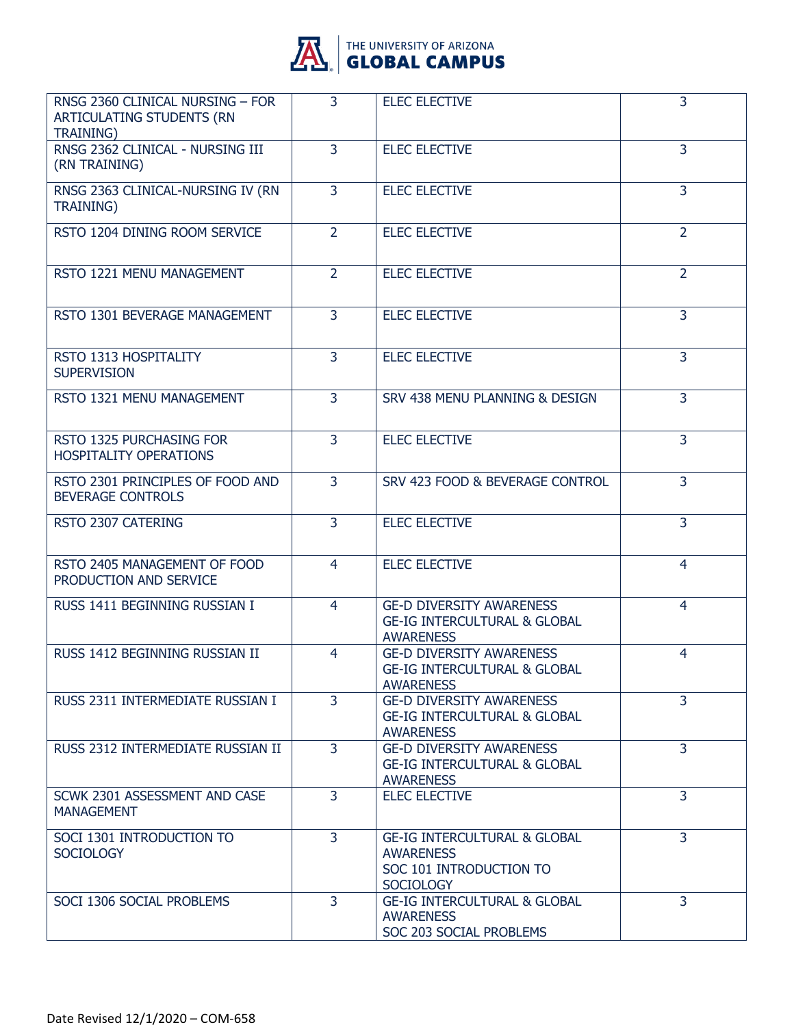

| RNSG 2360 CLINICAL NURSING - FOR<br>ARTICULATING STUDENTS (RN<br><b>TRAINING)</b> | $\overline{3}$ | <b>ELEC ELECTIVE</b>                                                                                       | 3              |
|-----------------------------------------------------------------------------------|----------------|------------------------------------------------------------------------------------------------------------|----------------|
| RNSG 2362 CLINICAL - NURSING III<br>(RN TRAINING)                                 | 3              | <b>ELEC ELECTIVE</b>                                                                                       | 3              |
| RNSG 2363 CLINICAL-NURSING IV (RN<br><b>TRAINING)</b>                             | $\overline{3}$ | <b>ELEC ELECTIVE</b>                                                                                       | $\overline{3}$ |
| RSTO 1204 DINING ROOM SERVICE                                                     | $\overline{2}$ | <b>ELEC ELECTIVE</b>                                                                                       | 2              |
| RSTO 1221 MENU MANAGEMENT                                                         | $\overline{2}$ | <b>ELEC ELECTIVE</b>                                                                                       | $\overline{2}$ |
| RSTO 1301 BEVERAGE MANAGEMENT                                                     | $\overline{3}$ | <b>ELEC ELECTIVE</b>                                                                                       | 3              |
| RSTO 1313 HOSPITALITY<br><b>SUPERVISION</b>                                       | 3              | <b>ELEC ELECTIVE</b>                                                                                       | 3              |
| RSTO 1321 MENU MANAGEMENT                                                         | $\overline{3}$ | SRV 438 MENU PLANNING & DESIGN                                                                             | 3              |
| RSTO 1325 PURCHASING FOR<br><b>HOSPITALITY OPERATIONS</b>                         | $\overline{3}$ | <b>ELEC ELECTIVE</b>                                                                                       | 3              |
| RSTO 2301 PRINCIPLES OF FOOD AND<br><b>BEVERAGE CONTROLS</b>                      | 3              | SRV 423 FOOD & BEVERAGE CONTROL                                                                            | 3              |
| RSTO 2307 CATERING                                                                | $\overline{3}$ | <b>ELEC ELECTIVE</b>                                                                                       | 3              |
| RSTO 2405 MANAGEMENT OF FOOD<br>PRODUCTION AND SERVICE                            | $\overline{4}$ | <b>ELEC ELECTIVE</b>                                                                                       | 4              |
| RUSS 1411 BEGINNING RUSSIAN I                                                     | 4              | <b>GE-D DIVERSITY AWARENESS</b><br><b>GE-IG INTERCULTURAL &amp; GLOBAL</b><br><b>AWARENESS</b>             | 4              |
| RUSS 1412 BEGINNING RUSSIAN II                                                    | 4              | <b>GE-D DIVERSITY AWARENESS</b><br><b>GE-IG INTERCULTURAL &amp; GLOBAL</b><br><b>AWARENESS</b>             | 4              |
| RUSS 2311 INTERMEDIATE RUSSIAN I                                                  | $\overline{3}$ | <b>GE-D DIVERSITY AWARENESS</b><br><b>GE-IG INTERCULTURAL &amp; GLOBAL</b><br><b>AWARENESS</b>             | 3              |
| RUSS 2312 INTERMEDIATE RUSSIAN II                                                 | $\overline{3}$ | <b>GE-D DIVERSITY AWARENESS</b><br><b>GE-IG INTERCULTURAL &amp; GLOBAL</b><br><b>AWARENESS</b>             | 3              |
| SCWK 2301 ASSESSMENT AND CASE<br><b>MANAGEMENT</b>                                | 3              | <b>ELEC ELECTIVE</b>                                                                                       | 3              |
| SOCI 1301 INTRODUCTION TO<br><b>SOCIOLOGY</b>                                     | 3              | <b>GE-IG INTERCULTURAL &amp; GLOBAL</b><br><b>AWARENESS</b><br>SOC 101 INTRODUCTION TO<br><b>SOCIOLOGY</b> | $\overline{3}$ |
| SOCI 1306 SOCIAL PROBLEMS                                                         | 3              | <b>GE-IG INTERCULTURAL &amp; GLOBAL</b><br><b>AWARENESS</b><br>SOC 203 SOCIAL PROBLEMS                     | 3              |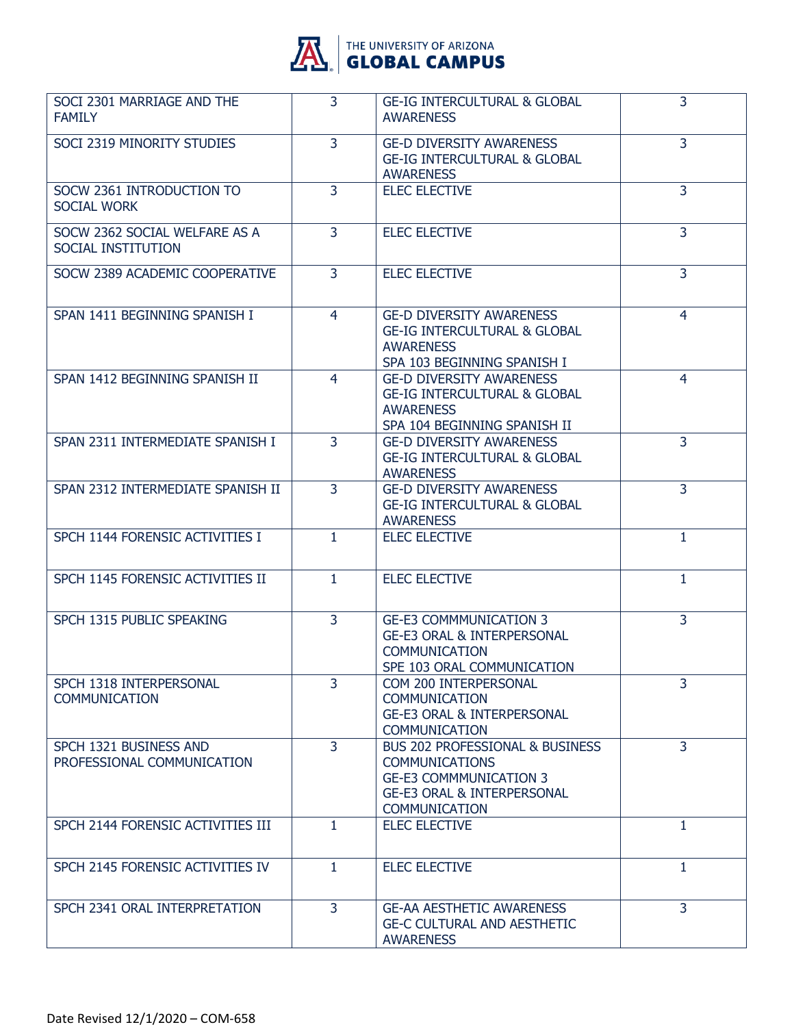

| SOCI 2301 MARRIAGE AND THE<br><b>FAMILY</b>          | $\overline{3}$ | <b>GE-IG INTERCULTURAL &amp; GLOBAL</b><br><b>AWARENESS</b>                                                                                                    | 3              |
|------------------------------------------------------|----------------|----------------------------------------------------------------------------------------------------------------------------------------------------------------|----------------|
| SOCI 2319 MINORITY STUDIES                           | 3              | <b>GE-D DIVERSITY AWARENESS</b><br><b>GE-IG INTERCULTURAL &amp; GLOBAL</b><br><b>AWARENESS</b>                                                                 | 3              |
| SOCW 2361 INTRODUCTION TO<br><b>SOCIAL WORK</b>      | $\overline{3}$ | <b>ELEC ELECTIVE</b>                                                                                                                                           | 3              |
| SOCW 2362 SOCIAL WELFARE AS A<br>SOCIAL INSTITUTION  | 3              | <b>ELEC ELECTIVE</b>                                                                                                                                           | 3              |
| SOCW 2389 ACADEMIC COOPERATIVE                       | $\overline{3}$ | <b>ELEC ELECTIVE</b>                                                                                                                                           | 3              |
| SPAN 1411 BEGINNING SPANISH I                        | $\overline{4}$ | <b>GE-D DIVERSITY AWARENESS</b><br><b>GE-IG INTERCULTURAL &amp; GLOBAL</b><br><b>AWARENESS</b><br>SPA 103 BEGINNING SPANISH I                                  | 4              |
| SPAN 1412 BEGINNING SPANISH II                       | 4              | <b>GE-D DIVERSITY AWARENESS</b><br><b>GE-IG INTERCULTURAL &amp; GLOBAL</b><br><b>AWARENESS</b><br>SPA 104 BEGINNING SPANISH II                                 | 4              |
| SPAN 2311 INTERMEDIATE SPANISH I                     | 3              | <b>GE-D DIVERSITY AWARENESS</b><br><b>GE-IG INTERCULTURAL &amp; GLOBAL</b><br><b>AWARENESS</b>                                                                 | 3              |
| SPAN 2312 INTERMEDIATE SPANISH II                    | 3              | <b>GE-D DIVERSITY AWARENESS</b><br><b>GE-IG INTERCULTURAL &amp; GLOBAL</b><br><b>AWARENESS</b>                                                                 | 3              |
| SPCH 1144 FORENSIC ACTIVITIES I                      | $\mathbf{1}$   | <b>ELEC ELECTIVE</b>                                                                                                                                           | 1              |
| SPCH 1145 FORENSIC ACTIVITIES II                     | $\mathbf{1}$   | <b>ELEC ELECTIVE</b>                                                                                                                                           | $\mathbf{1}$   |
| SPCH 1315 PUBLIC SPEAKING                            | 3              | <b>GE-E3 COMMMUNICATION 3</b><br><b>GE-E3 ORAL &amp; INTERPERSONAL</b><br><b>COMMUNICATION</b><br>SPE 103 ORAL COMMUNICATION                                   | 3              |
| SPCH 1318 INTERPERSONAL<br><b>COMMUNICATION</b>      | $\overline{3}$ | COM 200 INTERPERSONAL<br><b>COMMUNICATION</b><br><b>GE-E3 ORAL &amp; INTERPERSONAL</b><br><b>COMMUNICATION</b>                                                 | $\overline{3}$ |
| SPCH 1321 BUSINESS AND<br>PROFESSIONAL COMMUNICATION | $\overline{3}$ | <b>BUS 202 PROFESSIONAL &amp; BUSINESS</b><br><b>COMMUNICATIONS</b><br><b>GE-E3 COMMMUNICATION 3</b><br><b>GE-E3 ORAL &amp; INTERPERSONAL</b><br>COMMUNICATION | $\overline{3}$ |
| SPCH 2144 FORENSIC ACTIVITIES III                    | $\mathbf{1}$   | <b>ELEC ELECTIVE</b>                                                                                                                                           | 1              |
| SPCH 2145 FORENSIC ACTIVITIES IV                     | $\mathbf{1}$   | <b>ELEC ELECTIVE</b>                                                                                                                                           | 1              |
| SPCH 2341 ORAL INTERPRETATION                        | 3              | <b>GE-AA AESTHETIC AWARENESS</b><br><b>GE-C CULTURAL AND AESTHETIC</b><br><b>AWARENESS</b>                                                                     | 3              |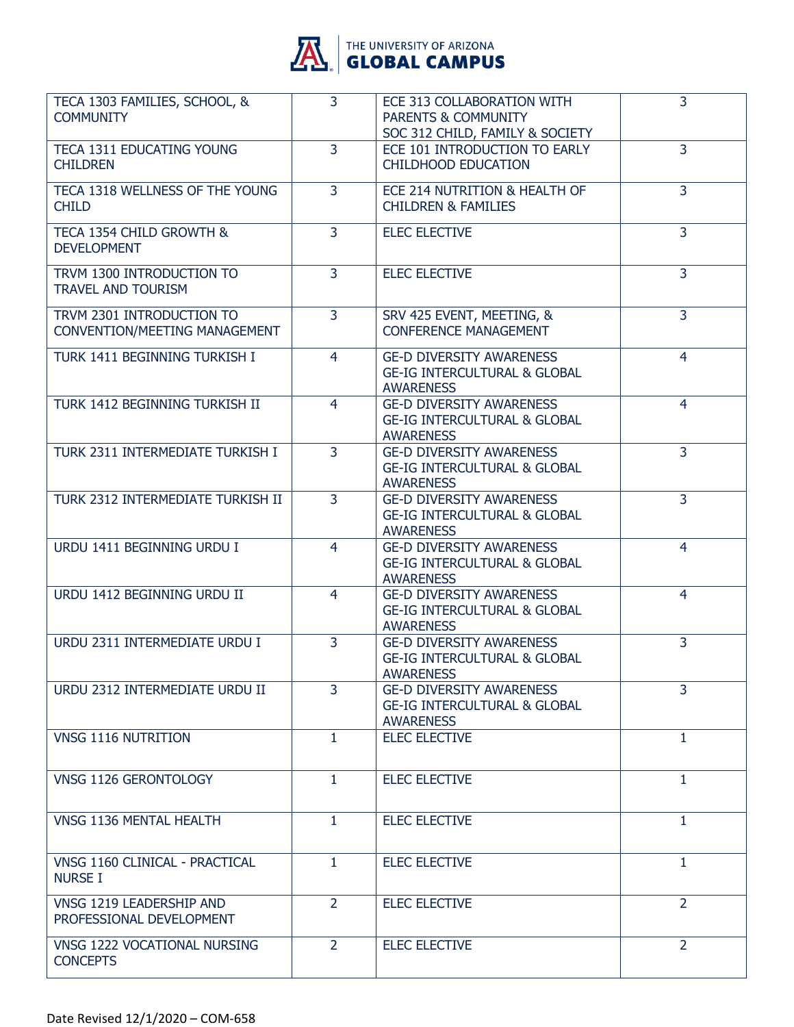

| TECA 1303 FAMILIES, SCHOOL, &<br><b>COMMUNITY</b>          | 3              | ECE 313 COLLABORATION WITH<br><b>PARENTS &amp; COMMUNITY</b><br>SOC 312 CHILD, FAMILY & SOCIETY | 3              |
|------------------------------------------------------------|----------------|-------------------------------------------------------------------------------------------------|----------------|
| TECA 1311 EDUCATING YOUNG<br><b>CHILDREN</b>               | 3              | ECE 101 INTRODUCTION TO EARLY<br><b>CHILDHOOD EDUCATION</b>                                     | 3              |
| TECA 1318 WELLNESS OF THE YOUNG<br><b>CHILD</b>            | $\overline{3}$ | ECE 214 NUTRITION & HEALTH OF<br><b>CHILDREN &amp; FAMILIES</b>                                 | $\overline{3}$ |
| TECA 1354 CHILD GROWTH &<br><b>DEVELOPMENT</b>             | $\overline{3}$ | <b>ELEC ELECTIVE</b>                                                                            | 3              |
| TRVM 1300 INTRODUCTION TO<br><b>TRAVEL AND TOURISM</b>     | 3              | <b>ELEC ELECTIVE</b>                                                                            | 3              |
| TRVM 2301 INTRODUCTION TO<br>CONVENTION/MEETING MANAGEMENT | $\overline{3}$ | SRV 425 EVENT, MEETING, &<br><b>CONFERENCE MANAGEMENT</b>                                       | $\overline{3}$ |
| TURK 1411 BEGINNING TURKISH I                              | 4              | <b>GE-D DIVERSITY AWARENESS</b><br><b>GE-IG INTERCULTURAL &amp; GLOBAL</b><br><b>AWARENESS</b>  | 4              |
| TURK 1412 BEGINNING TURKISH II                             | 4              | <b>GE-D DIVERSITY AWARENESS</b><br><b>GE-IG INTERCULTURAL &amp; GLOBAL</b><br><b>AWARENESS</b>  | 4              |
| TURK 2311 INTERMEDIATE TURKISH I                           | 3              | <b>GE-D DIVERSITY AWARENESS</b><br><b>GE-IG INTERCULTURAL &amp; GLOBAL</b><br><b>AWARENESS</b>  | 3              |
| TURK 2312 INTERMEDIATE TURKISH II                          | $\overline{3}$ | <b>GE-D DIVERSITY AWARENESS</b><br><b>GE-IG INTERCULTURAL &amp; GLOBAL</b><br><b>AWARENESS</b>  | 3              |
| URDU 1411 BEGINNING URDU I                                 | 4              | <b>GE-D DIVERSITY AWARENESS</b><br><b>GE-IG INTERCULTURAL &amp; GLOBAL</b><br><b>AWARENESS</b>  | 4              |
| URDU 1412 BEGINNING URDU II                                | 4              | <b>GE-D DIVERSITY AWARENESS</b><br><b>GE-IG INTERCULTURAL &amp; GLOBAL</b><br><b>AWARENESS</b>  | 4              |
| URDU 2311 INTERMEDIATE URDU I                              | 3              | <b>GE-D DIVERSITY AWARENESS</b><br><b>GE-IG INTERCULTURAL &amp; GLOBAL</b><br><b>AWARENESS</b>  | 3              |
| URDU 2312 INTERMEDIATE URDU II                             | 3              | <b>GE-D DIVERSITY AWARENESS</b><br><b>GE-IG INTERCULTURAL &amp; GLOBAL</b><br><b>AWARENESS</b>  | 3              |
| VNSG 1116 NUTRITION                                        | 1              | <b>ELEC ELECTIVE</b>                                                                            | 1              |
| VNSG 1126 GERONTOLOGY                                      | $\mathbf{1}$   | <b>ELEC ELECTIVE</b>                                                                            | $\mathbf{1}$   |
| VNSG 1136 MENTAL HEALTH                                    | 1              | <b>ELEC ELECTIVE</b>                                                                            | 1              |
| VNSG 1160 CLINICAL - PRACTICAL<br><b>NURSE I</b>           | $\mathbf{1}$   | <b>ELEC ELECTIVE</b>                                                                            | 1              |
| VNSG 1219 LEADERSHIP AND<br>PROFESSIONAL DEVELOPMENT       | $\overline{2}$ | <b>ELEC ELECTIVE</b>                                                                            | $\overline{2}$ |
| VNSG 1222 VOCATIONAL NURSING<br><b>CONCEPTS</b>            | $\overline{2}$ | <b>ELEC ELECTIVE</b>                                                                            | $\overline{2}$ |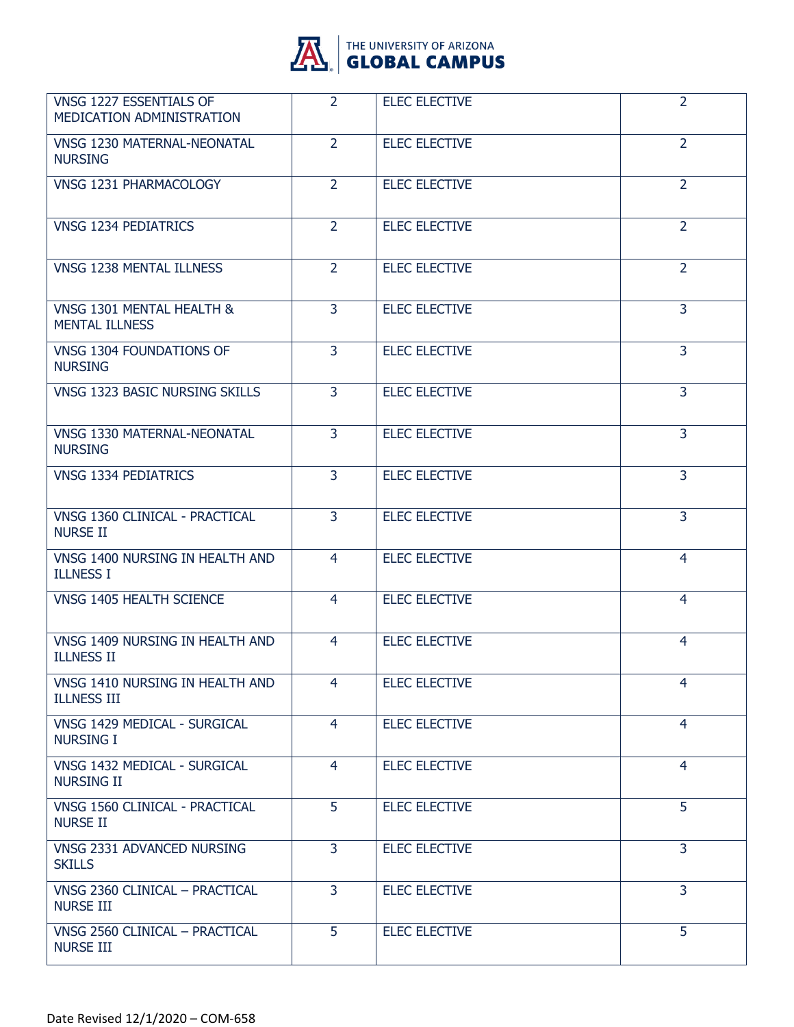

| VNSG 1227 ESSENTIALS OF<br>MEDICATION ADMINISTRATION  | $\overline{2}$ | <b>ELEC ELECTIVE</b> | $\overline{2}$ |
|-------------------------------------------------------|----------------|----------------------|----------------|
| <b>VNSG 1230 MATERNAL-NEONATAL</b><br><b>NURSING</b>  | $\overline{2}$ | <b>ELEC ELECTIVE</b> | $\overline{2}$ |
| VNSG 1231 PHARMACOLOGY                                | $\overline{2}$ | <b>ELEC ELECTIVE</b> | $\overline{2}$ |
| <b>VNSG 1234 PEDIATRICS</b>                           | $\overline{2}$ | <b>ELEC ELECTIVE</b> | $\overline{2}$ |
| VNSG 1238 MENTAL ILLNESS                              | $\overline{2}$ | <b>ELEC ELECTIVE</b> | $\overline{2}$ |
| VNSG 1301 MENTAL HEALTH &<br><b>MENTAL ILLNESS</b>    | $\overline{3}$ | <b>ELEC ELECTIVE</b> | 3              |
| VNSG 1304 FOUNDATIONS OF<br><b>NURSING</b>            | $\overline{3}$ | <b>ELEC ELECTIVE</b> | $\overline{3}$ |
| VNSG 1323 BASIC NURSING SKILLS                        | 3              | <b>ELEC ELECTIVE</b> | 3              |
| <b>VNSG 1330 MATERNAL-NEONATAL</b><br><b>NURSING</b>  | $\overline{3}$ | <b>ELEC ELECTIVE</b> | $\overline{3}$ |
| <b>VNSG 1334 PEDIATRICS</b>                           | $\overline{3}$ | <b>ELEC ELECTIVE</b> | $\overline{3}$ |
| VNSG 1360 CLINICAL - PRACTICAL<br><b>NURSE II</b>     | 3              | <b>ELEC ELECTIVE</b> | 3              |
| VNSG 1400 NURSING IN HEALTH AND<br><b>ILLNESS I</b>   | 4              | <b>ELEC ELECTIVE</b> | 4              |
| VNSG 1405 HEALTH SCIENCE                              | 4              | <b>ELEC ELECTIVE</b> | $\overline{4}$ |
| VNSG 1409 NURSING IN HEALTH AND<br><b>ILLNESS II</b>  | 4              | <b>ELEC ELECTIVE</b> | 4              |
| VNSG 1410 NURSING IN HEALTH AND<br><b>ILLNESS III</b> | 4              | <b>ELEC ELECTIVE</b> | 4              |
| VNSG 1429 MEDICAL - SURGICAL<br><b>NURSING I</b>      | $\overline{4}$ | <b>ELEC ELECTIVE</b> | $\overline{4}$ |
| VNSG 1432 MEDICAL - SURGICAL<br><b>NURSING II</b>     | $\overline{4}$ | <b>ELEC ELECTIVE</b> | 4              |
| VNSG 1560 CLINICAL - PRACTICAL<br><b>NURSE II</b>     | 5              | <b>ELEC ELECTIVE</b> | 5              |
| VNSG 2331 ADVANCED NURSING<br><b>SKILLS</b>           | $\overline{3}$ | <b>ELEC ELECTIVE</b> | $\overline{3}$ |
| VNSG 2360 CLINICAL - PRACTICAL<br><b>NURSE III</b>    | $\overline{3}$ | <b>ELEC ELECTIVE</b> | 3              |
| VNSG 2560 CLINICAL - PRACTICAL<br><b>NURSE III</b>    | 5              | <b>ELEC ELECTIVE</b> | 5              |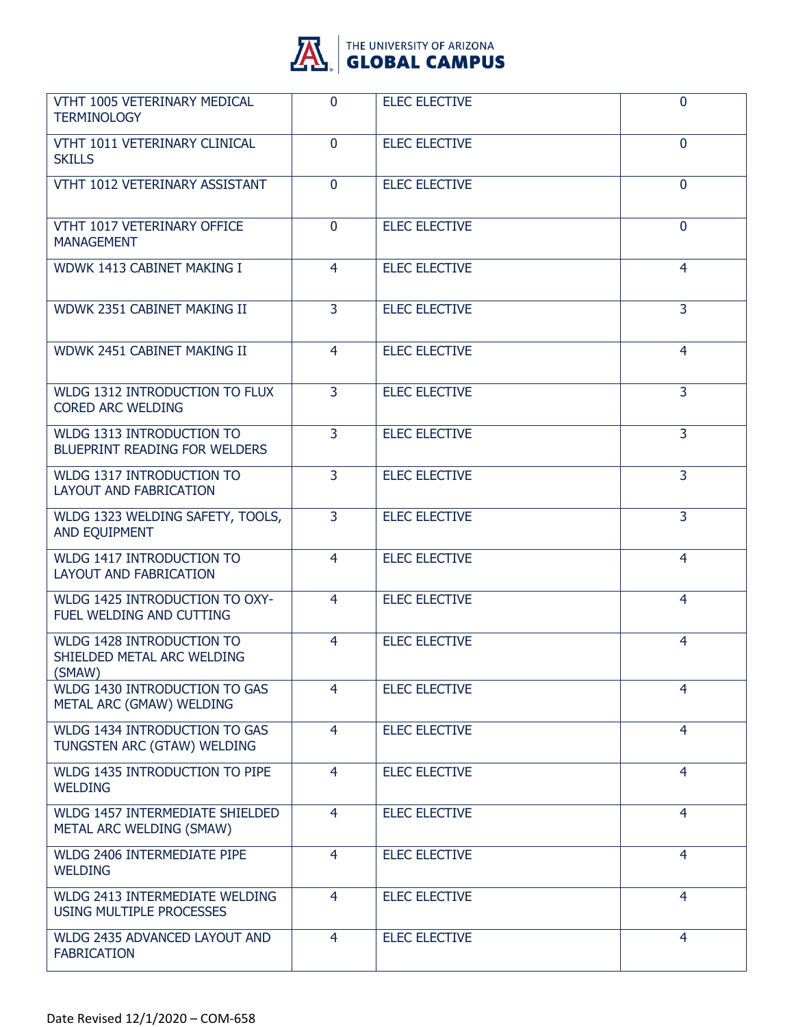

| VTHT 1005 VETERINARY MEDICAL<br><b>TERMINOLOGY</b>                 | $\Omega$       | <b>ELEC ELECTIVE</b> | $\mathbf{0}$   |
|--------------------------------------------------------------------|----------------|----------------------|----------------|
| VTHT 1011 VETERINARY CLINICAL<br><b>SKILLS</b>                     | $\mathbf{0}$   | <b>ELEC ELECTIVE</b> | $\mathbf 0$    |
| VTHT 1012 VETERINARY ASSISTANT                                     | $\mathbf{0}$   | <b>ELEC ELECTIVE</b> | $\overline{0}$ |
| VTHT 1017 VETERINARY OFFICE<br><b>MANAGEMENT</b>                   | $\mathbf{0}$   | <b>ELEC ELECTIVE</b> | $\mathbf{0}$   |
| WDWK 1413 CABINET MAKING I                                         | $\overline{4}$ | <b>ELEC ELECTIVE</b> | 4              |
| WDWK 2351 CABINET MAKING II                                        | $\overline{3}$ | <b>ELEC ELECTIVE</b> | $\overline{3}$ |
| WDWK 2451 CABINET MAKING II                                        | $\overline{4}$ | <b>ELEC ELECTIVE</b> | 4              |
| WLDG 1312 INTRODUCTION TO FLUX<br><b>CORED ARC WELDING</b>         | 3              | <b>ELEC ELECTIVE</b> | 3              |
| WLDG 1313 INTRODUCTION TO<br><b>BLUEPRINT READING FOR WELDERS</b>  | $\overline{3}$ | <b>ELEC ELECTIVE</b> | $\overline{3}$ |
| WLDG 1317 INTRODUCTION TO<br><b>LAYOUT AND FABRICATION</b>         | $\overline{3}$ | <b>ELEC ELECTIVE</b> | $\overline{3}$ |
| WLDG 1323 WELDING SAFETY, TOOLS,<br>AND EQUIPMENT                  | 3              | <b>ELEC ELECTIVE</b> | 3              |
| WLDG 1417 INTRODUCTION TO<br><b>LAYOUT AND FABRICATION</b>         | 4              | <b>ELEC ELECTIVE</b> | 4              |
| WLDG 1425 INTRODUCTION TO OXY-<br>FUEL WELDING AND CUTTING         | $\overline{4}$ | <b>ELEC ELECTIVE</b> | 4              |
| WLDG 1428 INTRODUCTION TO<br>SHIELDED METAL ARC WELDING<br>(SMAW)  | 4              | <b>ELEC ELECTIVE</b> | 4              |
| WLDG 1430 INTRODUCTION TO GAS<br>METAL ARC (GMAW) WELDING          | 4              | <b>ELEC ELECTIVE</b> | 4              |
| WLDG 1434 INTRODUCTION TO GAS<br>TUNGSTEN ARC (GTAW) WELDING       | $\overline{4}$ | <b>ELEC ELECTIVE</b> | 4              |
| WLDG 1435 INTRODUCTION TO PIPE<br><b>WELDING</b>                   | $\overline{4}$ | <b>ELEC ELECTIVE</b> | $\overline{4}$ |
| <b>WLDG 1457 INTERMEDIATE SHIELDED</b><br>METAL ARC WELDING (SMAW) | 4              | <b>ELEC ELECTIVE</b> | $\overline{4}$ |
| WLDG 2406 INTERMEDIATE PIPE<br><b>WELDING</b>                      | $\overline{4}$ | <b>ELEC ELECTIVE</b> | 4              |
| WLDG 2413 INTERMEDIATE WELDING<br><b>USING MULTIPLE PROCESSES</b>  | $\overline{4}$ | <b>ELEC ELECTIVE</b> | $\overline{4}$ |
| WLDG 2435 ADVANCED LAYOUT AND<br><b>FABRICATION</b>                | 4              | <b>ELEC ELECTIVE</b> | $\overline{4}$ |